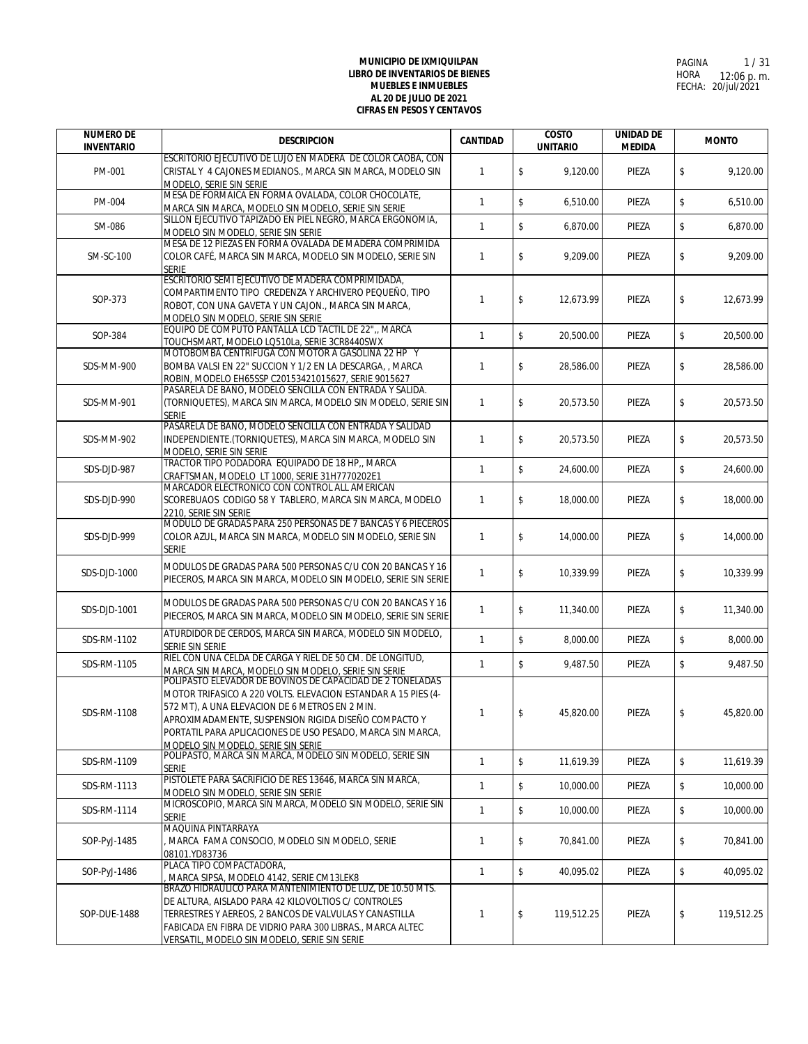| <b>NUMERO DE</b><br><b>INVENTARIO</b> | <b>DESCRIPCION</b>                                                                                                                                                                                                                                                                                                                       | <b>CANTIDAD</b> | <b>COSTO</b><br><b>UNITARIO</b> | <b>UNIDAD DE</b><br><b>MEDIDA</b> | <b>MONTO</b>     |
|---------------------------------------|------------------------------------------------------------------------------------------------------------------------------------------------------------------------------------------------------------------------------------------------------------------------------------------------------------------------------------------|-----------------|---------------------------------|-----------------------------------|------------------|
|                                       | ESCRITORIO EJECUTIVO DE LUJO EN MADERA DE COLOR CAOBA, CON                                                                                                                                                                                                                                                                               |                 |                                 |                                   |                  |
| PM-001                                | CRISTAL Y 4 CAJONES MEDIANOS., MARCA SIN MARCA, MODELO SIN<br>MODELO, SERIE SIN SERIE                                                                                                                                                                                                                                                    | $\mathbf{1}$    | \$<br>9,120.00                  | PIEZA                             | \$<br>9,120.00   |
| PM-004                                | MESA DE FORMAICA EN FORMA OVALADA, COLOR CHOCOLATE,<br>MARCA SIN MARCA, MODELO SIN MODELO, SERIE SIN SERIE                                                                                                                                                                                                                               | $\mathbf{1}$    | \$<br>6,510.00                  | PIEZA                             | \$<br>6,510.00   |
| SM-086                                | SILLON EJECUTIVO TAPIZADO EN PIEL NEGRO. MARCA ERGONOMIA.<br>MODELO SIN MODELO, SERIE SIN SERIE                                                                                                                                                                                                                                          | $\mathbf{1}$    | \$<br>6,870.00                  | PIEZA                             | \$<br>6,870.00   |
| SM-SC-100                             | MESA DE 12 PIEZAS EN FORMA OVALADA DE MADERA COMPRIMIDA<br>COLOR CAFÉ, MARCA SIN MARCA, MODELO SIN MODELO, SERIE SIN<br>serie                                                                                                                                                                                                            | $\mathbf{1}$    | \$<br>9,209.00                  | PIEZA                             | \$<br>9,209.00   |
| SOP-373                               | ESCRITORIO SEMI EJECUTIVO DE MADERA COMPRIMIDADA,<br>COMPARTIMENTO TIPO CREDENZA Y ARCHIVERO PEQUEÑO. TIPO<br>ROBOT, CON UNA GAVETA Y UN CAJON., MARCA SIN MARCA,<br>MODELO SIN MODELO, SERIE SIN SERIE                                                                                                                                  | $\mathbf{1}$    | \$<br>12,673.99                 | PIEZA                             | \$<br>12,673.99  |
| SOP-384                               | EQUIPO DE COMPUTO PANTALLA LCD TACTIL DE 22",, MARCA<br>TOUCHSMART, MODELO LQ510La, SERIE 3CR8440SWX                                                                                                                                                                                                                                     | $\mathbf{1}$    | \$<br>20,500.00                 | PIEZA                             | \$<br>20,500.00  |
| SDS-MM-900                            | MOTOBOMBA CENTRIFUGA CON MOTOR A GASOLINA 22 HP Y<br>BOMBA VALSI EN 22" SUCCION Y 1/2 EN LA DESCARGA, , MARCA<br>ROBIN, MODELO EH65SSP C20153421015627, SERIE 9015627                                                                                                                                                                    | 1               | \$<br>28,586.00                 | PIEZA                             | \$<br>28,586.00  |
| SDS-MM-901                            | PASARELA DE BAÑO, MODELO SENCILLA CON ENTRADA Y SALIDA.<br>(TORNIQUETES), MARCA SIN MARCA, MODELO SIN MODELO, SERIE SIN<br><b>SERIE</b>                                                                                                                                                                                                  | $\mathbf{1}$    | \$<br>20,573.50                 | PIEZA                             | \$<br>20.573.50  |
| SDS-MM-902                            | PASARELA DE BAÑO, MODELO SENCILLA CON ENTRADA Y SALIDAD<br>INDEPENDIENTE. (TORNIQUETES), MARCA SIN MARCA, MODELO SIN<br>MODELO, SERIE SIN SERIE                                                                                                                                                                                          | $\mathbf{1}$    | \$<br>20,573.50                 | PIEZA                             | \$<br>20,573.50  |
| SDS-DJD-987                           | TRACTOR TIPO PODADORA EQUIPADO DE 18 HP., MARCA<br>CRAFTSMAN, MODELO LT 1000, SERIE 31H7770202E1                                                                                                                                                                                                                                         | $\mathbf{1}$    | \$<br>24,600.00                 | PIEZA                             | \$<br>24,600.00  |
| SDS-DJD-990                           | MARCADOR ELÉCTRONICO CON CONTROL ALL AMERICAN<br>SCOREBUAOS CODIGO 58 Y TABLERO, MARCA SIN MARCA, MODELO<br>2210, SERIE SIN SERIE                                                                                                                                                                                                        | $\mathbf{1}$    | \$<br>18,000.00                 | PIEZA                             | \$<br>18,000.00  |
| SDS-DJD-999                           | MODULO DE GRADAS PARA 250 PERSONAS DE 7 BANCAS Y 6 PIECEROS<br>COLOR AZUL, MARCA SIN MARCA, MODELO SIN MODELO, SERIE SIN<br><b>SERIE</b>                                                                                                                                                                                                 | $\mathbf{1}$    | \$<br>14,000.00                 | PIEZA                             | \$<br>14,000.00  |
| SDS-DJD-1000                          | MODULOS DE GRADAS PARA 500 PERSONAS C/U CON 20 BANCAS Y 16<br>PIECEROS, MARCA SIN MARCA, MODELO SIN MODELO, SERIE SIN SERIE                                                                                                                                                                                                              | $\mathbf{1}$    | \$<br>10,339.99                 | PIEZA                             | \$<br>10,339.99  |
| SDS-DJD-1001                          | MODULOS DE GRADAS PARA 500 PERSONAS C/U CON 20 BANCAS Y 16<br>PIECEROS, MARCA SIN MARCA, MODELO SIN MODELO, SERIE SIN SERIE                                                                                                                                                                                                              | $\mathbf{1}$    | \$<br>11,340.00                 | PIEZA                             | \$<br>11,340.00  |
| SDS-RM-1102                           | ATURDIDOR DE CERDOS, MARCA SIN MARCA, MODELO SIN MODELO,<br>SERIE SIN SERIE                                                                                                                                                                                                                                                              | $\mathbf{1}$    | \$<br>8,000.00                  | PIEZA                             | \$<br>8,000.00   |
| SDS-RM-1105                           | RIEL CON UNA CELDA DE CARGA Y RIEL DE 50 CM. DE LONGITUD,<br>MARCA SIN MARCA, MODELO SIN MODELO, SERIE SIN SERIE                                                                                                                                                                                                                         | $\mathbf{1}$    | \$<br>9,487.50                  | PIEZA                             | \$<br>9,487.50   |
| SDS-RM-1108                           | POLIPASTO ELEVADOR DE BOVINOS DE CAPACIDAD DE 2 TONELADAS<br>MOTOR TRIFASICO A 220 VOLTS. ELEVACION ESTANDAR A 15 PIES (4-<br>572 MT). A UNA ELEVACION DE 6 METROS EN 2 MIN.<br>APROXIMADAMENTE, SUSPENSION RIGIDA DISEÑO COMPACTO Y<br>PORTATIL PARA APLICACIONES DE USO PESADO, MARCA SIN MARCA,<br>MODELO SIN MODELO. SERIE SIN SERIE | 1               | \$<br>45,820.00                 | PIEZA                             | \$<br>45,820.00  |
| SDS-RM-1109                           | POLIPASTO, MARCA SIN MARCA, MODELO SIN MODELO, SERIE SIN<br><b>SERIE</b>                                                                                                                                                                                                                                                                 | $\mathbf{1}$    | \$<br>11,619.39                 | PIEZA                             | \$<br>11,619.39  |
| SDS-RM-1113                           | PISTOLETE PARA SACRIFICIO DE RES 13646, MARCA SIN MARCA,<br>MODELO SIN MODELO, SERIE SIN SERIE                                                                                                                                                                                                                                           | $\mathbf{1}$    | \$<br>10.000.00                 | PIEZA                             | \$<br>10,000.00  |
| SDS-RM-1114                           | MICROSCOPIO, MARCA SIN MARCA, MODELO SIN MODELO, SERIE SIN<br><b>SERIE</b>                                                                                                                                                                                                                                                               | $\mathbf{1}$    | \$<br>10,000.00                 | PIEZA                             | \$<br>10,000.00  |
| SOP-PyJ-1485                          | MAQUINA PINTARRAYA<br>MARCA FAMA CONSOCIO, MODELO SIN MODELO, SERIE<br>08101.YD83736                                                                                                                                                                                                                                                     | 1               | \$<br>70,841.00                 | PIEZA                             | \$<br>70,841.00  |
| SOP-PyJ-1486                          | PLACA TIPO COMPACTADORA,<br>MARCA SIPSA, MODELO 4142, SERIE CM13LEK8                                                                                                                                                                                                                                                                     | $\mathbf{1}$    | \$<br>40,095.02                 | PIEZA                             | \$<br>40.095.02  |
| SOP-DUE-1488                          | BRAZO HIDRAULICO PARA MANTENIMIENTO DE LUZ, DE 10.50 MTS.<br>DE ALTURA, AISLADO PARA 42 KILOVOLTIOS C/ CONTROLES<br>TERRESTRES Y AEREOS, 2 BANCOS DE VALVULAS Y CANASTILLA<br>FABICADA EN FIBRA DE VIDRIO PARA 300 LIBRAS., MARCA ALTEC<br>VERSATIL, MODELO SIN MODELO, SERIE SIN SERIE                                                  | 1               | \$<br>119,512.25                | PIEZA                             | \$<br>119,512.25 |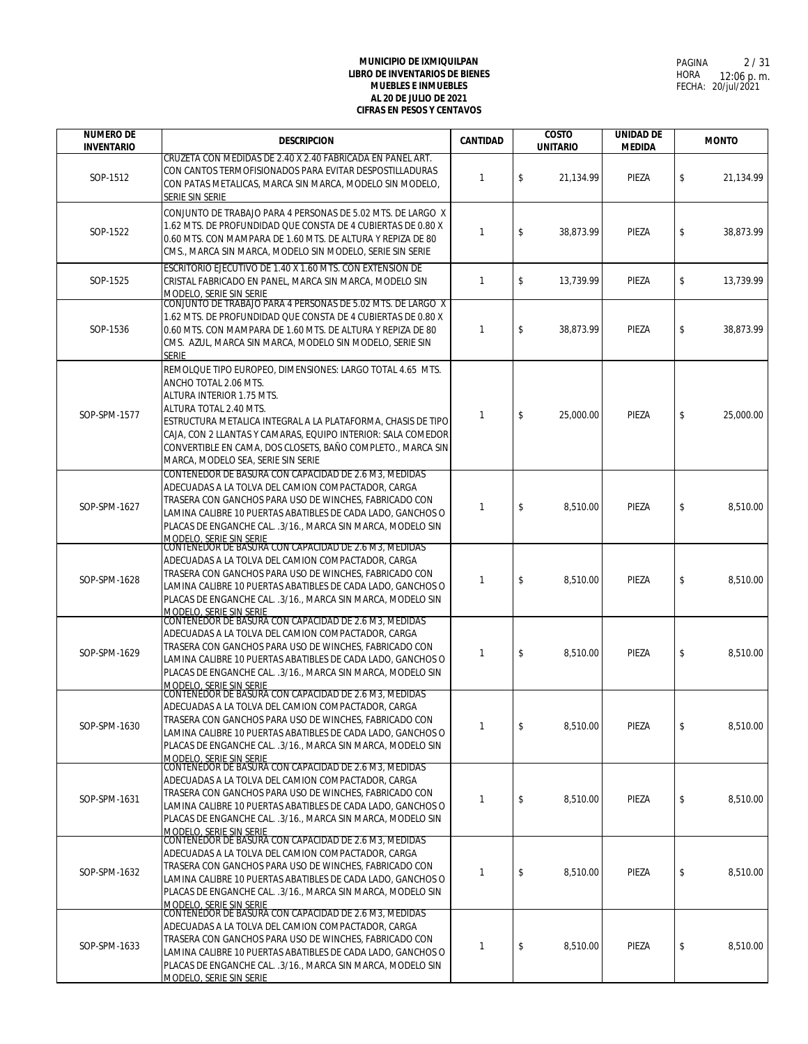| <b>NUMERO DE</b><br><b>INVENTARIO</b> | <b>DESCRIPCION</b>                                                                                                                                                                                                                                                                                                                                                             | <b>CANTIDAD</b> | <b>COSTO</b><br><b>UNITARIO</b> | <b>UNIDAD DE</b><br><b>MEDIDA</b> | <b>MONTO</b>    |
|---------------------------------------|--------------------------------------------------------------------------------------------------------------------------------------------------------------------------------------------------------------------------------------------------------------------------------------------------------------------------------------------------------------------------------|-----------------|---------------------------------|-----------------------------------|-----------------|
| SOP-1512                              | CRUZETA CON MEDIDAS DE 2.40 X 2.40 FABRICADA EN PANEL ART.<br>CON CANTOS TERMOFISIONADOS PARA EVITAR DESPOSTILLADURAS<br>CON PATAS METALICAS, MARCA SIN MARCA, MODELO SIN MODELO,<br>SERIE SIN SERIE                                                                                                                                                                           | $\mathbf{1}$    | \$<br>21.134.99                 | PIEZA                             | \$<br>21,134.99 |
| SOP-1522                              | CONJUNTO DE TRABAJO PARA 4 PERSONAS DE 5.02 MTS. DE LARGO X<br>1.62 MTS. DE PROFUNDIDAD QUE CONSTA DE 4 CUBIERTAS DE 0.80 X<br>0.60 MTS. CON MAMPARA DE 1.60 MTS. DE ALTURA Y REPIZA DE 80<br>CMS., MARCA SIN MARCA, MODELO SIN MODELO, SERIE SIN SERIE                                                                                                                        | $\mathbf{1}$    | \$<br>38,873.99                 | PIEZA                             | \$<br>38,873.99 |
| SOP-1525                              | ESCRITORIO EJECUTIVO DE 1.40 X 1.60 MTS. CON EXTENSION DE<br>CRISTAL FABRICADO EN PANEL, MARCA SIN MARCA, MODELO SIN<br>MODELO, SERIE SIN SERIE                                                                                                                                                                                                                                | $\mathbf{1}$    | \$<br>13,739.99                 | PIEZA                             | \$<br>13,739.99 |
| SOP-1536                              | CONJUNTO DE TRABAJO PARA 4 PERSONAS DE 5.02 MTS. DE LARGO X<br>1.62 MTS. DE PROFUNDIDAD QUE CONSTA DE 4 CUBIERTAS DE 0.80 X<br>0.60 MTS. CON MAMPARA DE 1.60 MTS. DE ALTURA Y REPIZA DE 80<br>CMS. AZUL, MARCA SIN MARCA, MODELO SIN MODELO, SERIE SIN<br><b>SERIE</b>                                                                                                         | 1               | \$<br>38,873.99                 | PIEZA                             | \$<br>38,873.99 |
| SOP-SPM-1577                          | REMOLQUE TIPO EUROPEO, DIMENSIONES: LARGO TOTAL 4.65 MTS.<br>ANCHO TOTAL 2.06 MTS.<br>ALTURA INTERIOR 1.75 MTS.<br>ALTURA TOTAL 2.40 MTS.<br>ESTRUCTURA METALICA INTEGRAL A LA PLATAFORMA, CHASIS DE TIPO<br>CAJA, CON 2 LLANTAS Y CAMARAS, EQUIPO INTERIOR: SALA COMEDOR<br>CONVERTIBLE EN CAMA, DOS CLOSETS, BAÑO COMPLETO., MARCA SIN<br>MARCA, MODELO SEA, SERIE SIN SERIE | $\mathbf{1}$    | \$<br>25.000.00                 | PIEZA                             | \$<br>25,000.00 |
| SOP-SPM-1627                          | CONTENEDOR DE BASURA CON CAPACIDAD DE 2.6 M3, MEDIDAS<br>ADECUADAS A LA TOLVA DEL CAMION COMPACTADOR, CARGA<br>TRASERA CON GANCHOS PARA USO DE WINCHES, FABRICADO CON<br>LAMINA CALIBRE 10 PUERTAS ABATIBLES DE CADA LADO, GANCHOS O<br>PLACAS DE ENGANCHE CAL. .3/16., MARCA SIN MARCA, MODELO SIN                                                                            | $\mathbf{1}$    | \$<br>8,510.00                  | PIEZA                             | \$<br>8,510.00  |
| SOP-SPM-1628                          | MODELO, SERIE SIN SERIE<br>CONTENEDOR DE BASURA CON CAPACIDAD DE 2.6 M3, MEDIDAS<br>ADECUADAS A LA TOLVA DEL CAMION COMPACTADOR, CARGA<br>TRASERA CON GANCHOS PARA USO DE WINCHES, FABRICADO CON<br>LAMINA CALIBRE 10 PUERTAS ABATIBLES DE CADA LADO, GANCHOS O<br>PLACAS DE ENGANCHE CAL. .3/16., MARCA SIN MARCA, MODELO SIN                                                 | $\mathbf{1}$    | \$<br>8,510.00                  | PIEZA                             | \$<br>8,510.00  |
| SOP-SPM-1629                          | MODELO, SERIE SIN SERIE<br>CONTENEDOR DE BASURA CON CAPACIDAD DE 2.6 M3, MEDIDAS<br>ADECUADAS A LA TOLVA DEL CAMION COMPACTADOR, CARGA<br>TRASERA CON GANCHOS PARA USO DE WINCHES, FABRICADO CON<br>LAMINA CALIBRE 10 PUERTAS ABATIBLES DE CADA LADO, GANCHOS O<br>PLACAS DE ENGANCHE CAL. . 3/16., MARCA SIN MARCA, MODELO SIN<br>MODELO, SERIE SIN SERIE                     | $\mathbf{1}$    | \$<br>8,510.00                  | PIEZA                             | \$<br>8,510.00  |
| SOP-SPM-1630                          | CONTENEDOR DE BASURA CON CAPACIDAD DE 2.6 M3, MEDIDAS<br>ADECUADAS A LA TOLVA DEL CAMION COMPACTADOR, CARGA<br>TRASERA CON GANCHOS PARA USO DE WINCHES, FABRICADO CON<br>LAMINA CALIBRE 10 PUERTAS ABATIBLES DE CADA LADO. GANCHOS O<br>PLACAS DE ENGANCHE CAL. .3/16., MARCA SIN MARCA, MODELO SIN<br>MODELO, SERIE SIN SERIE                                                 | $\mathbf{1}$    | \$<br>8,510.00                  | PIEZA                             | \$<br>8,510.00  |
| SOP-SPM-1631                          | CONTENEDOR DE BASURA CON CAPACIDAD DE 2.6 M3, MEDIDAS<br>ADECUADAS A LA TOLVA DEL CAMION COMPACTADOR, CARGA<br>TRASERA CON GANCHOS PARA USO DE WINCHES, FABRICADO CON<br>LAMINA CALIBRE 10 PUERTAS ABATIBLES DE CADA LADO, GANCHOS O<br>PLACAS DE ENGANCHE CAL. .3/16., MARCA SIN MARCA, MODELO SIN<br>MODELO, SERIE SIN SERIE                                                 | $\mathbf{1}$    | \$<br>8,510.00                  | PIEZA                             | \$<br>8.510.00  |
| SOP-SPM-1632                          | CONTENEDOR DE BASURA CON CAPACIDAD DE 2.6 M3, MEDIDAS<br>ADECUADAS A LA TOLVA DEL CAMION COMPACTADOR, CARGA<br>TRASERA CON GANCHOS PARA USO DE WINCHES, FABRICADO CON<br>LAMINA CALIBRE 10 PUERTAS ABATIBLES DE CADA LADO. GANCHOS O<br>PLACAS DE ENGANCHE CAL. .3/16., MARCA SIN MARCA, MODELO SIN<br>MODELO, SERIE SIN SERIE                                                 | $\mathbf{1}$    | \$<br>8,510.00                  | PIEZA                             | \$<br>8,510.00  |
| SOP-SPM-1633                          | CONTENEDOR DE BASURA CON CAPACIDAD DE 2.6 M3, MEDIDAS<br>ADECUADAS A LA TOLVA DEL CAMION COMPACTADOR, CARGA<br>TRASERA CON GANCHOS PARA USO DE WINCHES, FABRICADO CON<br>LAMINA CALIBRE 10 PUERTAS ABATIBLES DE CADA LADO, GANCHOS O<br>PLACAS DE ENGANCHE CAL. .3/16., MARCA SIN MARCA, MODELO SIN<br>MODELO, SERIE SIN SERIE                                                 | 1               | \$<br>8,510.00                  | PIEZA                             | \$<br>8,510.00  |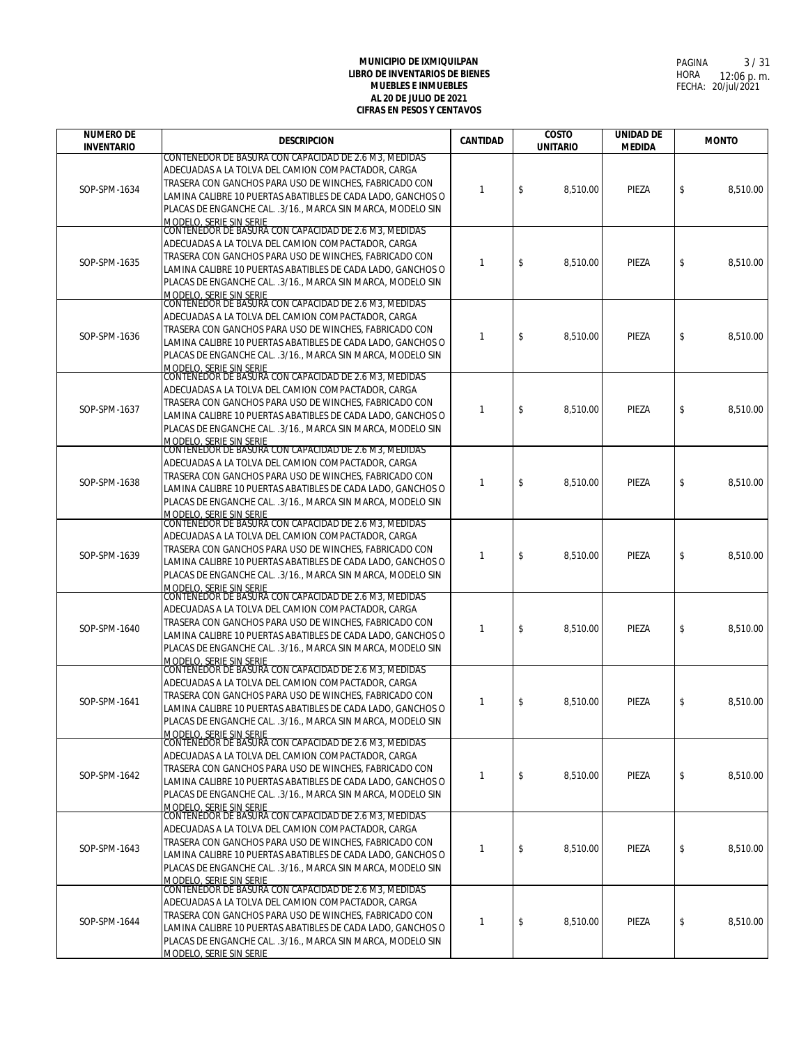| <b>NUMERO DE</b>  | <b>DESCRIPCION</b>                                                                                                                                                                                                                                                                                                                    | CANTIDAD     | <b>COSTO</b>    | <b>UNIDAD DE</b> | <b>MONTO</b>   |
|-------------------|---------------------------------------------------------------------------------------------------------------------------------------------------------------------------------------------------------------------------------------------------------------------------------------------------------------------------------------|--------------|-----------------|------------------|----------------|
| <b>INVENTARIO</b> | CONTENEDOR DE BASURA CON CAPACIDAD DE 2.6 M3, MEDIDAS                                                                                                                                                                                                                                                                                 |              | <b>UNITARIO</b> | <b>MEDIDA</b>    |                |
| SOP-SPM-1634      | ADECUADAS A LA TOLVA DEL CAMION COMPACTADOR, CARGA<br>TRASERA CON GANCHOS PARA USO DE WINCHES, FABRICADO CON<br>LAMINA CALIBRE 10 PUERTAS ABATIBLES DE CADA LADO, GANCHOS O<br>PLACAS DE ENGANCHE CAL. .3/16., MARCA SIN MARCA, MODELO SIN<br>MODELO, SERIE SIN SERIE                                                                 | $\mathbf{1}$ | \$<br>8,510.00  | PIEZA            | \$<br>8,510.00 |
| SOP-SPM-1635      | CONTENEDOR DE BASURA CON CAPACIDAD DE 2.6 M3, MEDIDAS<br>ADECUADAS A LA TOLVA DEL CAMION COMPACTADOR, CARGA<br>TRASERA CON GANCHOS PARA USO DE WINCHES, FABRICADO CON<br>LAMINA CALIBRE 10 PUERTAS ABATIBLES DE CADA LADO, GANCHOS O<br>PLACAS DE ENGANCHE CAL. .3/16., MARCA SIN MARCA, MODELO SIN<br>MODELO. SERIE SIN SERIE        | $\mathbf{1}$ | \$<br>8,510.00  | PIEZA            | \$<br>8,510.00 |
| SOP-SPM-1636      | CONTENEDOR DE BASURA CON CAPACIDAD DE 2.6 M3, MEDIDAS<br>ADECUADAS A LA TOLVA DEL CAMION COMPACTADOR, CARGA<br>TRASERA CON GANCHOS PARA USO DE WINCHES, FABRICADO CON<br>LAMINA CALIBRE 10 PUERTAS ABATIBLES DE CADA LADO, GANCHOS O<br>PLACAS DE ENGANCHE CAL. .3/16., MARCA SIN MARCA, MODELO SIN<br><b>MODELO, SERIE SIN SERIE</b> | -1           | \$<br>8,510.00  | PIEZA            | \$<br>8,510.00 |
| SOP-SPM-1637      | CONTENEDOR DE BASURA CON CAPACIDAD DE 2.6 M3, MEDIDAS<br>ADECUADAS A LA TOLVA DEL CAMION COMPACTADOR, CARGA<br>TRASERA CON GANCHOS PARA USO DE WINCHES, FABRICADO CON<br>LAMINA CALIBRE 10 PUERTAS ABATIBLES DE CADA LADO, GANCHOS O<br>PLACAS DE ENGANCHE CAL. .3/16., MARCA SIN MARCA, MODELO SIN<br>MODELO, SERIE SIN SERIE        | $\mathbf{1}$ | \$<br>8,510.00  | PIEZA            | \$<br>8.510.00 |
| SOP-SPM-1638      | CONTENEDOR DE BASURA CON CAPACIDAD DE 2.6 M3, MEDIDAS<br>ADECUADAS A LA TOLVA DEL CAMION COMPACTADOR, CARGA<br>TRASERA CON GANCHOS PARA USO DE WINCHES, FABRICADO CON<br>LAMINA CALIBRE 10 PUERTAS ABATIBLES DE CADA LADO, GANCHOS O<br>PLACAS DE ENGANCHE CAL. .3/16., MARCA SIN MARCA, MODELO SIN<br><b>MODELO, SERIE SIN SERIE</b> | $\mathbf{1}$ | \$<br>8,510.00  | PIEZA            | \$<br>8,510.00 |
| SOP-SPM-1639      | CONTENEDOR DE BASURA CON CAPACIDAD DE 2.6 M3, MEDIDAS<br>ADECUADAS A LA TOLVA DEL CAMION COMPACTADOR, CARGA<br>TRASERA CON GANCHOS PARA USO DE WINCHES, FABRICADO CON<br>LAMINA CALIBRE 10 PUERTAS ABATIBLES DE CADA LADO, GANCHOS O<br>PLACAS DE ENGANCHE CAL. .3/16., MARCA SIN MARCA, MODELO SIN<br>MODELO, SERIE SIN SERIE        | $\mathbf{1}$ | \$<br>8,510.00  | PIEZA            | \$<br>8,510.00 |
| SOP-SPM-1640      | CONTENEDOR DE BASURA CON CAPACIDAD DE 2.6 M3, MEDIDAS<br>ADECUADAS A LA TOLVA DEL CAMION COMPACTADOR, CARGA<br>TRASERA CON GANCHOS PARA USO DE WINCHES, FABRICADO CON<br>LAMINA CALIBRE 10 PUERTAS ABATIBLES DE CADA LADO, GANCHOS O<br>PLACAS DE ENGANCHE CAL. . 3/16., MARCA SIN MARCA, MODELO SIN<br>MODELO, SERIE SIN SERIE       | -1           | \$<br>8,510.00  | PIEZA            | \$<br>8,510.00 |
| SOP-SPM-1641      | CONTENEDOR DE BASURA CON CAPACIDAD DE 2.6 M3. MEDIDAS<br>ADECUADAS A LA TOLVA DEL CAMION COMPACTADOR, CARGA<br>TRASERA CON GANCHOS PARA USO DE WINCHES, FABRICADO CON<br>LAMINA CALIBRE 10 PUERTAS ABATIBLES DE CADA LADO, GANCHOS O<br>PLACAS DE ENGANCHE CAL. .3/16., MARCA SIN MARCA, MODELO SIN<br>MODELO, SERIE SIN SERIE        | $\mathbf{1}$ | \$<br>8,510.00  | PIEZA            | \$<br>8,510.00 |
| SOP-SPM-1642      | CONTENEDOR DE BASURA CON CAPACIDAD DE 2.6 M3, MEDIDAS<br>ADECUADAS A LA TOLVA DEL CAMION COMPACTADOR, CARGA<br>TRASERA CON GANCHOS PARA USO DE WINCHES, FABRICADO CON<br>LAMINA CALIBRE 10 PUERTAS ABATIBLES DE CADA LADO, GANCHOS O<br>PLACAS DE ENGANCHE CAL. .3/16., MARCA SIN MARCA, MODELO SIN<br><u>MODELO, SERIE SIN SERIE</u> | $\mathbf{1}$ | \$<br>8,510.00  | PIEZA            | \$<br>8,510.00 |
| SOP-SPM-1643      | CONTENEDOR DE BASURA CON CAPACIDAD DE 2.6 M3, MEDIDAS<br>ADECUADAS A LA TOLVA DEL CAMION COMPACTADOR, CARGA<br>TRASERA CON GANCHOS PARA USO DE WINCHES, FABRICADO CON<br>LAMINA CALIBRE 10 PUERTAS ABATIBLES DE CADA LADO, GANCHOS O<br>PLACAS DE ENGANCHE CAL. .3/16., MARCA SIN MARCA, MODELO SIN<br>MODELO, SERIE SIN SERIE        | $\mathbf{1}$ | \$<br>8,510.00  | PIEZA            | \$<br>8,510.00 |
| SOP-SPM-1644      | CONTENEDOR DE BASURA CON CAPACIDAD DE 2.6 M3, MEDIDAS<br>ADECUADAS A LA TOLVA DEL CAMION COMPACTADOR, CARGA<br>TRASERA CON GANCHOS PARA USO DE WINCHES, FABRICADO CON<br>LAMINA CALIBRE 10 PUERTAS ABATIBLES DE CADA LADO, GANCHOS O<br>PLACAS DE ENGANCHE CAL. .3/16., MARCA SIN MARCA, MODELO SIN<br>MODELO, SERIE SIN SERIE        | -1           | \$<br>8,510.00  | PIEZA            | \$<br>8,510.00 |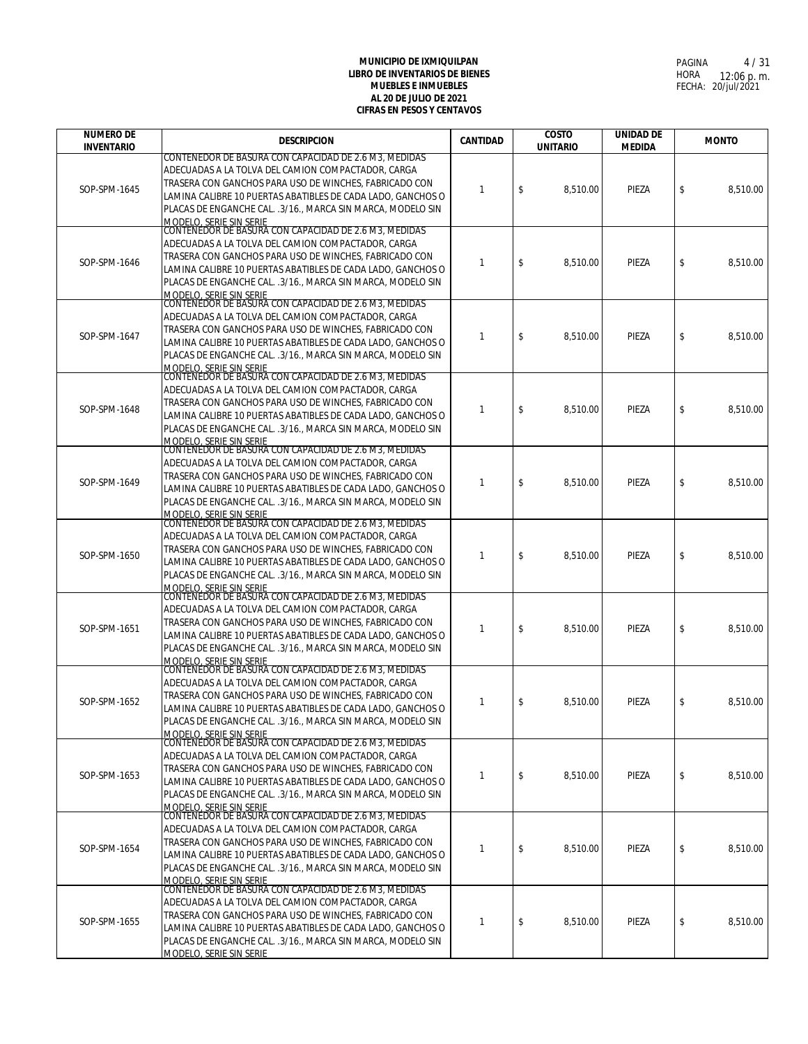| <b>NUMERO DE</b>  | <b>DESCRIPCION</b>                                                                                                                                                                                                                                                                                                                    | CANTIDAD     | <b>COSTO</b>    | <b>UNIDAD DE</b> | <b>MONTO</b>   |
|-------------------|---------------------------------------------------------------------------------------------------------------------------------------------------------------------------------------------------------------------------------------------------------------------------------------------------------------------------------------|--------------|-----------------|------------------|----------------|
| <b>INVENTARIO</b> | CONTENEDOR DE BASURA CON CAPACIDAD DE 2.6 M3, MEDIDAS                                                                                                                                                                                                                                                                                 |              | <b>UNITARIO</b> | <b>MEDIDA</b>    |                |
| SOP-SPM-1645      | ADECUADAS A LA TOLVA DEL CAMION COMPACTADOR, CARGA<br>TRASERA CON GANCHOS PARA USO DE WINCHES, FABRICADO CON<br>LAMINA CALIBRE 10 PUERTAS ABATIBLES DE CADA LADO, GANCHOS O<br>PLACAS DE ENGANCHE CAL. .3/16., MARCA SIN MARCA, MODELO SIN<br>MODELO, SERIE SIN SERIE                                                                 | $\mathbf{1}$ | \$<br>8,510.00  | PIEZA            | \$<br>8,510.00 |
| SOP-SPM-1646      | CONTENEDOR DE BASURA CON CAPACIDAD DE 2.6 M3, MEDIDAS<br>ADECUADAS A LA TOLVA DEL CAMION COMPACTADOR, CARGA<br>TRASERA CON GANCHOS PARA USO DE WINCHES, FABRICADO CON<br>LAMINA CALIBRE 10 PUERTAS ABATIBLES DE CADA LADO, GANCHOS O<br>PLACAS DE ENGANCHE CAL. .3/16., MARCA SIN MARCA, MODELO SIN<br>MODELO. SERIE SIN SERIE        | $\mathbf{1}$ | \$<br>8,510.00  | PIEZA            | \$<br>8,510.00 |
| SOP-SPM-1647      | CONTENEDOR DE BASURA CON CAPACIDAD DE 2.6 M3, MEDIDAS<br>ADECUADAS A LA TOLVA DEL CAMION COMPACTADOR, CARGA<br>TRASERA CON GANCHOS PARA USO DE WINCHES, FABRICADO CON<br>LAMINA CALIBRE 10 PUERTAS ABATIBLES DE CADA LADO, GANCHOS O<br>PLACAS DE ENGANCHE CAL. .3/16., MARCA SIN MARCA, MODELO SIN<br><b>MODELO, SERIE SIN SERIE</b> | -1           | \$<br>8,510.00  | PIEZA            | \$<br>8,510.00 |
| SOP-SPM-1648      | CONTENEDOR DE BASURA CON CAPACIDAD DE 2.6 M3, MEDIDAS<br>ADECUADAS A LA TOLVA DEL CAMION COMPACTADOR, CARGA<br>TRASERA CON GANCHOS PARA USO DE WINCHES, FABRICADO CON<br>LAMINA CALIBRE 10 PUERTAS ABATIBLES DE CADA LADO, GANCHOS O<br>PLACAS DE ENGANCHE CAL. .3/16., MARCA SIN MARCA, MODELO SIN<br>MODELO, SERIE SIN SERIE        | $\mathbf{1}$ | \$<br>8,510.00  | PIEZA            | \$<br>8.510.00 |
| SOP-SPM-1649      | CONTENEDOR DE BASURA CON CAPACIDAD DE 2.6 M3, MEDIDAS<br>ADECUADAS A LA TOLVA DEL CAMION COMPACTADOR, CARGA<br>TRASERA CON GANCHOS PARA USO DE WINCHES, FABRICADO CON<br>LAMINA CALIBRE 10 PUERTAS ABATIBLES DE CADA LADO, GANCHOS O<br>PLACAS DE ENGANCHE CAL. .3/16., MARCA SIN MARCA, MODELO SIN<br><b>MODELO, SERIE SIN SERIE</b> | $\mathbf{1}$ | \$<br>8,510.00  | PIEZA            | \$<br>8,510.00 |
| SOP-SPM-1650      | CONTENEDOR DE BASURA CON CAPACIDAD DE 2.6 M3, MEDIDAS<br>ADECUADAS A LA TOLVA DEL CAMION COMPACTADOR, CARGA<br>TRASERA CON GANCHOS PARA USO DE WINCHES, FABRICADO CON<br>LAMINA CALIBRE 10 PUERTAS ABATIBLES DE CADA LADO, GANCHOS O<br>PLACAS DE ENGANCHE CAL. .3/16., MARCA SIN MARCA, MODELO SIN<br>MODELO, SERIE SIN SERIE        | $\mathbf{1}$ | \$<br>8,510.00  | PIEZA            | \$<br>8,510.00 |
| SOP-SPM-1651      | CONTENEDOR DE BASURA CON CAPACIDAD DE 2.6 M3, MEDIDAS<br>ADECUADAS A LA TOLVA DEL CAMION COMPACTADOR, CARGA<br>TRASERA CON GANCHOS PARA USO DE WINCHES, FABRICADO CON<br>LAMINA CALIBRE 10 PUERTAS ABATIBLES DE CADA LADO, GANCHOS O<br>PLACAS DE ENGANCHE CAL. .3/16., MARCA SIN MARCA, MODELO SIN<br>MODELO, SERIE SIN SERIE        | -1           | \$<br>8,510.00  | PIEZA            | \$<br>8,510.00 |
| SOP-SPM-1652      | CONTENEDOR DE BASURA CON CAPACIDAD DE 2.6 M3. MEDIDAS<br>ADECUADAS A LA TOLVA DEL CAMION COMPACTADOR, CARGA<br>TRASERA CON GANCHOS PARA USO DE WINCHES, FABRICADO CON<br>LAMINA CALIBRE 10 PUERTAS ABATIBLES DE CADA LADO, GANCHOS O<br>PLACAS DE ENGANCHE CAL. .3/16., MARCA SIN MARCA, MODELO SIN<br>MODELO, SERIE SIN SERIE        | $\mathbf{1}$ | \$<br>8,510.00  | PIEZA            | \$<br>8,510.00 |
| SOP-SPM-1653      | CONTENEDOR DE BASURA CON CAPACIDAD DE 2.6 M3. MEDIDAS<br>ADECUADAS A LA TOLVA DEL CAMION COMPACTADOR, CARGA<br>TRASERA CON GANCHOS PARA USO DE WINCHES, FABRICADO CON<br>LAMINA CALIBRE 10 PUERTAS ABATIBLES DE CADA LADO, GANCHOS O<br>PLACAS DE ENGANCHE CAL. .3/16., MARCA SIN MARCA, MODELO SIN<br><u>MODELO, SERIE SIN SERIE</u> | $\mathbf{1}$ | \$<br>8,510.00  | PIEZA            | \$<br>8,510.00 |
| SOP-SPM-1654      | CONTENEDOR DE BASURA CON CAPACIDAD DE 2.6 M3, MEDIDAS<br>ADECUADAS A LA TOLVA DEL CAMION COMPACTADOR, CARGA<br>TRASERA CON GANCHOS PARA USO DE WINCHES, FABRICADO CON<br>LAMINA CALIBRE 10 PUERTAS ABATIBLES DE CADA LADO, GANCHOS O<br>PLACAS DE ENGANCHE CAL. .3/16., MARCA SIN MARCA, MODELO SIN<br>MODELO, SERIE SIN SERIE        | $\mathbf{1}$ | \$<br>8,510.00  | PIEZA            | \$<br>8,510.00 |
| SOP-SPM-1655      | CONTENEDOR DE BASURA CON CAPACIDAD DE 2.6 M3, MEDIDAS<br>ADECUADAS A LA TOLVA DEL CAMION COMPACTADOR, CARGA<br>TRASERA CON GANCHOS PARA USO DE WINCHES, FABRICADO CON<br>LAMINA CALIBRE 10 PUERTAS ABATIBLES DE CADA LADO, GANCHOS O<br>PLACAS DE ENGANCHE CAL. .3/16., MARCA SIN MARCA, MODELO SIN<br>MODELO, SERIE SIN SERIE        | -1           | \$<br>8,510.00  | PIEZA            | \$<br>8,510.00 |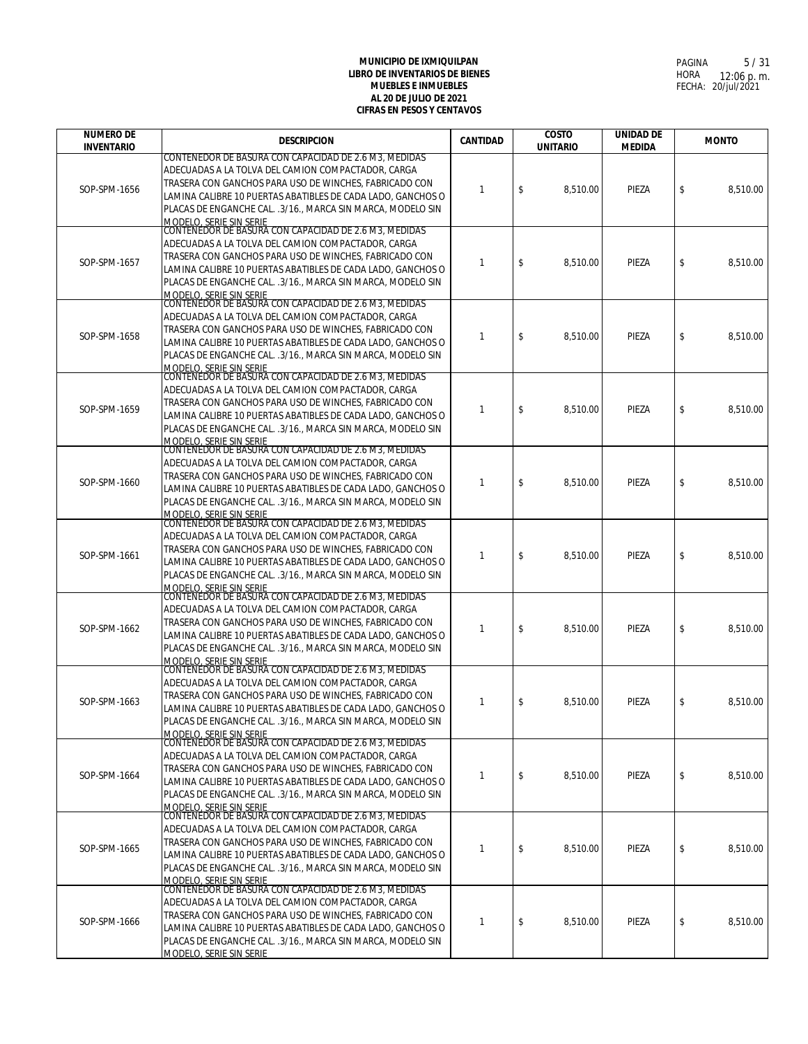| <b>NUMERO DE</b>  | <b>DESCRIPCION</b>                                                                                                                                                                                                                                                                                                                                                                      | <b>CANTIDAD</b> | <b>COSTO</b>    | <b>UNIDAD DE</b> | <b>MONTO</b>   |
|-------------------|-----------------------------------------------------------------------------------------------------------------------------------------------------------------------------------------------------------------------------------------------------------------------------------------------------------------------------------------------------------------------------------------|-----------------|-----------------|------------------|----------------|
| <b>INVENTARIO</b> | CONTENEDOR DE BASURA CON CAPACIDAD DE 2.6 M3, MEDIDAS                                                                                                                                                                                                                                                                                                                                   |                 | <b>UNITARIO</b> | <b>MEDIDA</b>    |                |
| SOP-SPM-1656      | ADECUADAS A LA TOLVA DEL CAMION COMPACTADOR, CARGA<br>TRASERA CON GANCHOS PARA USO DE WINCHES, FABRICADO CON<br>LAMINA CALIBRE 10 PUERTAS ABATIBLES DE CADA LADO, GANCHOS O<br>PLACAS DE ENGANCHE CAL. .3/16., MARCA SIN MARCA, MODELO SIN<br>MODELO, SERIE SIN SERIE<br>CONTENEDOR DE BASURA CON CAPACIDAD DE 2.6 M3, MEDIDAS                                                          | 1               | \$<br>8,510.00  | PIEZA            | \$<br>8,510.00 |
| SOP-SPM-1657      | ADECUADAS A LA TOLVA DEL CAMION COMPACTADOR, CARGA<br>TRASERA CON GANCHOS PARA USO DE WINCHES, FABRICADO CON<br>LAMINA CALIBRE 10 PUERTAS ABATIBLES DE CADA LADO, GANCHOS O<br>PLACAS DE ENGANCHE CAL. .3/16., MARCA SIN MARCA, MODELO SIN<br>MODELO, SERIE SIN SERIE<br>CONTENEDOR DE BASURA CON CAPACIDAD DE 2.6 M3, MEDIDAS                                                          | 1               | \$<br>8,510.00  | PIEZA            | \$<br>8,510.00 |
| SOP-SPM-1658      | ADECUADAS A LA TOLVA DEL CAMION COMPACTADOR, CARGA<br>TRASERA CON GANCHOS PARA USO DE WINCHES, FABRICADO CON<br>LAMINA CALIBRE 10 PUERTAS ABATIBLES DE CADA LADO, GANCHOS O<br>PLACAS DE ENGANCHE CAL. .3/16., MARCA SIN MARCA, MODELO SIN<br>MODELO. SERIE SIN SERIE                                                                                                                   | 1               | \$<br>8,510.00  | PIEZA            | \$<br>8,510.00 |
| SOP-SPM-1659      | CONTENEDOR DE BASURA CON CAPACIDAD DE 2.6 M3, MEDIDAS<br>ADECUADAS A LA TOLVA DEL CAMION COMPACTADOR, CARGA<br>TRASERA CON GANCHOS PARA USO DE WINCHES. FABRICADO CON<br>LAMINA CALIBRE 10 PUERTAS ABATIBLES DE CADA LADO, GANCHOS O<br>PLACAS DE ENGANCHE CAL. .3/16., MARCA SIN MARCA, MODELO SIN<br>MODELO, SERIE SIN SERIE<br>CONTENEDOR DE BASURA CON CAPACIDAD DE 2.6 M3, MEDIDAS | 1               | \$<br>8,510.00  | PIEZA            | \$<br>8,510.00 |
| SOP-SPM-1660      | ADECUADAS A LA TOLVA DEL CAMION COMPACTADOR, CARGA<br>TRASERA CON GANCHOS PARA USO DE WINCHES, FABRICADO CON<br>LAMINA CALIBRE 10 PUERTAS ABATIBLES DE CADA LADO. GANCHOS O<br>PLACAS DE ENGANCHE CAL. .3/16., MARCA SIN MARCA, MODELO SIN                                                                                                                                              | $\mathbf{1}$    | \$<br>8.510.00  | PIEZA            | \$<br>8,510.00 |
| SOP-SPM-1661      | MODELO, SERIE SIN SERIE<br>CONTENEDOR DE BASURA CON CAPACIDAD DE 2.6 M3, MEDIDAS<br>ADECUADAS A LA TOLVA DEL CAMION COMPACTADOR, CARGA<br>TRASERA CON GANCHOS PARA USO DE WINCHES, FABRICADO CON<br>LAMINA CALIBRE 10 PUERTAS ABATIBLES DE CADA LADO, GANCHOS O<br>PLACAS DE ENGANCHE CAL. .3/16., MARCA SIN MARCA, MODELO SIN<br>MODELO, SERIE SIN SERIE                               | 1               | \$<br>8,510.00  | PIEZA            | \$<br>8,510.00 |
| SOP-SPM-1662      | CONTENEDOR DE BASURA CON CAPACIDAD DE 2.6 M3, MEDIDAS<br>ADECUADAS A LA TOLVA DEL CAMION COMPACTADOR, CARGA<br>TRASERA CON GANCHOS PARA USO DE WINCHES, FABRICADO CON<br>LAMINA CALIBRE 10 PUERTAS ABATIBLES DE CADA LADO, GANCHOS O<br>PLACAS DE ENGANCHE CAL. .3/16., MARCA SIN MARCA, MODELO SIN<br>MODELO, SERIE SIN SERIE                                                          | 1               | \$<br>8,510.00  | PIEZA            | \$<br>8,510.00 |
| SOP-SPM-1663      | CONTENEDOR DE BASURA CON CAPACIDAD DE 2.6 M3, MEDIDAS<br>ADECUADAS A LA TOLVA DEL CAMION COMPACTADOR, CARGA<br>TRASERA CON GANCHOS PARA USO DE WINCHES, FABRICADO CON<br>LAMINA CALIBRE 10 PUERTAS ABATIBLES DE CADA LADO, GANCHOS O<br>PLACAS DE ENGANCHE CAL. .3/16., MARCA SIN MARCA, MODELO SIN<br>MODELO, SERIE SIN SERIE                                                          | 1               | \$<br>8,510.00  | PIEZA            | \$<br>8,510.00 |
| SOP-SPM-1664      | CONTENEDOR DE BASURA CON CAPACIDAD DE 2.6 M3. MEDIDAS<br>ADECUADAS A LA TOLVA DEL CAMION COMPACTADOR, CARGA<br>TRASERA CON GANCHOS PARA USO DE WINCHES, FABRICADO CON<br>LAMINA CALIBRE 10 PUERTAS ABATIBLES DE CADA LADO, GANCHOS O<br>PLACAS DE ENGANCHE CAL. .3/16., MARCA SIN MARCA, MODELO SIN<br><u>MODELO, SERIE SIN SERIE</u>                                                   | $\mathbf{1}$    | \$<br>8,510.00  | PIEZA            | \$<br>8,510.00 |
| SOP-SPM-1665      | CONTENEDOR DE BASURA CON CAPACIDAD DE 2.6 M3, MEDIDAS<br>ADECUADAS A LA TOLVA DEL CAMION COMPACTADOR, CARGA<br>TRASERA CON GANCHOS PARA USO DE WINCHES, FABRICADO CON<br>LAMINA CALIBRE 10 PUERTAS ABATIBLES DE CADA LADO, GANCHOS O<br>PLACAS DE ENGANCHE CAL. .3/16., MARCA SIN MARCA, MODELO SIN<br>MODELO, SERIE SIN SERIE                                                          | 1               | \$<br>8,510.00  | PIEZA            | \$<br>8,510.00 |
| SOP-SPM-1666      | CONTENEDOR DE BASURA CON CAPACIDAD DE 2.6 M3, MEDIDAS<br>ADECUADAS A LA TOLVA DEL CAMION COMPACTADOR, CARGA<br>TRASERA CON GANCHOS PARA USO DE WINCHES, FABRICADO CON<br>LAMINA CALIBRE 10 PUERTAS ABATIBLES DE CADA LADO, GANCHOS O<br>PLACAS DE ENGANCHE CAL. .3/16., MARCA SIN MARCA, MODELO SIN<br>MODELO, SERIE SIN SERIE                                                          | $\mathbf{1}$    | \$<br>8,510.00  | PIEZA            | \$<br>8,510.00 |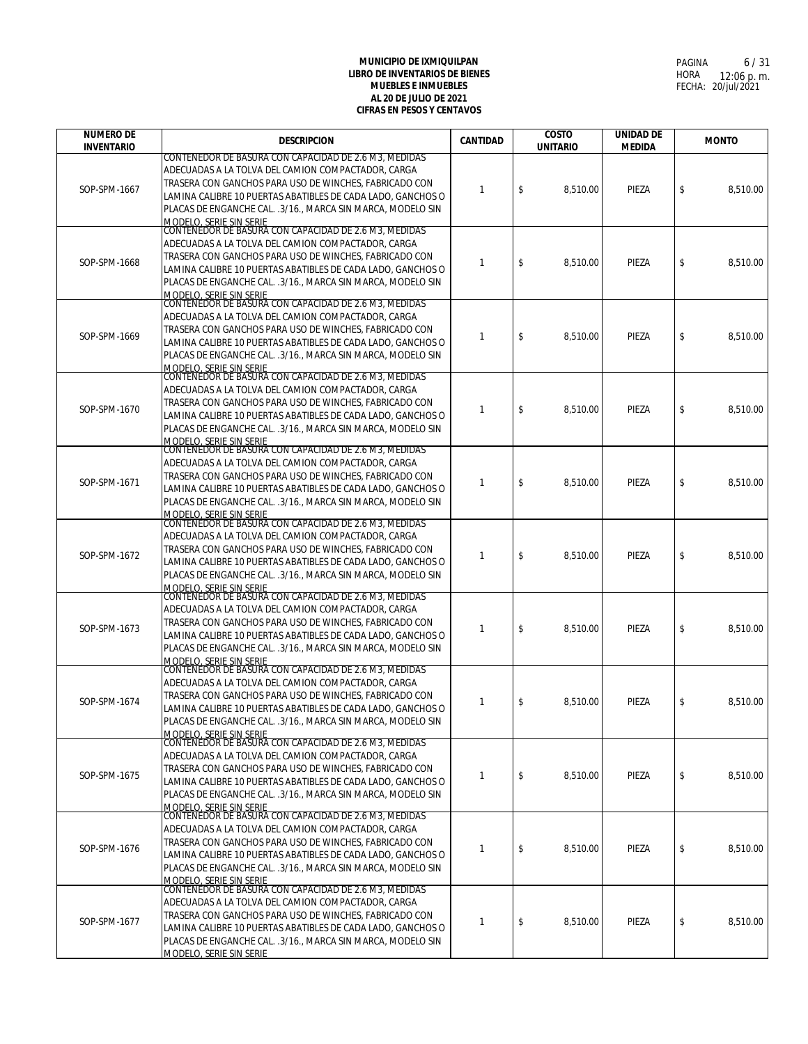| <b>NUMERO DE</b>  | <b>DESCRIPCION</b>                                                                                                                                                                                                                                                                                                                    | CANTIDAD     | <b>COSTO</b>    | <b>UNIDAD DE</b> | <b>MONTO</b>   |
|-------------------|---------------------------------------------------------------------------------------------------------------------------------------------------------------------------------------------------------------------------------------------------------------------------------------------------------------------------------------|--------------|-----------------|------------------|----------------|
| <b>INVENTARIO</b> | CONTENEDOR DE BASURA CON CAPACIDAD DE 2.6 M3, MEDIDAS                                                                                                                                                                                                                                                                                 |              | <b>UNITARIO</b> | <b>MEDIDA</b>    |                |
| SOP-SPM-1667      | ADECUADAS A LA TOLVA DEL CAMION COMPACTADOR, CARGA<br>TRASERA CON GANCHOS PARA USO DE WINCHES, FABRICADO CON<br>LAMINA CALIBRE 10 PUERTAS ABATIBLES DE CADA LADO, GANCHOS O<br>PLACAS DE ENGANCHE CAL. .3/16., MARCA SIN MARCA, MODELO SIN<br>MODELO, SERIE SIN SERIE                                                                 | $\mathbf{1}$ | \$<br>8,510.00  | PIEZA            | \$<br>8,510.00 |
| SOP-SPM-1668      | CONTENEDOR DE BASURA CON CAPACIDAD DE 2.6 M3, MEDIDAS<br>ADECUADAS A LA TOLVA DEL CAMION COMPACTADOR, CARGA<br>TRASERA CON GANCHOS PARA USO DE WINCHES, FABRICADO CON<br>LAMINA CALIBRE 10 PUERTAS ABATIBLES DE CADA LADO, GANCHOS O<br>PLACAS DE ENGANCHE CAL. .3/16., MARCA SIN MARCA, MODELO SIN<br>MODELO. SERIE SIN SERIE        | $\mathbf{1}$ | \$<br>8,510.00  | PIEZA            | \$<br>8,510.00 |
| SOP-SPM-1669      | CONTENEDOR DE BASURA CON CAPACIDAD DE 2.6 M3, MEDIDAS<br>ADECUADAS A LA TOLVA DEL CAMION COMPACTADOR, CARGA<br>TRASERA CON GANCHOS PARA USO DE WINCHES, FABRICADO CON<br>LAMINA CALIBRE 10 PUERTAS ABATIBLES DE CADA LADO, GANCHOS O<br>PLACAS DE ENGANCHE CAL. .3/16., MARCA SIN MARCA, MODELO SIN<br><b>MODELO, SERIE SIN SERIE</b> | -1           | \$<br>8,510.00  | PIEZA            | \$<br>8,510.00 |
| SOP-SPM-1670      | CONTENEDOR DE BASURA CON CAPACIDAD DE 2.6 M3, MEDIDAS<br>ADECUADAS A LA TOLVA DEL CAMION COMPACTADOR, CARGA<br>TRASERA CON GANCHOS PARA USO DE WINCHES, FABRICADO CON<br>LAMINA CALIBRE 10 PUERTAS ABATIBLES DE CADA LADO, GANCHOS O<br>PLACAS DE ENGANCHE CAL. .3/16., MARCA SIN MARCA, MODELO SIN<br>MODELO. SERIE SIN SERIE        | $\mathbf{1}$ | \$<br>8,510.00  | PIEZA            | \$<br>8.510.00 |
| SOP-SPM-1671      | CONTENEDOR DE BASURA CON CAPACIDAD DE 2.6 M3, MEDIDAS<br>ADECUADAS A LA TOLVA DEL CAMION COMPACTADOR, CARGA<br>TRASERA CON GANCHOS PARA USO DE WINCHES, FABRICADO CON<br>LAMINA CALIBRE 10 PUERTAS ABATIBLES DE CADA LADO, GANCHOS O<br>PLACAS DE ENGANCHE CAL. .3/16., MARCA SIN MARCA, MODELO SIN<br><b>MODELO, SERIE SIN SERIE</b> | $\mathbf{1}$ | \$<br>8,510.00  | PIEZA            | \$<br>8,510.00 |
| SOP-SPM-1672      | CONTENEDOR DE BASURA CON CAPACIDAD DE 2.6 M3, MEDIDAS<br>ADECUADAS A LA TOLVA DEL CAMION COMPACTADOR, CARGA<br>TRASERA CON GANCHOS PARA USO DE WINCHES, FABRICADO CON<br>LAMINA CALIBRE 10 PUERTAS ABATIBLES DE CADA LADO, GANCHOS O<br>PLACAS DE ENGANCHE CAL. .3/16., MARCA SIN MARCA, MODELO SIN<br>MODELO, SERIE SIN SERIE        | $\mathbf{1}$ | \$<br>8,510.00  | PIEZA            | \$<br>8,510.00 |
| SOP-SPM-1673      | CONTENEDOR DE BASURA CON CAPACIDAD DE 2.6 M3, MEDIDAS<br>ADECUADAS A LA TOLVA DEL CAMION COMPACTADOR, CARGA<br>TRASERA CON GANCHOS PARA USO DE WINCHES, FABRICADO CON<br>LAMINA CALIBRE 10 PUERTAS ABATIBLES DE CADA LADO, GANCHOS O<br>PLACAS DE ENGANCHE CAL. . 3/16., MARCA SIN MARCA, MODELO SIN<br>MODELO, SERIE SIN SERIE       | -1           | \$<br>8,510.00  | PIEZA            | \$<br>8,510.00 |
| SOP-SPM-1674      | CONTENEDOR DE BASURA CON CAPACIDAD DE 2.6 M3. MEDIDAS<br>ADECUADAS A LA TOLVA DEL CAMION COMPACTADOR, CARGA<br>TRASERA CON GANCHOS PARA USO DE WINCHES, FABRICADO CON<br>LAMINA CALIBRE 10 PUERTAS ABATIBLES DE CADA LADO, GANCHOS O<br>PLACAS DE ENGANCHE CAL. .3/16., MARCA SIN MARCA, MODELO SIN<br>MODELO, SERIE SIN SERIE        | $\mathbf{1}$ | \$<br>8,510.00  | PIEZA            | \$<br>8,510.00 |
| SOP-SPM-1675      | CONTENEDOR DE BASURA CON CAPACIDAD DE 2.6 M3. MEDIDAS<br>ADECUADAS A LA TOLVA DEL CAMION COMPACTADOR, CARGA<br>TRASERA CON GANCHOS PARA USO DE WINCHES, FABRICADO CON<br>LAMINA CALIBRE 10 PUERTAS ABATIBLES DE CADA LADO, GANCHOS O<br>PLACAS DE ENGANCHE CAL. .3/16., MARCA SIN MARCA, MODELO SIN<br><u>MODELO, SERIE SIN SERIE</u> | $\mathbf{1}$ | \$<br>8,510.00  | PIEZA            | \$<br>8,510.00 |
| SOP-SPM-1676      | CONTENEDOR DE BASURA CON CAPACIDAD DE 2.6 M3, MEDIDAS<br>ADECUADAS A LA TOLVA DEL CAMION COMPACTADOR, CARGA<br>TRASERA CON GANCHOS PARA USO DE WINCHES, FABRICADO CON<br>LAMINA CALIBRE 10 PUERTAS ABATIBLES DE CADA LADO, GANCHOS O<br>PLACAS DE ENGANCHE CAL. .3/16., MARCA SIN MARCA, MODELO SIN<br>MODELO, SERIE SIN SERIE        | $\mathbf{1}$ | \$<br>8,510.00  | PIEZA            | \$<br>8,510.00 |
| SOP-SPM-1677      | CONTENEDOR DE BASURA CON CAPACIDAD DE 2.6 M3, MEDIDAS<br>ADECUADAS A LA TOLVA DEL CAMION COMPACTADOR, CARGA<br>TRASERA CON GANCHOS PARA USO DE WINCHES, FABRICADO CON<br>LAMINA CALIBRE 10 PUERTAS ABATIBLES DE CADA LADO, GANCHOS O<br>PLACAS DE ENGANCHE CAL. .3/16., MARCA SIN MARCA, MODELO SIN<br>MODELO, SERIE SIN SERIE        | -1           | \$<br>8,510.00  | PIEZA            | \$<br>8,510.00 |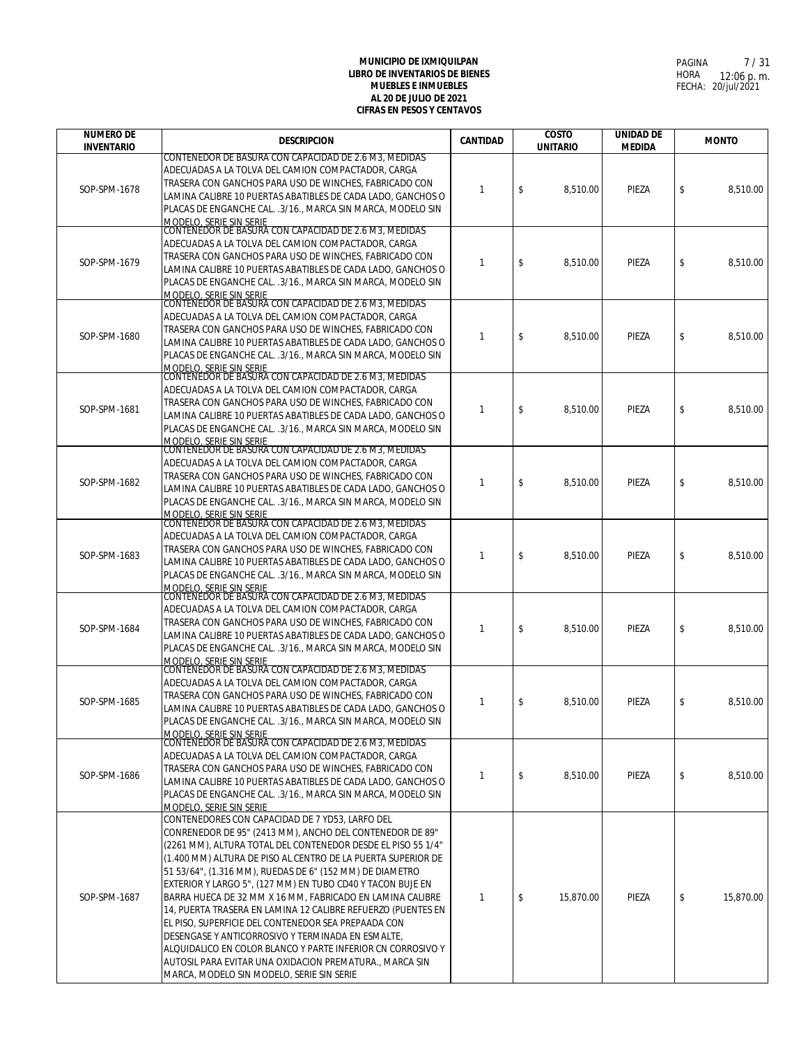| <b>NUMERO DE</b>  | <b>DESCRIPCION</b>                                                                                                           | <b>CANTIDAD</b> | <b>COSTO</b>    | <b>UNIDAD DE</b> | <b>MONTO</b>    |
|-------------------|------------------------------------------------------------------------------------------------------------------------------|-----------------|-----------------|------------------|-----------------|
| <b>INVENTARIO</b> | CONTENEDOR DE BASURA CON CAPACIDAD DE 2.6 M3, MEDIDAS                                                                        |                 | <b>UNITARIO</b> | <b>MEDIDA</b>    |                 |
|                   | ADECUADAS A LA TOLVA DEL CAMION COMPACTADOR, CARGA                                                                           |                 |                 |                  |                 |
| SOP-SPM-1678      | TRASERA CON GANCHOS PARA USO DE WINCHES, FABRICADO CON                                                                       | 1               | \$<br>8,510.00  | PIEZA            | \$<br>8,510.00  |
|                   | LAMINA CALIBRE 10 PUERTAS ABATIBLES DE CADA LADO, GANCHOS O<br>PLACAS DE ENGANCHE CAL. .3/16., MARCA SIN MARCA, MODELO SIN   |                 |                 |                  |                 |
|                   | <u>MODELO, SERIE SIN SERIE<br/>CONTENEDOR DE BASURA CON CAPACIDAD DE 2.6 M3, MEDIDAS</u>                                     |                 |                 |                  |                 |
|                   |                                                                                                                              |                 |                 |                  |                 |
|                   | ADECUADAS A LA TOLVA DEL CAMION COMPACTADOR, CARGA<br>TRASERA CON GANCHOS PARA USO DE WINCHES, FABRICADO CON                 |                 |                 |                  |                 |
| SOP-SPM-1679      | LAMINA CALIBRE 10 PUERTAS ABATIBLES DE CADA LADO, GANCHOS O                                                                  | $\mathbf{1}$    | \$<br>8.510.00  | PIEZA            | \$<br>8,510.00  |
|                   | PLACAS DE ENGANCHE CAL. .3/16., MARCA SIN MARCA, MODELO SIN                                                                  |                 |                 |                  |                 |
|                   | MODELO, SERIE SIN SERIE<br>CONTENEDOR DE BASURA CON CAPACIDAD DE 2.6 M3, MEDIDAS                                             |                 |                 |                  |                 |
|                   | ADECUADAS A LA TOLVA DEL CAMION COMPACTADOR, CARGA                                                                           |                 |                 |                  |                 |
| SOP-SPM-1680      | TRASERA CON GANCHOS PARA USO DE WINCHES, FABRICADO CON                                                                       | $\mathbf{1}$    | \$<br>8,510.00  | PIEZA            | \$<br>8,510.00  |
|                   | LAMINA CALIBRE 10 PUERTAS ABATIBLES DE CADA LADO, GANCHOS O<br>PLACAS DE ENGANCHE CAL. .3/16., MARCA SIN MARCA, MODELO SIN   |                 |                 |                  |                 |
|                   | MODELO. SERIE SIN SERIE                                                                                                      |                 |                 |                  |                 |
|                   | CONTENEDOR DE BASURA CON CAPACIDAD DE 2.6 M3, MEDIDAS                                                                        |                 |                 |                  |                 |
|                   | ADECUADAS A LA TOLVA DEL CAMION COMPACTADOR, CARGA<br>TRASERA CON GANCHOS PARA USO DE WINCHES, FABRICADO CON                 |                 |                 |                  |                 |
| SOP-SPM-1681      | LAMINA CALIBRE 10 PUERTAS ABATIBLES DE CADA LADO, GANCHOS O                                                                  | $\mathbf{1}$    | \$<br>8,510.00  | PIEZA            | \$<br>8.510.00  |
|                   | PLACAS DE ENGANCHE CAL. .3/16., MARCA SIN MARCA, MODELO SIN                                                                  |                 |                 |                  |                 |
|                   | MODELO, SERIE SIN SERIE<br>CONTENEDOR DE BASURA CON CAPACIDAD DE 2.6 M3, MEDIDAS                                             |                 |                 |                  |                 |
|                   | ADECUADAS A LA TOLVA DEL CAMION COMPACTADOR, CARGA                                                                           |                 |                 |                  |                 |
| SOP-SPM-1682      | TRASERA CON GANCHOS PARA USO DE WINCHES, FABRICADO CON                                                                       | $\mathbf{1}$    | \$<br>8,510.00  | PIEZA            | \$<br>8,510.00  |
|                   | LAMINA CALIBRE 10 PUERTAS ABATIBLES DE CADA LADO, GANCHOS O                                                                  |                 |                 |                  |                 |
|                   | PLACAS DE ENGANCHE CAL. .3/16., MARCA SIN MARCA, MODELO SIN<br>MODELO, SERIE SIN SERIE                                       |                 |                 |                  |                 |
|                   | CONTENEDOR DE BASURA CON CAPACIDAD DE 2.6 M3, MEDIDAS                                                                        |                 |                 |                  |                 |
|                   | ADECUADAS A LA TOLVA DEL CAMION COMPACTADOR, CARGA<br>TRASERA CON GANCHOS PARA USO DE WINCHES, FABRICADO CON                 |                 |                 |                  |                 |
| SOP-SPM-1683      | LAMINA CALIBRE 10 PUERTAS ABATIBLES DE CADA LADO, GANCHOS O                                                                  | $\mathbf{1}$    | \$<br>8,510.00  | PIEZA            | \$<br>8,510.00  |
|                   | PLACAS DE ENGANCHE CAL. .3/16., MARCA SIN MARCA, MODELO SIN                                                                  |                 |                 |                  |                 |
|                   | MODELO, SERIE SIN SERIE<br>CONTENEDOR DE BASURA CON CAPACIDAD DE 2.6 M3, MEDIDAS                                             |                 |                 |                  |                 |
|                   | ADECUADAS A LA TOLVA DEL CAMION COMPACTADOR, CARGA                                                                           |                 |                 |                  |                 |
| SOP-SPM-1684      | TRASERA CON GANCHOS PARA USO DE WINCHES, FABRICADO CON                                                                       | $\mathbf{1}$    | \$<br>8,510.00  | PIEZA            | \$<br>8,510.00  |
|                   | LAMINA CALIBRE 10 PUERTAS ABATIBLES DE CADA LADO, GANCHOS O<br>PLACAS DE ENGANCHE CAL. .3/16., MARCA SIN MARCA, MODELO SIN   |                 |                 |                  |                 |
|                   | MODELO, SERIE SIN SERIE                                                                                                      |                 |                 |                  |                 |
|                   | CONTENEDOR DE BASURA CON CAPACIDAD DE 2.6 M3, MEDIDAS                                                                        |                 |                 |                  |                 |
|                   | ADECUADAS A LA TOLVA DEL CAMION COMPACTADOR, CARGA<br>TRASERA CON GANCHOS PARA USO DE WINCHES, FABRICADO CON                 |                 |                 |                  |                 |
| SOP-SPM-1685      | LAMINA CALIBRE 10 PUERTAS ABATIBLES DE CADA LADO, GANCHOS O                                                                  | $\mathbf{1}$    | \$<br>8,510.00  | PIEZA            | \$<br>8.510.00  |
|                   | PLACAS DE ENGANCHE CAL. .3/16., MARCA SIN MARCA, MODELO SIN                                                                  |                 |                 |                  |                 |
|                   | <b>MODELO, SERIE SIN SERIE</b><br>CONTENEDOR DE BASURA CON CAPACIDAD DE 2.6 M3, MEDIDAS                                      |                 |                 |                  |                 |
|                   | ADECUADAS A LA TOLVA DEL CAMION COMPACTADOR, CARGA                                                                           |                 |                 |                  |                 |
| SOP-SPM-1686      | TRASERA CON GANCHOS PARA USO DE WINCHES, FABRICADO CON                                                                       | $\mathbf{1}$    | \$<br>8,510.00  | PIEZA            | \$<br>8,510.00  |
|                   | LAMINA CALIBRE 10 PUERTAS ABATIBLES DE CADA LADO, GANCHOS O<br>PLACAS DE ENGANCHE CAL. .3/16., MARCA SIN MARCA, MODELO SIN   |                 |                 |                  |                 |
|                   | MODELO, SERIE SIN SERIE                                                                                                      |                 |                 |                  |                 |
|                   | CONTENEDORES CON CAPACIDAD DE 7 YD53, LARFO DEL                                                                              |                 |                 |                  |                 |
|                   | CONRENEDOR DE 95" (2413 MM), ANCHO DEL CONTENEDOR DE 89"                                                                     |                 |                 |                  |                 |
|                   | (2261 MM), ALTURA TOTAL DEL CONTENEDOR DESDE EL PISO 55 1/4"<br>(1.400 MM) ALTURA DE PISO AL CENTRO DE LA PUERTA SUPERIOR DE |                 |                 |                  |                 |
|                   | 51 53/64", (1.316 MM), RUEDAS DE 6" (152 MM) DE DIAMETRO                                                                     |                 |                 |                  |                 |
|                   | EXTERIOR Y LARGO 5", (127 MM) EN TUBO CD40 Y TACON BUJE EN                                                                   |                 |                 |                  |                 |
| SOP-SPM-1687      | BARRA HUECA DE 32 MM X 16 MM, FABRICADO EN LAMINA CALIBRE                                                                    | 1               | \$<br>15,870.00 | PIEZA            | \$<br>15,870.00 |
|                   | 14, PUERTA TRASERA EN LAMINA 12 CALIBRE REFUERZO (PUENTES EN<br>EL PISO, SUPERFICIE DEL CONTENEDOR SEA PREPAADA CON          |                 |                 |                  |                 |
|                   | DESENGASE Y ANTICORROSIVO Y TERMINADA EN ESMALTE,                                                                            |                 |                 |                  |                 |
|                   | ALQUIDALICO EN COLOR BLANCO Y PARTE INFERIOR CN CORROSIVO Y                                                                  |                 |                 |                  |                 |
|                   | AUTOSIL PARA EVITAR UNA OXIDACION PREMATURA., MARCA SIN                                                                      |                 |                 |                  |                 |
|                   | MARCA, MODELO SIN MODELO, SERIE SIN SERIE                                                                                    |                 |                 |                  |                 |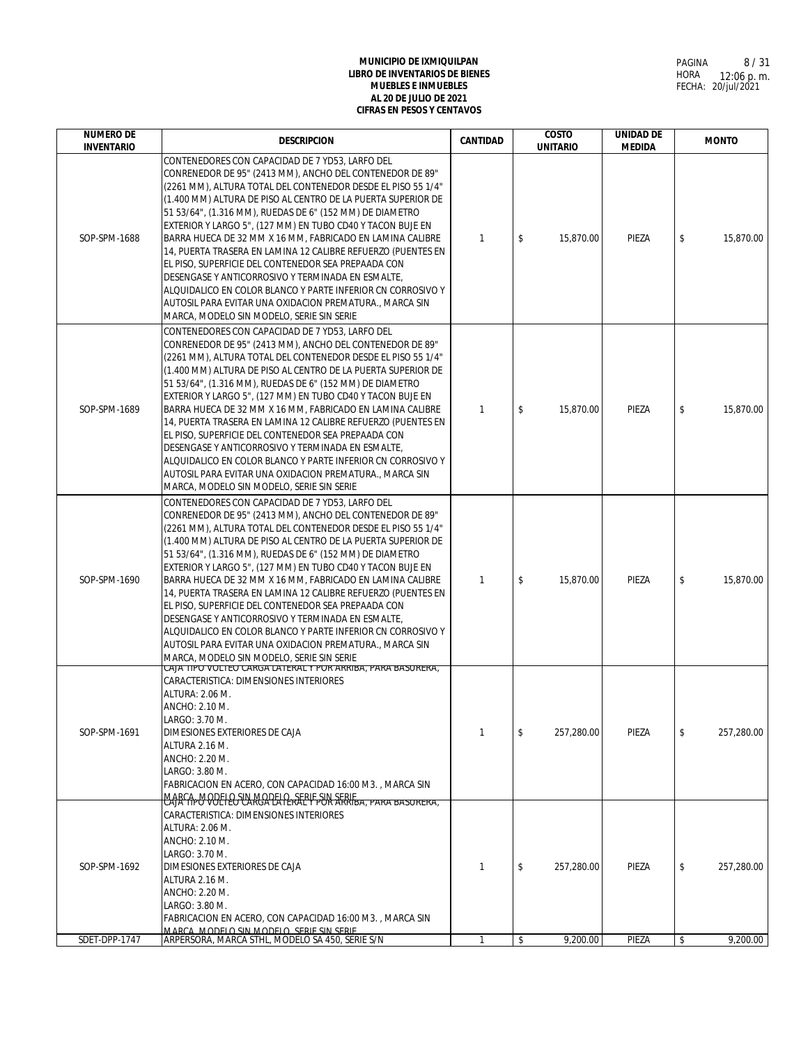| <b>NUMERO DE</b><br><b>INVENTARIO</b> | <b>DESCRIPCION</b>                                                                                                                                                                                                                                                                                                                                                                                                                                                                                                                                                                                                                                                                                                                                                                    | CANTIDAD     | <b>COSTO</b><br><b>UNITARIO</b> | <b>UNIDAD DE</b><br><b>MEDIDA</b> | <b>MONTO</b>     |
|---------------------------------------|---------------------------------------------------------------------------------------------------------------------------------------------------------------------------------------------------------------------------------------------------------------------------------------------------------------------------------------------------------------------------------------------------------------------------------------------------------------------------------------------------------------------------------------------------------------------------------------------------------------------------------------------------------------------------------------------------------------------------------------------------------------------------------------|--------------|---------------------------------|-----------------------------------|------------------|
| SOP-SPM-1688                          | CONTENEDORES CON CAPACIDAD DE 7 YD53. LARFO DEL<br>CONRENEDOR DE 95" (2413 MM), ANCHO DEL CONTENEDOR DE 89"<br>(2261 MM), ALTURA TOTAL DEL CONTENEDOR DESDE EL PISO 55 1/4"<br>(1.400 MM) ALTURA DE PISO AL CENTRO DE LA PUERTA SUPERIOR DE<br>51 53/64", (1.316 MM), RUEDAS DE 6" (152 MM) DE DIAMETRO<br>EXTERIOR Y LARGO 5", (127 MM) EN TUBO CD40 Y TACON BUJE EN<br>BARRA HUECA DE 32 MM X 16 MM, FABRICADO EN LAMINA CALIBRE<br>14, PUERTA TRASERA EN LAMINA 12 CALIBRE REFUERZO (PUENTES EN<br>EL PISO, SUPERFICIE DEL CONTENEDOR SEA PREPAADA CON<br>DESENGASE Y ANTICORROSIVO Y TERMINADA EN ESMALTE,<br>ALQUIDALICO EN COLOR BLANCO Y PARTE INFERIOR CN CORROSIVO Y<br>AUTOSIL PARA EVITAR UNA OXIDACION PREMATURA., MARCA SIN<br>MARCA, MODELO SIN MODELO, SERIE SIN SERIE | $\mathbf{1}$ | \$<br>15,870.00                 | PIEZA                             | \$<br>15,870.00  |
| SOP-SPM-1689                          | CONTENEDORES CON CAPACIDAD DE 7 YD53, LARFO DEL<br>CONRENEDOR DE 95" (2413 MM), ANCHO DEL CONTENEDOR DE 89"<br>(2261 MM), ALTURA TOTAL DEL CONTENEDOR DESDE EL PISO 55 1/4"<br>(1.400 MM) ALTURA DE PISO AL CENTRO DE LA PUERTA SUPERIOR DE<br>51 53/64", (1.316 MM), RUEDAS DE 6" (152 MM) DE DIAMETRO<br>EXTERIOR Y LARGO 5", (127 MM) EN TUBO CD40 Y TACON BUJE EN<br>BARRA HUECA DE 32 MM X 16 MM, FABRICADO EN LAMINA CALIBRE<br>14, PUERTA TRASERA EN LAMINA 12 CALIBRE REFUERZO (PUENTES EN<br>EL PISO, SUPERFICIE DEL CONTENEDOR SEA PREPAADA CON<br>DESENGASE Y ANTICORROSIVO Y TERMINADA EN ESMALTE,<br>ALQUIDALICO EN COLOR BLANCO Y PARTE INFERIOR CN CORROSIVO Y<br>AUTOSIL PARA EVITAR UNA OXIDACION PREMATURA., MARCA SIN<br>MARCA, MODELO SIN MODELO, SERIE SIN SERIE | $\mathbf{1}$ | \$<br>15,870.00                 | PIEZA                             | \$<br>15,870.00  |
| SOP-SPM-1690                          | CONTENEDORES CON CAPACIDAD DE 7 YD53, LARFO DEL<br>CONRENEDOR DE 95" (2413 MM), ANCHO DEL CONTENEDOR DE 89"<br>(2261 MM), ALTURA TOTAL DEL CONTENEDOR DESDE EL PISO 55 1/4"<br>(1.400 MM) ALTURA DE PISO AL CENTRO DE LA PUERTA SUPERIOR DE<br>51 53/64", (1.316 MM), RUEDAS DE 6" (152 MM) DE DIAMETRO<br>EXTERIOR Y LARGO 5", (127 MM) EN TUBO CD40 Y TACON BUJE EN<br>BARRA HUECA DE 32 MM X 16 MM, FABRICADO EN LAMINA CALIBRE<br>14, PUERTA TRASERA EN LAMINA 12 CALIBRE REFUERZO (PUENTES EN<br>EL PISO, SUPERFICIE DEL CONTENEDOR SEA PREPAADA CON<br>DESENGASE Y ANTICORROSIVO Y TERMINADA EN ESMALTE,<br>ALQUIDALICO EN COLOR BLANCO Y PARTE INFERIOR CN CORROSIVO Y<br>AUTOSIL PARA EVITAR UNA OXIDACION PREMATURA., MARCA SIN<br>MARCA, MODELO SIN MODELO, SERIE SIN SERIE | $\mathbf{1}$ | \$<br>15,870.00                 | PIEZA                             | \$<br>15,870.00  |
| SOP-SPM-1691                          | CAJA TIPO VOLTEO CARGA LATERAL Y POR ARRIBA, PARA BASURERA,<br>CARACTERISTICA: DIMENSIONES INTERIORES<br>ALTURA: 2.06 M.<br>ANCHO: 2.10 M.<br>LARGO: 3.70 M.<br>DIMESIONES EXTERIORES DE CAJA<br>ALTURA 2.16 M.<br>ANCHO: 2.20 M.<br>LARGO: 3.80 M.<br>FABRICACION EN ACERO, CON CAPACIDAD 16:00 M3., MARCA SIN<br>MARCA-MODELLO SUN MODELLE SERIE SIN SERIE                                                                                                                                                                                                                                                                                                                                                                                                                          | $\mathbf{1}$ | \$<br>257,280.00                | PIEZA                             | \$<br>257,280.00 |
| SOP-SPM-1692                          | CARACTERISTICA: DIMENSIONES INTERIORES<br>ALTURA: 2.06 M.<br>ANCHO: 2.10 M.<br>LARGO: 3.70 M.<br>DIMESIONES EXTERIORES DE CAJA<br>ALTURA 2.16 M.<br>ANCHO: 2.20 M.<br>LARGO: 3.80 M.<br>FABRICACION EN ACERO, CON CAPACIDAD 16:00 M3., MARCA SIN<br>MARCA MODELO SIN MODELO SERIE SIN SERIE                                                                                                                                                                                                                                                                                                                                                                                                                                                                                           | $\mathbf{1}$ | \$<br>257,280.00                | PIEZA                             | \$<br>257,280.00 |
| SDET-DPP-1747                         | ARPERSORA, MARCA STHL, MODELO SA 450, SERIE S/N                                                                                                                                                                                                                                                                                                                                                                                                                                                                                                                                                                                                                                                                                                                                       | 1            | \$<br>9,200.00                  | PIEZA                             | \$<br>9,200.00   |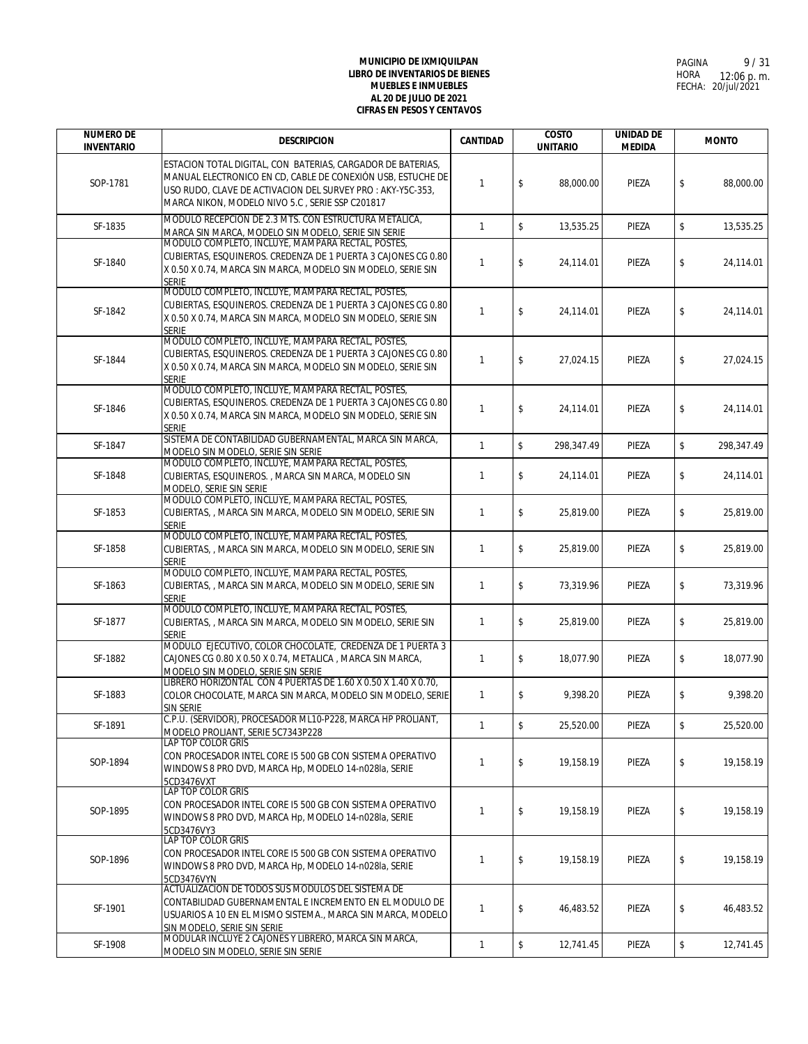| <b>NUMERO DE</b><br><b>INVENTARIO</b> | <b>DESCRIPCION</b>                                                                                                                                                                                                                           | CANTIDAD     | <b>COSTO</b><br><b>UNITARIO</b> | <b>UNIDAD DE</b><br><b>MEDIDA</b> | <b>MONTO</b>     |
|---------------------------------------|----------------------------------------------------------------------------------------------------------------------------------------------------------------------------------------------------------------------------------------------|--------------|---------------------------------|-----------------------------------|------------------|
| SOP-1781                              | ESTACION TOTAL DIGITAL, CON BATERIAS, CARGADOR DE BATERIAS,<br>MANUAL ELECTRONICO EN CD, CABLE DE CONEXIÓN USB, ESTUCHE DE<br>USO RUDO, CLAVE DE ACTIVACION DEL SURVEY PRO : AKY-Y5C-353,<br>MARCA NIKON, MODELO NIVO 5.C, SERIE SSP C201817 | $\mathbf{1}$ | \$<br>88,000.00                 | PIEZA                             | \$<br>88,000.00  |
| SF-1835                               | MODULO RECEPCION DE 2.3 MTS. CON ESTRUCTURA METALICA,<br>MARCA SIN MARCA, MODELO SIN MODELO, SERIE SIN SERIE                                                                                                                                 | $\mathbf{1}$ | \$<br>13,535.25                 | PIEZA                             | \$<br>13,535.25  |
| SF-1840                               | MODULO COMPLETO, INCLUYE, MAMPARA RECTAL, POSTES,<br>CUBIERTAS, ESQUINEROS. CREDENZA DE 1 PUERTA 3 CAJONES CG 0.80<br>X 0.50 X 0.74, MARCA SIN MARCA, MODELO SIN MODELO, SERIE SIN<br>SERIE                                                  | $\mathbf{1}$ | \$<br>24,114.01                 | PIEZA                             | \$<br>24,114.01  |
| SF-1842                               | MODULO COMPLETO, INCLUYE, MAMPARA RECTAL, POSTES,<br>CUBIERTAS, ESQUINEROS. CREDENZA DE 1 PUERTA 3 CAJONES CG 0.80<br>X 0.50 X 0.74, MARCA SIN MARCA, MODELO SIN MODELO, SERIE SIN<br><b>SERIE</b>                                           | $\mathbf{1}$ | \$<br>24,114.01                 | PIEZA                             | \$<br>24,114.01  |
| SF-1844                               | MODULO COMPLETO, INCLUYE, MAMPARA RECTAL, POSTES,<br>CUBIERTAS, ESQUINEROS. CREDENZA DE 1 PUERTA 3 CAJONES CG 0.80<br>X 0.50 X 0.74, MARCA SIN MARCA, MODELO SIN MODELO, SERIE SIN<br><b>SERIE</b>                                           | $\mathbf{1}$ | \$<br>27,024.15                 | PIEZA                             | \$<br>27,024.15  |
| SF-1846                               | MODULO COMPLETO, INCLUYE, MAMPARA RECTAL, POSTES,<br>CUBIERTAS, ESQUINEROS. CREDENZA DE 1 PUERTA 3 CAJONES CG 0.80<br>X 0.50 X 0.74. MARCA SIN MARCA. MODELO SIN MODELO. SERIE SIN<br><b>SERIE</b>                                           | $\mathbf{1}$ | \$<br>24,114.01                 | PIEZA                             | \$<br>24,114.01  |
| SF-1847                               | SISTEMA DE CONTABILIDAD GUBERNAMENTAL, MARCA SIN MARCA,<br>MODELO SIN MODELO, SERIE SIN SERIE                                                                                                                                                | $\mathbf{1}$ | \$<br>298.347.49                | PIEZA                             | \$<br>298,347.49 |
| SF-1848                               | MODULO COMPLETO, INCLUYE, MAMPARA RECTAL, POSTES,<br>CUBIERTAS, ESQUINEROS., MARCA SIN MARCA, MODELO SIN<br>MODELO, SERIE SIN SERIE                                                                                                          | $\mathbf{1}$ | \$<br>24,114.01                 | PIEZA                             | \$<br>24,114.01  |
| SF-1853                               | MODULO COMPLETO, INCLUYE, MAMPARA RECTAL, POSTES,<br>CUBIERTAS, , MARCA SIN MARCA, MODELO SIN MODELO, SERIE SIN<br><b>SERIE</b>                                                                                                              | $\mathbf{1}$ | \$<br>25,819.00                 | PIEZA                             | \$<br>25,819.00  |
| SF-1858                               | MODULO COMPLETO, INCLUYE, MAMPARA RECTAL, POSTES,<br>CUBIERTAS, , MARCA SIN MARCA, MODELO SIN MODELO, SERIE SIN<br><b>SERIE</b>                                                                                                              | $\mathbf{1}$ | \$<br>25,819.00                 | PIEZA                             | \$<br>25,819.00  |
| SF-1863                               | MODULO COMPLETO, INCLUYE, MAMPARA RECTAL, POSTES,<br>CUBIERTAS, , MARCA SIN MARCA, MODELO SIN MODELO, SERIE SIN<br>SERIE                                                                                                                     | $\mathbf{1}$ | \$<br>73,319.96                 | PIEZA                             | \$<br>73,319.96  |
| SF-1877                               | MODULO COMPLETO, INCLUYE, MAMPARA RECTAL, POSTES,<br>CUBIERTAS, , MARCA SIN MARCA, MODELO SIN MODELO, SERIE SIN<br><b>SERIE</b>                                                                                                              | $\mathbf{1}$ | \$<br>25,819.00                 | PIEZA                             | \$<br>25,819.00  |
| SF-1882                               | MODULO EJECUTIVO, COLOR CHOCOLATE, CREDENZA DE 1 PUERTA 3<br>CAJONES CG 0.80 X 0.50 X 0.74, METALICA, MARCA SIN MARCA,<br>MODELO SIN MODELO, SERIE SIN SERIE                                                                                 | $\mathbf{1}$ | \$<br>18,077.90                 | PIEZA                             | \$<br>18,077.90  |
| SF-1883                               | LIBRERO HORIZONTAL CON 4 PUERTAS DE 1.60 X 0.50 X 1.40 X 0.70,<br>COLOR CHOCOLATE, MARCA SIN MARCA, MODELO SIN MODELO, SERIE<br>SIN SERIE                                                                                                    | $\mathbf{1}$ | \$<br>9,398.20                  | PIEZA                             | \$<br>9,398.20   |
| SF-1891                               | C.P.U. (SERVIDOR), PROCESADOR ML10-P228, MARCA HP PROLIANT,<br>MODELO PROLIANT, SERIE 5C7343P228                                                                                                                                             | $\mathbf{1}$ | $\,$<br>25,520.00               | PIEZA                             | \$<br>25,520.00  |
| SOP-1894                              | <b>LAP TOP COLOR GRIS</b><br>CON PROCESADOR INTEL CORE 15 500 GB CON SISTEMA OPERATIVO<br>WINDOWS 8 PRO DVD, MARCA Hp, MODELO 14-n028la, SERIE<br>5CD3476VXT                                                                                 | $\mathbf{1}$ | \$<br>19.158.19                 | PIEZA                             | \$<br>19.158.19  |
| SOP-1895                              | <b>LAP TOP COLOR GRIS</b><br>CON PROCESADOR INTEL CORE 15 500 GB CON SISTEMA OPERATIVO<br>WINDOWS 8 PRO DVD, MARCA Hp, MODELO 14-n028la, SERIE<br>5CD3476VY3                                                                                 | $\mathbf{1}$ | \$<br>19,158.19                 | PIEZA                             | \$<br>19,158.19  |
| SOP-1896                              | LAP TOP COLOR GRIS<br>CON PROCESADOR INTEL CORE 15 500 GB CON SISTEMA OPERATIVO<br>WINDOWS 8 PRO DVD, MARCA Hp, MODELO 14-n028la, SERIE<br>5CD3476VYN                                                                                        | $\mathbf{1}$ | \$<br>19,158.19                 | PIEZA                             | \$<br>19,158.19  |
| SF-1901                               | ACTUALIZACION DE TODOS SUS MODULOS DEL SISTEMA DE<br>CONTABILIDAD GUBERNAMENTAL E INCREMENTO EN EL MODULO DE<br>USUARIOS A 10 EN EL MISMO SISTEMA., MARCA SIN MARCA, MODELO<br>SIN MODELO, SERIE SIN SERIE                                   | $\mathbf{1}$ | \$<br>46,483.52                 | PIEZA                             | \$<br>46,483.52  |
| SF-1908                               | MODULAR INCLUYE 2 CAJONES Y LIBRERO, MARCA SIN MARCA,<br>MODELO SIN MODELO, SERIE SIN SERIE                                                                                                                                                  | $\mathbf{1}$ | \$<br>12,741.45                 | PIEZA                             | \$<br>12,741.45  |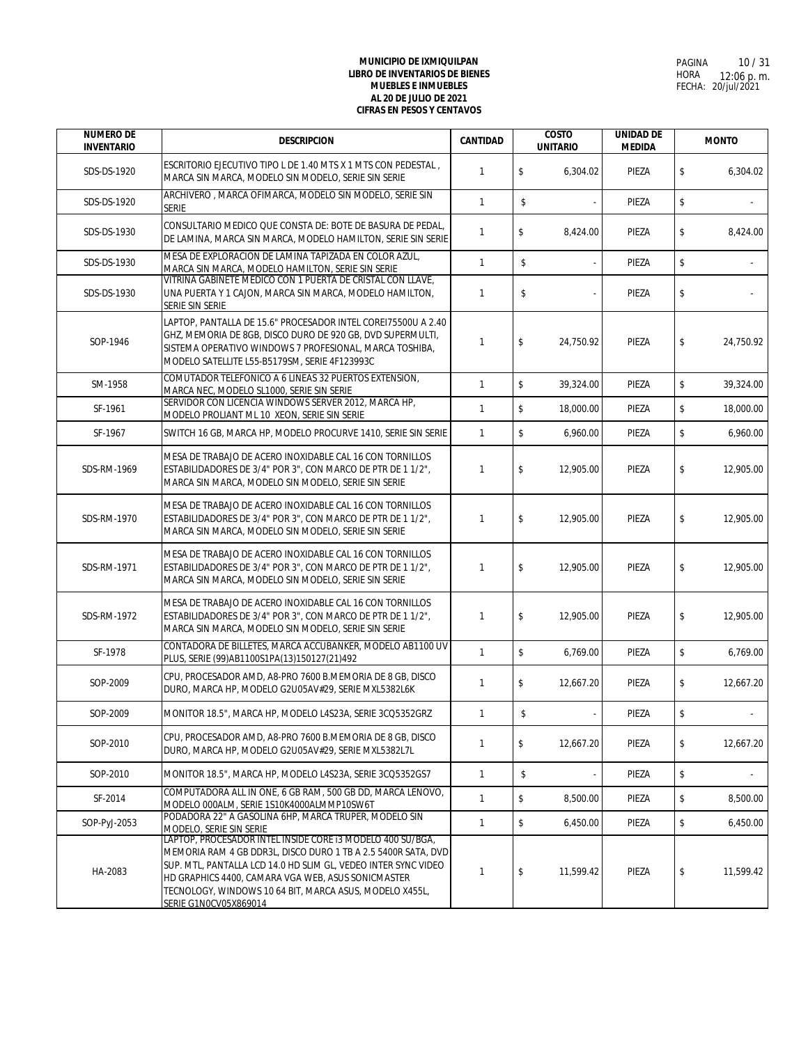| <b>NUMERO DE</b><br><b>INVENTARIO</b> | <b>DESCRIPCION</b>                                                                                                                                                                                                                                                                                                                      | <b>CANTIDAD</b> |                         | <b>COSTO</b><br><b>UNITARIO</b> | <b>UNIDAD DE</b><br><b>MEDIDA</b> | <b>MONTO</b>    |
|---------------------------------------|-----------------------------------------------------------------------------------------------------------------------------------------------------------------------------------------------------------------------------------------------------------------------------------------------------------------------------------------|-----------------|-------------------------|---------------------------------|-----------------------------------|-----------------|
| SDS-DS-1920                           | ESCRITORIO EJECUTIVO TIPO L DE 1.40 MTS X 1 MTS CON PEDESTAL,<br>MARCA SIN MARCA, MODELO SIN MODELO, SERIE SIN SERIE                                                                                                                                                                                                                    | $\mathbf{1}$    | \$                      | 6,304.02                        | PIEZA                             | \$<br>6.304.02  |
| SDS-DS-1920                           | ARCHIVERO, MARCA OFIMARCA, MODELO SIN MODELO, SERIE SIN<br><b>SERIE</b>                                                                                                                                                                                                                                                                 | $\mathbf{1}$    | \$                      |                                 | PIEZA                             | \$              |
| SDS-DS-1930                           | CONSULTARIO MEDICO QUE CONSTA DE: BOTE DE BASURA DE PEDAL,<br>DE LAMINA, MARCA SIN MARCA, MODELO HAMILTON, SERIE SIN SERIE                                                                                                                                                                                                              | $\mathbf{1}$    | \$                      | 8,424.00                        | PIEZA                             | \$<br>8,424.00  |
| SDS-DS-1930                           | MESA DE EXPLORACION DE LAMINA TAPIZADA EN COLOR AZUL,<br>MARCA SIN MARCA, MODELO HAMILTON, SERIE SIN SERIE                                                                                                                                                                                                                              | $\mathbf{1}$    | \$                      |                                 | PIEZA                             | \$              |
| SDS-DS-1930                           | VITRINA GABINETE MEDICO CON 1 PUERTA DE CRISTAL CON LLAVE,<br>UNA PUERTA Y 1 CAJON, MARCA SIN MARCA, MODELO HAMILTON,<br>SERIE SIN SERIE                                                                                                                                                                                                | $\mathbf{1}$    | \$                      |                                 | PIEZA                             | \$              |
| SOP-1946                              | LAPTOP, PANTALLA DE 15.6" PROCESADOR INTEL COREI75500U A 2.40<br>GHZ, MEMORIA DE 8GB, DISCO DURO DE 920 GB, DVD SUPERMULTI,<br>SISTEMA OPERATIVO WINDOWS 7 PROFESIONAL, MARCA TOSHIBA,<br>MODELO SATELLITE L55-B5179SM, SERIE 4F123993C                                                                                                 | $\mathbf{1}$    | \$                      | 24,750.92                       | PIEZA                             | \$<br>24,750.92 |
| SM-1958                               | COMUTADOR TELEFONICO A 6 LINEAS 32 PUERTOS EXTENSION,<br>MARCA NEC, MODELO SL1000, SERIE SIN SERIE                                                                                                                                                                                                                                      | $\mathbf{1}$    | $\sqrt[6]{\frac{1}{2}}$ | 39,324.00                       | PIEZA                             | \$<br>39,324.00 |
| SF-1961                               | SERVIDOR CON LICENCIA WINDOWS SERVER 2012, MARCA HP.<br>MODELO PROLIANT ML 10 XEON, SERIE SIN SERIE                                                                                                                                                                                                                                     | $\mathbf{1}$    | $\mathsf S$             | 18.000.00                       | PIEZA                             | \$<br>18,000.00 |
| SF-1967                               | SWITCH 16 GB, MARCA HP, MODELO PROCURVE 1410, SERIE SIN SERIE                                                                                                                                                                                                                                                                           | $\mathbf{1}$    | $\mathbb S$             | 6,960.00                        | PIEZA                             | \$<br>6,960.00  |
| SDS-RM-1969                           | MESA DE TRABAJO DE ACERO INOXIDABLE CAL 16 CON TORNILLOS<br>ESTABILIDADORES DE 3/4" POR 3", CON MARCO DE PTR DE 1 1/2",<br>MARCA SIN MARCA, MODELO SIN MODELO, SERIE SIN SERIE                                                                                                                                                          | 1               | \$                      | 12,905.00                       | PIEZA                             | \$<br>12,905.00 |
| SDS-RM-1970                           | MESA DE TRABAJO DE ACERO INOXIDABLE CAL 16 CON TORNILLOS<br>ESTABILIDADORES DE 3/4" POR 3", CON MARCO DE PTR DE 1 1/2",<br>MARCA SIN MARCA, MODELO SIN MODELO, SERIE SIN SERIE                                                                                                                                                          | $\mathbf{1}$    | \$                      | 12,905.00                       | PIEZA                             | \$<br>12,905.00 |
| SDS-RM-1971                           | MESA DE TRABAJO DE ACERO INOXIDABLE CAL 16 CON TORNILLOS<br>ESTABILIDADORES DE 3/4" POR 3", CON MARCO DE PTR DE 1 1/2",<br>MARCA SIN MARCA, MODELO SIN MODELO, SERIE SIN SERIE                                                                                                                                                          | $\mathbf{1}$    | \$                      | 12,905.00                       | PIEZA                             | \$<br>12,905.00 |
| SDS-RM-1972                           | MESA DE TRABAJO DE ACERO INOXIDABLE CAL 16 CON TORNILLOS<br>ESTABILIDADORES DE 3/4" POR 3", CON MARCO DE PTR DE 1 1/2",<br>MARCA SIN MARCA, MODELO SIN MODELO, SERIE SIN SERIE                                                                                                                                                          | $\mathbf{1}$    | \$                      | 12,905.00                       | PIEZA                             | \$<br>12,905.00 |
| SF-1978                               | CONTADORA DE BILLETES, MARCA ACCUBANKER, MODELO AB1100 UV<br>PLUS, SERIE (99)AB1100S1PA(13)150127(21)492                                                                                                                                                                                                                                | $\mathbf{1}$    | \$                      | 6,769.00                        | PIEZA                             | \$<br>6,769.00  |
| SOP-2009                              | CPU, PROCESADOR AMD, A8-PRO 7600 B.MEMORIA DE 8 GB, DISCO<br>DURO, MARCA HP, MODELO G2U05AV#29, SERIE MXL5382L6K                                                                                                                                                                                                                        | $\mathbf{1}$    | \$                      | 12,667.20                       | PIEZA                             | \$<br>12,667.20 |
| SOP-2009                              | MONITOR 18.5", MARCA HP, MODELO L4S23A, SERIE 3CQ5352GRZ                                                                                                                                                                                                                                                                                | $\mathbf{1}$    | \$                      |                                 | PIEZA                             | \$              |
| SOP-2010                              | CPU, PROCESADOR AMD, A8-PRO 7600 B.MEMORIA DE 8 GB, DISCO<br>DURO, MARCA HP, MODELO G2U05AV#29, SERIE MXL5382L7L                                                                                                                                                                                                                        | $\mathbf{1}$    | \$                      | 12,667.20                       | PIEZA                             | \$<br>12,667.20 |
| SOP-2010                              | MONITOR 18.5", MARCA HP, MODELO L4S23A, SERIE 3CQ5352GS7                                                                                                                                                                                                                                                                                | $\mathbf{1}$    | \$                      |                                 | PIEZA                             | \$              |
| SF-2014                               | COMPUTADORA ALL IN ONE, 6 GB RAM, 500 GB DD, MARCA LENOVO,<br>MODELO 000ALM, SERIE 1S10K4000ALMMP10SW6T                                                                                                                                                                                                                                 | $\mathbf{1}$    | \$                      | 8.500.00                        | PIEZA                             | \$<br>8,500.00  |
| SOP-PyJ-2053                          | PODADORA 22" A GASOLINA 6HP, MARCA TRUPER, MODELO SIN<br>MODELO, SERIE SIN SERIE                                                                                                                                                                                                                                                        | $\mathbf{1}$    | \$                      | 6,450.00                        | PIEZA                             | \$<br>6,450.00  |
| HA-2083                               | LAPTOP, PROCESADOR INTEL INSIDE CORE 13 MODELO 400 SU/BGA,<br>MEMORIA RAM 4 GB DDR3L, DISCO DURO 1 TB A 2.5 5400R SATA, DVD<br>SUP. MTL, PANTALLA LCD 14.0 HD SLIM GL, VEDEO INTER SYNC VIDEO<br>HD GRAPHICS 4400, CAMARA VGA WEB, ASUS SONICMASTER<br>TECNOLOGY, WINDOWS 10 64 BIT, MARCA ASUS, MODELO X455L,<br>SERIE G1N0CV05X869014 | $\mathbf{1}$    | \$                      | 11,599.42                       | PIEZA                             | \$<br>11,599.42 |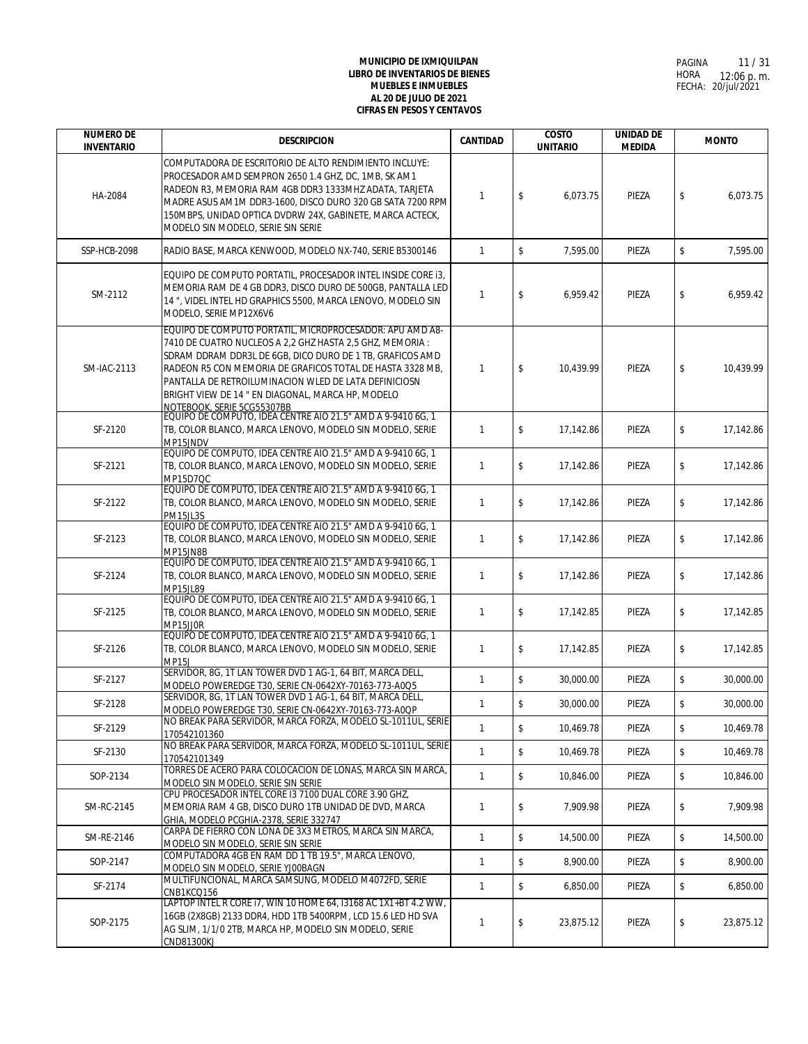| <b>NUMERO DE</b><br><b>INVENTARIO</b> | <b>DESCRIPCION</b>                                                                                                                                                                                                                                                                                                                                                                                                                                         | <b>CANTIDAD</b> | <b>COSTO</b><br><b>UNITARIO</b>      | <b>UNIDAD DE</b><br><b>MEDIDA</b> | <b>MONTO</b>    |
|---------------------------------------|------------------------------------------------------------------------------------------------------------------------------------------------------------------------------------------------------------------------------------------------------------------------------------------------------------------------------------------------------------------------------------------------------------------------------------------------------------|-----------------|--------------------------------------|-----------------------------------|-----------------|
| HA-2084                               | COMPUTADORA DE ESCRITORIO DE ALTO RENDIMIENTO INCLUYE:<br>PROCESADOR AMD SEMPRON 2650 1.4 GHZ, DC, 1MB, SK AM1<br>RADEON R3, MEMORIA RAM 4GB DDR3 1333MHZ ADATA, TARJETA<br>MADRE ASUS AM1M DDR3-1600. DISCO DURO 320 GB SATA 7200 RPM<br>150MBPS, UNIDAD OPTICA DVDRW 24X, GABINETE, MARCA ACTECK,<br>MODELO SIN MODELO, SERIE SIN SERIE                                                                                                                  | $\mathbf{1}$    | \$<br>6,073.75                       | PIEZA                             | \$<br>6,073.75  |
| SSP-HCB-2098                          | RADIO BASE, MARCA KENWOOD, MODELO NX-740, SERIE B5300146                                                                                                                                                                                                                                                                                                                                                                                                   | $\mathbf{1}$    | \$<br>7,595.00                       | PIEZA                             | \$<br>7,595.00  |
| SM-2112                               | EQUIPO DE COMPUTO PORTATIL, PROCESADOR INTEL INSIDE CORE 13,<br>MEMORIA RAM DE 4 GB DDR3, DISCO DURO DE 500GB, PANTALLA LED<br>14", VIDEL INTEL HD GRAPHICS 5500, MARCA LENOVO, MODELO SIN<br>MODELO, SERIE MP12X6V6                                                                                                                                                                                                                                       | 1               | \$<br>6,959.42                       | PIEZA                             | \$<br>6,959.42  |
| SM-IAC-2113                           | EQUIPO DE COMPUTO PORTATIL, MICROPROCESADOR: APU AMD A8-<br>7410 DE CUATRO NUCLEOS A 2,2 GHZ HASTA 2,5 GHZ, MEMORIA :<br>SDRAM DDRAM DDR3L DE 6GB, DICO DURO DE 1 TB, GRAFICOS AMD<br>RADEON R5 CON MEMORIA DE GRAFICOS TOTAL DE HASTA 3328 MB,<br>PANTALLA DE RETROILUMINACION WLED DE LATA DEFINICIOSN<br>BRIGHT VIEW DE 14 " EN DIAGONAL, MARCA HP, MODELO<br>NOTEBOOK, SERIE 5CG55307BB<br>EQUIPO DE COMPUTO, IDEA CENTRE AIO 21.5" AMD A 9-9410 6G, 1 | $\mathbf{1}$    | \$<br>10,439.99                      | PIEZA                             | \$<br>10,439.99 |
| SF-2120                               | TB, COLOR BLANCO, MARCA LENOVO, MODELO SIN MODELO, SERIE<br>MP15JNDV                                                                                                                                                                                                                                                                                                                                                                                       | $\mathbf{1}$    | \$<br>17,142.86                      | PIEZA                             | \$<br>17,142.86 |
| SF-2121                               | EQUIPO DE COMPUTO, IDEA CENTRE AIO 21.5" AMD A 9-9410 6G, 1<br>TB, COLOR BLANCO, MARCA LENOVO, MODELO SIN MODELO, SERIE<br>MP15D7QC                                                                                                                                                                                                                                                                                                                        | $\mathbf{1}$    | \$<br>17.142.86                      | PIEZA                             | \$<br>17,142.86 |
| SF-2122                               | EQUIPO DE COMPUTO, IDEA CENTRE AIO 21.5" AMD A 9-9410 6G, 1<br>TB, COLOR BLANCO, MARCA LENOVO, MODELO SIN MODELO, SERIE<br>PM15JL3S                                                                                                                                                                                                                                                                                                                        | $\mathbf{1}$    | \$<br>17,142.86                      | PIEZA                             | \$<br>17,142.86 |
| SF-2123                               | EQUIPO DE COMPUTO, IDEA CENTRE AIO 21.5" AMD A 9-9410 6G, 1<br>TB, COLOR BLANCO, MARCA LENOVO, MODELO SIN MODELO, SERIE<br>MP15JN8B                                                                                                                                                                                                                                                                                                                        | $\mathbf{1}$    | \$<br>17,142.86                      | PIEZA                             | \$<br>17,142.86 |
| SF-2124                               | EQUIPO DE COMPUTO, IDEA CENTRE AIO 21.5" AMD A 9-9410 6G, 1<br>TB, COLOR BLANCO, MARCA LENOVO, MODELO SIN MODELO, SERIE<br><b>MP15JL89</b>                                                                                                                                                                                                                                                                                                                 | $\mathbf{1}$    | \$<br>17,142.86                      | PIEZA                             | \$<br>17,142.86 |
| SF-2125                               | EQUIPO DE COMPUTO, IDEA CENTRE AIO 21.5" AMD A 9-9410 6G, 1<br>TB, COLOR BLANCO, MARCA LENOVO, MODELO SIN MODELO, SERIE<br>MP15JJ0R                                                                                                                                                                                                                                                                                                                        | $\mathbf{1}$    | \$<br>17,142.85                      | PIEZA                             | \$<br>17,142.85 |
| SF-2126                               | EQUIPO DE COMPUTO, IDEA CENTRE AIO 21.5" AMD A 9-9410 6G, 1<br>TB, COLOR BLANCO, MARCA LENOVO, MODELO SIN MODELO, SERIE<br><b>MP15J</b>                                                                                                                                                                                                                                                                                                                    | $\mathbf{1}$    | \$<br>17,142.85                      | PIEZA                             | \$<br>17,142.85 |
| SF-2127                               | SERVIDOR, 8G, 1T LAN TOWER DVD 1 AG-1, 64 BIT, MARCA DELL,<br>MODELO POWEREDGE T30, SERIE CN-0642XY-70163-773-A0Q5                                                                                                                                                                                                                                                                                                                                         | $\mathbf{1}$    | $\mathsf{\$}$<br>30,000.00           | PIEZA                             | \$<br>30,000.00 |
| SF-2128                               | SERVIDOR, 8G, 1T LAN TOWER DVD 1 AG-1, 64 BIT, MARCA DELL,<br>MODELO POWEREDGE T30, SERIE CN-0642XY-70163-773-A0QP                                                                                                                                                                                                                                                                                                                                         | $\mathbf{1}$    | \$<br>30,000.00                      | PIEZA                             | \$<br>30,000.00 |
| SF-2129                               | NO BREAK PARA SERVIDOR, MARCA FORZA, MODELO SL-1011UL, SERIE<br>170542101360                                                                                                                                                                                                                                                                                                                                                                               | $\mathbf{1}$    | \$<br>10,469.78                      | PIEZA                             | \$<br>10.469.78 |
| SF-2130                               | NO BREAK PARA SERVIDOR, MARCA FORZA, MODELO SL-1011UL, SERIE<br>170542101349                                                                                                                                                                                                                                                                                                                                                                               | $\mathbf{1}$    | \$<br>10,469.78                      | PIEZA                             | \$<br>10,469.78 |
| SOP-2134                              | TORRES DE ACERO PARA COLOCACION DE LONAS, MARCA SIN MARCA,<br>MODELO SIN MODELO, SERIE SIN SERIE                                                                                                                                                                                                                                                                                                                                                           | $\mathbf{1}$    | \$<br>10,846.00                      | PIEZA                             | \$<br>10,846.00 |
| SM-RC-2145                            | CPU PROCESADOR INTEL CORE I3 7100 DUAL CORE 3.90 GHZ.<br>MEMORIA RAM 4 GB, DISCO DURO 1TB UNIDAD DE DVD, MARCA<br>GHIA, MODELO PCGHIA-2378, SERIE 332747                                                                                                                                                                                                                                                                                                   | $\mathbf{1}$    | \$<br>7,909.98                       | PIEZA                             | \$<br>7,909.98  |
| SM-RE-2146                            | CARPA DE FIERRO CON LONA DE 3X3 METROS, MARCA SIN MARCA,<br>MODELO SIN MODELO, SERIE SIN SERIE                                                                                                                                                                                                                                                                                                                                                             | $\mathbf{1}$    | $\sqrt[6]{\frac{1}{2}}$<br>14,500.00 | PIEZA                             | \$<br>14,500.00 |
| SOP-2147                              | COMPUTADORA 4GB EN RAM DD 1 TB 19.5". MARCA LENOVO.<br>MODELO SIN MODELO, SERIE YJ00BAGN                                                                                                                                                                                                                                                                                                                                                                   | $\mathbf{1}$    | \$<br>8,900.00                       | PIEZA                             | \$<br>8,900.00  |
| SF-2174                               | MULTIFUNCIONAL, MARCA SAMSUNG, MODELO M4072FD, SERIE<br>CNB1KCQ156                                                                                                                                                                                                                                                                                                                                                                                         | $\mathbf{1}$    | \$<br>6,850.00                       | PIEZA                             | \$<br>6,850.00  |
| SOP-2175                              | LAPTOP INTEL R CORE 17, WIN 10 HOME 64, 13168 AC 1X1+BT 4.2 WW,<br>16GB (2X8GB) 2133 DDR4, HDD 1TB 5400RPM, LCD 15.6 LED HD SVA<br>AG SLIM, 1/1/0 2TB, MARCA HP, MODELO SIN MODELO, SERIE<br><b>CND81300KJ</b>                                                                                                                                                                                                                                             | 1               | \$<br>23,875.12                      | PIEZA                             | \$<br>23,875.12 |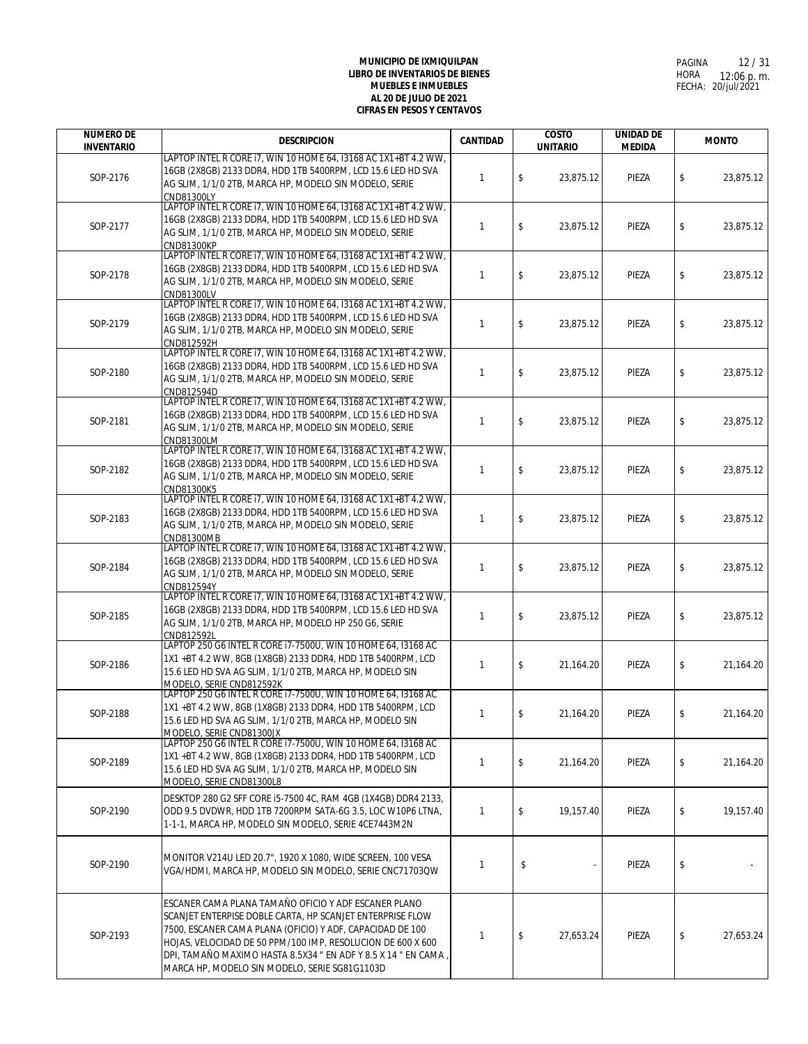| <b>NUMERO DE</b>  | <b>DESCRIPCION</b>                                                                                                                                                                                                                                                                                                                                               | <b>CANTIDAD</b> | <b>COSTO</b>    | <b>UNIDAD DE</b> | <b>MONTO</b>    |
|-------------------|------------------------------------------------------------------------------------------------------------------------------------------------------------------------------------------------------------------------------------------------------------------------------------------------------------------------------------------------------------------|-----------------|-----------------|------------------|-----------------|
| <b>INVENTARIO</b> | LAPTOP INTEL R CORE 17, WIN 10 HOME 64, 13168 AC 1X1+BT 4.2 WW,                                                                                                                                                                                                                                                                                                  |                 | <b>UNITARIO</b> | <b>MEDIDA</b>    |                 |
| SOP-2176          | 16GB (2X8GB) 2133 DDR4, HDD 1TB 5400RPM, LCD 15.6 LED HD SVA<br>AG SLIM, 1/1/0 2TB, MARCA HP, MODELO SIN MODELO, SERIE<br>CND81300LY                                                                                                                                                                                                                             | $\mathbf{1}$    | \$<br>23,875.12 | PIEZA            | \$<br>23,875.12 |
| SOP-2177          | LAPTOP INTEL R CORE 17, WIN 10 HOME 64, 13168 AC 1X1+BT 4.2 WW,<br>16GB (2X8GB) 2133 DDR4, HDD 1TB 5400RPM, LCD 15.6 LED HD SVA<br>AG SLIM, 1/1/0 2TB, MARCA HP, MODELO SIN MODELO, SERIE<br>CND81300KP                                                                                                                                                          | $\mathbf{1}$    | \$<br>23,875.12 | PIEZA            | \$<br>23,875.12 |
| SOP-2178          | LAPTOP INTEL R CORE 17, WIN 10 HOME 64, 13168 AC 1X1+BT 4.2 WW,<br>16GB (2X8GB) 2133 DDR4, HDD 1TB 5400RPM, LCD 15.6 LED HD SVA<br>AG SLIM, 1/1/0 2TB, MARCA HP, MODELO SIN MODELO, SERIE<br>CND81300LV                                                                                                                                                          | $\mathbf{1}$    | \$<br>23,875.12 | PIEZA            | \$<br>23,875.12 |
| SOP-2179          | LAPTOP INTEL R CORE 17, WIN 10 HOME 64, 13168 AC 1X1+BT 4.2 WW,<br>16GB (2X8GB) 2133 DDR4, HDD 1TB 5400RPM, LCD 15.6 LED HD SVA<br>AG SLIM, 1/1/0 2TB, MARCA HP, MODELO SIN MODELO, SERIE<br>CND812592H                                                                                                                                                          | $\mathbf{1}$    | \$<br>23,875.12 | PIEZA            | \$<br>23,875.12 |
| SOP-2180          | LAPTOP INTEL R CORE 17, WIN 10 HOME 64, 13168 AC 1X1+BT 4.2 WW,<br>16GB (2X8GB) 2133 DDR4, HDD 1TB 5400RPM, LCD 15.6 LED HD SVA<br>AG SLIM, 1/1/0 2TB, MARCA HP, MODELO SIN MODELO, SERIE<br>CND812594D                                                                                                                                                          | $\mathbf{1}$    | \$<br>23,875.12 | PIEZA            | \$<br>23,875.12 |
| SOP-2181          | LAPTOP INTEL R CORE 17, WIN 10 HOME 64, 13168 AC 1X1+BT 4.2 WW,<br>16GB (2X8GB) 2133 DDR4, HDD 1TB 5400RPM, LCD 15.6 LED HD SVA<br>AG SLIM, 1/1/0 2TB, MARCA HP, MODELO SIN MODELO, SERIE<br>CND81300LM                                                                                                                                                          | $\mathbf{1}$    | \$<br>23,875.12 | PIEZA            | \$<br>23,875.12 |
| SOP-2182          | LAPTOP INTEL R CORE 17, WIN 10 HOME 64, 13168 AC 1X1+BT 4.2 WW.<br>16GB (2X8GB) 2133 DDR4, HDD 1TB 5400RPM, LCD 15.6 LED HD SVA<br>AG SLIM, 1/1/0 2TB, MARCA HP, MODELO SIN MODELO, SERIE<br>CND81300K5                                                                                                                                                          | $\mathbf{1}$    | \$<br>23,875.12 | PIEZA            | \$<br>23,875.12 |
| SOP-2183          | LAPTOP INTEL R CORE 17, WIN 10 HOME 64, 13168 AC 1X1+BT 4.2 WW,<br>16GB (2X8GB) 2133 DDR4, HDD 1TB 5400RPM, LCD 15.6 LED HD SVA<br>AG SLIM, 1/1/0 2TB, MARCA HP, MODELO SIN MODELO, SERIE<br>CND81300MB                                                                                                                                                          | $\mathbf{1}$    | \$<br>23,875.12 | PIEZA            | \$<br>23,875.12 |
| SOP-2184          | LAPTOP INTEL R CORE 17, WIN 10 HOME 64, 13168 AC 1X1+BT 4.2 WW,<br>16GB (2X8GB) 2133 DDR4, HDD 1TB 5400RPM, LCD 15.6 LED HD SVA<br>AG SLIM, 1/1/0 2TB, MARCA HP, MODELO SIN MODELO, SERIE<br>CND812594Y                                                                                                                                                          | 1               | \$<br>23,875.12 | PIEZA            | \$<br>23,875.12 |
| SOP-2185          | LAPTOP INTEL R CORE 17, WIN 10 HOME 64, 13168 AC 1X1+BT 4.2 WW,<br>16GB (2X8GB) 2133 DDR4, HDD 1TB 5400RPM, LCD 15.6 LED HD SVA<br>AG SLIM, 1/1/0 2TB, MARCA HP, MODELO HP 250 G6, SERIE<br>CND812592L                                                                                                                                                           | $\mathbf{1}$    | \$<br>23,875.12 | PIEZA            | \$<br>23,875.12 |
| SOP-2186          | LAPTOP 250 G6 INTEL R CORE 17-7500U, WIN 10 HOME 64, I3168 AC<br>1X1 +BT 4.2 WW, 8GB (1X8GB) 2133 DDR4, HDD 1TB 5400RPM, LCD<br>15.6 LED HD SVA AG SLIM, 1/1/0 2TB, MARCA HP, MODELO SIN<br>MODELO, SERIE CND812592K                                                                                                                                             | $\mathbf{1}$    | \$<br>21,164.20 | PIEZA            | \$<br>21,164.20 |
| SOP-2188          | LAPTOP 250 G6 INTEL R CORE 17-7500U, WIN 10 HOME 64, I3168 AC<br>1X1+BT 4.2 WW, 8GB (1X8GB) 2133 DDR4, HDD 1TB 5400RPM, LCD<br>15.6 LED HD SVA AG SLIM, 1/1/0 2TB, MARCA HP, MODELO SIN<br>MODELO, SERIE CND81300JX                                                                                                                                              | 1               | \$<br>21,164.20 | PIEZA            | \$<br>21,164.20 |
| SOP-2189          | LAPTOP 250 G6 INTEL R CORE 17-7500U, WIN 10 HOME 64, 13168 AC<br>1X1 +BT 4.2 WW, 8GB (1X8GB) 2133 DDR4, HDD 1TB 5400RPM, LCD<br>15.6 LED HD SVA AG SLIM, 1/1/0 2TB, MARCA HP, MODELO SIN<br>MODELO, SERIE CND81300L8                                                                                                                                             | 1               | \$<br>21,164.20 | PIEZA            | \$<br>21,164.20 |
| SOP-2190          | DESKTOP 280 G2 SFF CORE 15-7500 4C, RAM 4GB (1X4GB) DDR4 2133,<br>ODD 9.5 DVDWR, HDD 1TB 7200RPM SATA-6G 3.5, LOC W10P6 LTNA,<br>1-1-1, MARCA HP, MODELO SIN MODELO, SERIE 4CE7443M2N                                                                                                                                                                            | $\mathbf{1}$    | \$<br>19,157.40 | PIEZA            | \$<br>19,157.40 |
| SOP-2190          | MONITOR V214U LED 20.7", 1920 X 1080, WIDE SCREEN, 100 VESA<br>VGA/HDMI, MARCA HP, MODELO SIN MODELO, SERIE CNC71703QW                                                                                                                                                                                                                                           | $\mathbf{1}$    | \$              | PIEZA            | \$              |
| SOP-2193          | ESCANER CAMA PLANA TAMAÑO OFICIO Y ADF ESCANER PLANO<br>SCANJET ENTERPISE DOBLE CARTA, HP SCANJET ENTERPRISE FLOW<br>7500, ESCANER CAMA PLANA (OFICIO) Y ADF, CAPACIDAD DE 100<br>HOJAS, VELOCIDAD DE 50 PPM/100 IMP, RESOLUCION DE 600 X 600<br>DPI, TAMAÑO MAXIMO HASTA 8.5X34 " EN ADF Y 8.5 X 14 " EN CAMA,<br>MARCA HP, MODELO SIN MODELO, SERIE SG81G1103D | $\mathbf{1}$    | \$<br>27,653.24 | PIEZA            | \$<br>27,653.24 |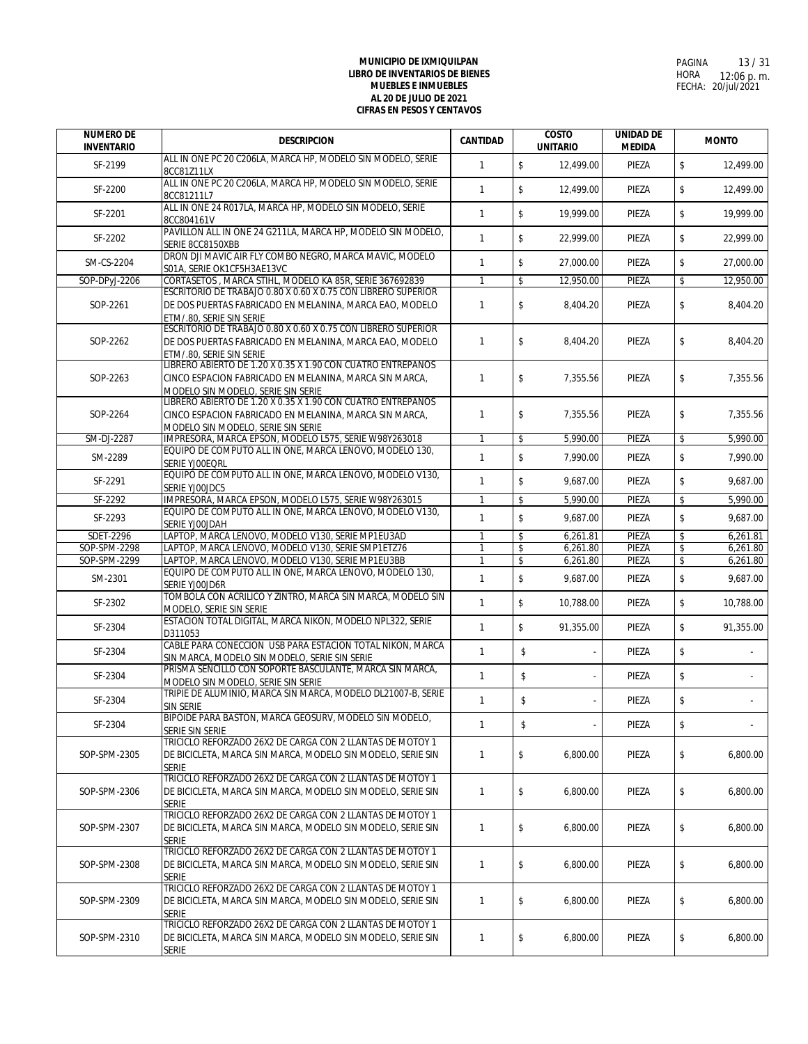| <b>NUMERO DE</b><br><b>INVENTARIO</b> | <b>DESCRIPCION</b>                                                                                                                                          | <b>CANTIDAD</b>                | <b>COSTO</b><br><b>UNITARIO</b>      | <b>UNIDAD DE</b><br><b>MEDIDA</b> |          | <b>MONTO</b>         |  |
|---------------------------------------|-------------------------------------------------------------------------------------------------------------------------------------------------------------|--------------------------------|--------------------------------------|-----------------------------------|----------|----------------------|--|
| SF-2199                               | ALL IN ONE PC 20 C206LA, MARCA HP, MODELO SIN MODELO, SERIE<br>8CC81Z11LX                                                                                   | $\mathbf{1}$                   | $\mathsf{\$}$<br>12,499.00           | PIEZA                             | \$       | 12,499.00            |  |
| SF-2200                               | ALL IN ONE PC 20 C206LA, MARCA HP, MODELO SIN MODELO, SERIE<br>8CC81211L7                                                                                   | $\mathbf{1}$                   | $\mathsf{\$}$<br>12,499.00           | PIEZA                             | \$       | 12,499.00            |  |
| SF-2201                               | ALL IN ONE 24 R017LA, MARCA HP, MODELO SIN MODELO, SERIE<br>8CC804161V                                                                                      | $\mathbf{1}$                   | $\sqrt[6]{\frac{1}{2}}$<br>19,999.00 | PIEZA                             | \$       | 19,999.00            |  |
| SF-2202                               | PAVILLON ALL IN ONE 24 G211LA, MARCA HP, MODELO SIN MODELO,<br>SERIE 8CC8150XBB                                                                             | $\mathbf{1}$                   | $\mathsf S$<br>22,999.00             | PIEZA                             | \$       | 22,999.00            |  |
| SM-CS-2204                            | DRON DJI MAVIC AIR FLY COMBO NEGRO, MARCA MAVIC, MODELO<br>S01A. SERIE OK1CF5H3AE13VC                                                                       | $\mathbf{1}$                   | $\mathsf S$<br>27,000.00             | PIEZA                             | \$       | 27,000.00            |  |
| SOP-DPyJ-2206                         | CORTASETOS, MARCA STIHL, MODELO KA 85R, SERIE 367692839                                                                                                     | $\mathbf{1}$                   | \$<br>12,950.00                      | PIEZA                             | \$       | 12,950.00            |  |
| SOP-2261                              | ESCRITORIO DE TRABAJO 0.80 X 0.60 X 0.75 CON LIBRERO SUPERIOR<br>DE DOS PUERTAS FABRICADO EN MELANINA, MARCA EAO, MODELO<br>ETM/.80, SERIE SIN SERIE        | $\mathbf{1}$                   | \$<br>8,404.20                       | PIEZA                             | \$       | 8,404.20             |  |
| SOP-2262                              | ESCRITORIO DE TRABAJO 0.80 X 0.60 X 0.75 CON LIBRERO SUPERIOR<br>DE DOS PUERTAS FABRICADO EN MELANINA, MARCA EAO, MODELO<br>ETM/.80, SERIE SIN SERIE        | $\mathbf{1}$                   | \$<br>8,404.20                       | PIEZA                             | \$       | 8,404.20             |  |
| SOP-2263                              | LIBRERO ABIERTO DE 1.20 X 0.35 X 1.90 CON CUATRO ENTREPAÑOS<br>CINCO ESPACION FABRICADO EN MELANINA, MARCA SIN MARCA,<br>MODELO SIN MODELO, SERIE SIN SERIE | $\mathbf{1}$                   | \$<br>7,355.56                       | PIEZA                             | \$       | 7,355.56             |  |
| SOP-2264                              | LIBRERO ABIERTO DE 1.20 X 0.35 X 1.90 CON CUATRO ENTREPAÑOS<br>CINCO ESPACION FABRICADO EN MELANINA, MARCA SIN MARCA,                                       | $\mathbf{1}$                   | \$<br>7,355.56                       | PIEZA                             | \$       | 7,355.56             |  |
| SM-DJ-2287                            | MODELO SIN MODELO, SERIE SIN SERIE<br>IMPRESORA, MARCA EPSON, MODELO L575, SERIE W98Y263018                                                                 | $\mathbf{1}$                   | \$<br>5,990.00                       | PIEZA                             | \$       | 5,990.00             |  |
| SM-2289                               | EQUIPO DE COMPUTO ALL IN ONE, MARCA LENOVO, MODELO 130,<br>SERIE YJOOEORL                                                                                   | $\mathbf{1}$                   | $\mathsf{\$}$<br>7.990.00            | PIEZA                             | \$       | 7,990.00             |  |
| SF-2291                               | EQUIPO DE COMPUTO ALL IN ONE, MARCA LENOVO, MODELO V130,<br>SERIE YJOOJDC5                                                                                  | $\mathbf{1}$                   | \$<br>9,687.00                       | PIEZA                             | \$       | 9,687.00             |  |
| SF-2292                               | IMPRESORA, MARCA EPSON, MODELO L575, SERIE W98Y263015                                                                                                       | $\mathbf{1}$                   | \$<br>5,990.00                       | PIEZA                             | \$       | 5,990.00             |  |
| SF-2293                               | EQUIPO DE COMPUTO ALL IN ONE, MARCA LENOVO, MODELO V130,<br>SERIE YJOOJDAH                                                                                  | $\mathbf{1}$                   | \$<br>9,687.00                       | PIEZA                             | \$       | 9,687.00             |  |
| <b>SDET-2296</b>                      | LAPTOP, MARCA LENOVO, MODELO V130, SERIE MP1EU3AD                                                                                                           | $\mathbf{1}$                   | \$<br>6,261.81                       | PIEZA                             | \$       | 6,261.81             |  |
| SOP-SPM-2298                          | LAPTOP, MARCA LENOVO, MODELO V130, SERIE SMP1ETZ76                                                                                                          | $\mathbf{1}$                   | \$<br>6,261.80                       | PIEZA                             | \$       | 6,261.80             |  |
| SOP-SPM-2299<br>SM-2301               | LAPTOP, MARCA LENOVO, MODELO V130, SERIE MP1EU3BB<br>EQUIPO DE COMPUTO ALL IN ONE, MARCA LENOVO, MODELO 130,<br>SERIE YJOOJD6R                              | $\overline{1}$<br>$\mathbf{1}$ | \$<br>6,261.80<br>\$<br>9,687.00     | PIEZA<br>PIEZA                    | \$<br>\$ | 6,261.80<br>9,687.00 |  |
| SF-2302                               | TOMBOLA CON ACRILICO Y ZINTRO, MARCA SIN MARCA, MODELO SIN<br>MODELO, SERIE SIN SERIE                                                                       | $\mathbf{1}$                   | $\sqrt[6]{\frac{1}{2}}$<br>10,788.00 | PIEZA                             | \$       | 10,788.00            |  |
| SF-2304                               | ESTACION TOTAL DIGITAL, MARCA NIKON, MODELO NPL322, SERIE<br>D311053                                                                                        | $\mathbf{1}$                   | $\sqrt[6]{\frac{1}{2}}$<br>91,355.00 | PIEZA                             | \$       | 91,355.00            |  |
| SF-2304                               | CABLE PARA CONECCION USB PARA ESTACION TOTAL NIKON, MARCA<br>SIN MARCA, MODELO SIN MODELO, SERIE SIN SERIE                                                  | $\mathbf{1}$                   | \$                                   | PIEZA                             | \$       |                      |  |
| SF-2304                               | PRISMA SENCILLO CON SOPORTE BASCULANTE, MARCA SIN MARCA,<br>MODELO SIN MODELO, SERIE SIN SERIE                                                              | $\mathbf{1}$                   | \$                                   | PIEZA                             | \$       |                      |  |
| SF-2304                               | TRIPIE DE ALUMINIO, MARCA SIN MARCA, MODELO DL21007-B, SERIE<br>SIN SERIE                                                                                   | $\mathbf{1}$                   | \$                                   | PIEZA                             | \$       |                      |  |
| SF-2304                               | BIPOIDE PARA BASTON, MARCA GEOSURV, MODELO SIN MODELO,<br>SERIE SIN SERIE                                                                                   | $\mathbf{1}$                   | \$<br>$\overline{\phantom{a}}$       | PIEZA                             | \$       |                      |  |
| SOP-SPM-2305                          | TRICICLO REFORZADO 26X2 DE CARGA CON 2 LLANTAS DE MOTOY 1<br>DE BICICLETA, MARCA SIN MARCA, MODELO SIN MODELO, SERIE SIN<br>SERIE                           | $\mathbf{1}$                   | \$<br>6,800.00                       | PIEZA                             | \$       | 6,800.00             |  |
| SOP-SPM-2306                          | TRICICLO REFORZADO 26X2 DE CARGA CON 2 LLANTAS DE MOTOY 1<br>DE BICICLETA, MARCA SIN MARCA, MODELO SIN MODELO, SERIE SIN<br><b>SERIE</b>                    | $\mathbf{1}$                   | \$<br>6,800.00                       | PIEZA                             | \$       | 6,800.00             |  |
| SOP-SPM-2307                          | TRICICLO REFORZADO 26X2 DE CARGA CON 2 LLANTAS DE MOTOY 1<br>DE BICICLETA, MARCA SIN MARCA, MODELO SIN MODELO, SERIE SIN<br><b>SERIE</b>                    | $\mathbf{1}$                   | \$<br>6,800.00                       | PIEZA                             | \$       | 6,800.00             |  |
| SOP-SPM-2308                          | TRICICLO REFORZADO 26X2 DE CARGA CON 2 LLANTAS DE MOTOY 1<br>DE BICICLETA, MARCA SIN MARCA, MODELO SIN MODELO, SERIE SIN<br><b>SERIE</b>                    | $\mathbf{1}$                   | \$<br>6,800.00                       | PIEZA                             | \$       | 6,800.00             |  |
| SOP-SPM-2309                          | TRICICLO REFORZADO 26X2 DE CARGA CON 2 LLANTAS DE MOTOY 1<br>DE BICICLETA, MARCA SIN MARCA, MODELO SIN MODELO, SERIE SIN<br><b>SERIE</b>                    | $\mathbf{1}$                   | \$<br>6,800.00                       | PIEZA                             | \$       | 6,800.00             |  |
| SOP-SPM-2310                          | TRICICLO REFORZADO 26X2 DE CARGA CON 2 LLANTAS DE MOTOY 1<br>DE BICICLETA, MARCA SIN MARCA, MODELO SIN MODELO, SERIE SIN<br>SERIE                           | $\mathbf{1}$                   | \$<br>6,800.00                       | PIEZA                             | \$       | 6,800.00             |  |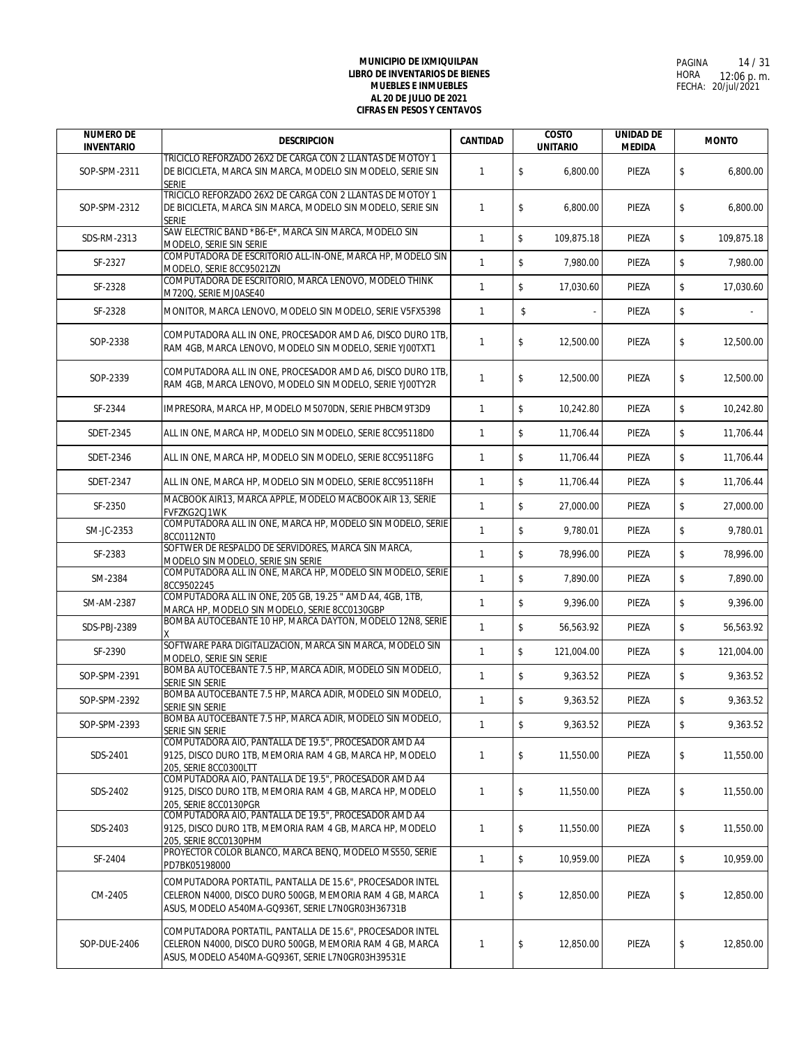| <b>NUMERO DE</b><br><b>INVENTARIO</b> | <b>DESCRIPCION</b>                                                                                                                                                         | <b>CANTIDAD</b> | <b>COSTO</b><br><b>UNITARIO</b>      | <b>UNIDAD DE</b><br><b>MEDIDA</b> | <b>MONTO</b>     |
|---------------------------------------|----------------------------------------------------------------------------------------------------------------------------------------------------------------------------|-----------------|--------------------------------------|-----------------------------------|------------------|
| SOP-SPM-2311                          | TRICICLO REFORZADO 26X2 DE CARGA CON 2 LLANTAS DE MOTOY 1<br>DE BICICLETA, MARCA SIN MARCA, MODELO SIN MODELO, SERIE SIN<br><b>SERIE</b>                                   | $\mathbf{1}$    | \$<br>6,800.00                       | PIEZA                             | \$<br>6.800.00   |
| SOP-SPM-2312                          | TRICICLO REFORZADO 26X2 DE CARGA CON 2 LLANTAS DE MOTOY 1<br>DE BICICLETA, MARCA SIN MARCA, MODELO SIN MODELO, SERIE SIN<br><b>SERIE</b>                                   | $\mathbf{1}$    | \$<br>6.800.00                       | PIEZA                             | \$<br>6,800.00   |
| SDS-RM-2313                           | SAW ELECTRIC BAND *B6-E*, MARCA SIN MARCA, MODELO SIN<br>MODELO, SERIE SIN SERIE                                                                                           | $\mathbf{1}$    | $\mathbb S$<br>109,875.18            | PIEZA                             | \$<br>109,875.18 |
| SF-2327                               | COMPUTADORA DE ESCRITORIO ALL-IN-ONE, MARCA HP, MODELO SIN<br>MODELO, SERIE 8CC95021ZN                                                                                     | $\mathbf{1}$    | \$<br>7,980.00                       | PIEZA                             | \$<br>7,980.00   |
| SF-2328                               | COMPUTADORA DE ESCRITORIO, MARCA LENOVO, MODELO THINK<br>M720Q, SERIE MJ0ASE40                                                                                             | $\mathbf{1}$    | \$<br>17,030.60                      | PIEZA                             | \$<br>17,030.60  |
| SF-2328                               | MONITOR, MARCA LENOVO, MODELO SIN MODELO, SERIE V5FX5398                                                                                                                   | $\mathbf{1}$    | \$                                   | PIEZA                             | \$               |
| SOP-2338                              | COMPUTADORA ALL IN ONE, PROCESADOR AMD A6, DISCO DURO 1TB,<br>RAM 4GB, MARCA LENOVO, MODELO SIN MODELO, SERIE YJ00TXT1                                                     | $\mathbf{1}$    | \$<br>12,500.00                      | PIEZA                             | \$<br>12,500.00  |
| SOP-2339                              | COMPUTADORA ALL IN ONE, PROCESADOR AMD A6, DISCO DURO 1TB,<br>RAM 4GB, MARCA LENOVO, MODELO SIN MODELO, SERIE YJ00TY2R                                                     | $\mathbf{1}$    | \$<br>12,500.00                      | PIEZA                             | \$<br>12,500.00  |
| SF-2344                               | IMPRESORA, MARCA HP, MODELO M5070DN, SERIE PHBCM9T3D9                                                                                                                      | $\mathbf{1}$    | $\mathsf{\$}$<br>10,242.80           | PIEZA                             | \$<br>10,242.80  |
| SDET-2345                             | ALL IN ONE, MARCA HP, MODELO SIN MODELO, SERIE 8CC95118D0                                                                                                                  | $\mathbf{1}$    | $\mathsf{\$}$<br>11,706.44           | PIEZA                             | \$<br>11,706.44  |
| SDET-2346                             | ALL IN ONE, MARCA HP, MODELO SIN MODELO, SERIE 8CC95118FG                                                                                                                  | $\mathbf{1}$    | $\mathsf{\$}$<br>11,706.44           | PIEZA                             | \$<br>11,706.44  |
| SDET-2347                             | ALL IN ONE, MARCA HP, MODELO SIN MODELO, SERIE 8CC95118FH                                                                                                                  | $\mathbf{1}$    | $\sqrt[6]{\frac{1}{2}}$<br>11,706.44 | PIEZA                             | \$<br>11,706.44  |
| SF-2350                               | MACBOOK AIR13, MARCA APPLE, MODELO MACBOOK AIR 13, SERIE<br>FVFZKG2CJ1WK                                                                                                   | $\mathbf{1}$    | \$<br>27,000.00                      | PIEZA                             | \$<br>27,000.00  |
| SM-JC-2353                            | COMPUTADORA ALL IN ONE, MARCA HP, MODELO SIN MODELO, SERIE<br>8CC0112NT0                                                                                                   | $\mathbf{1}$    | \$<br>9,780.01                       | PIEZA                             | \$<br>9,780.01   |
| SF-2383                               | SOFTWER DE RESPALDO DE SERVIDORES, MARCA SIN MARCA,<br>MODELO SIN MODELO, SERIE SIN SERIE                                                                                  | $\mathbf{1}$    | $\mathsf{\$}$<br>78,996.00           | PIEZA                             | \$<br>78,996.00  |
| SM-2384                               | COMPUTADORA ALL IN ONE, MARCA HP, MODELO SIN MODELO, SERIE<br>8CC9502245                                                                                                   | $\mathbf{1}$    | \$<br>7,890.00                       | PIEZA                             | \$<br>7,890.00   |
| SM-AM-2387                            | COMPUTADORA ALL IN ONE, 205 GB, 19.25 " AMD A4, 4GB, 1TB,<br>MARCA HP, MODELO SIN MODELO, SERIE 8CC0130GBP                                                                 | $\mathbf{1}$    | \$<br>9,396.00                       | PIEZA                             | \$<br>9,396.00   |
| SDS-PBJ-2389                          | BOMBA AUTOCEBANTE 10 HP, MARCA DAYTON, MODELO 12N8, SERIE                                                                                                                  | $\mathbf{1}$    | \$<br>56,563.92                      | PIEZA                             | \$<br>56,563.92  |
| SF-2390                               | SOFTWARE PARA DIGITALIZACION, MARCA SIN MARCA, MODELO SIN<br>MODELO, SERIE SIN SERIE                                                                                       | $\mathbf{1}$    | \$<br>121,004.00                     | PIEZA                             | \$<br>121,004.00 |
| SOP-SPM-2391                          | BOMBA AUTOCEBANTE 7.5 HP, MARCA ADIR, MODELO SIN MODELO,<br>SERIE SIN SERIE                                                                                                | $\mathbf{1}$    | $\mathbb S$<br>9,363.52              | PIEZA                             | \$<br>9,363.52   |
| SOP-SPM-2392                          | BOMBA AUTOCEBANTE 7.5 HP, MARCA ADIR, MODELO SIN MODELO,<br>SERIE SIN SERIE                                                                                                | $\mathbf{1}$    | \$<br>9,363.52                       | PIEZA                             | \$<br>9,363.52   |
| SOP-SPM-2393                          | BOMBA AUTOCEBANTE 7.5 HP, MARCA ADIR, MODELO SIN MODELO,<br>SERIE SIN SERIE                                                                                                | $\mathbf{1}$    | \$<br>9,363.52                       | PIEZA                             | \$<br>9,363.52   |
| SDS-2401                              | COMPUTADORA AIO, PANTALLA DE 19.5", PROCESADOR AMD A4<br>9125, DISCO DURO 1TB, MEMORIA RAM 4 GB, MARCA HP, MODELO<br>205, SERIE 8CC0300LTT                                 | $\mathbf{1}$    | \$<br>11,550.00                      | PIEZA                             | \$<br>11,550.00  |
| SDS-2402                              | COMPUTADORA AIO, PANTALLA DE 19.5", PROCESADOR AMD A4<br>9125, DISCO DURO 1TB, MEMORIA RAM 4 GB, MARCA HP, MODELO<br>205, SERIE 8CC0130PGR                                 | $\overline{1}$  | \$<br>11,550.00                      | PIEZA                             | \$<br>11,550.00  |
| SDS-2403                              | COMPUTADORA AIO, PANTALLA DE 19.5", PROCESADOR AMD A4<br>9125, DISCO DURO 1TB, MEMORIA RAM 4 GB, MARCA HP, MODELO<br>205. SERIE 8CC0130PHM                                 | 1               | \$<br>11,550.00                      | PIEZA                             | \$<br>11,550.00  |
| SF-2404                               | PROYECTOR COLOR BLANCO, MARCA BENO, MODELO MS550, SERIE<br>PD7BK05198000                                                                                                   | $\mathbf{1}$    | \$<br>10,959.00                      | PIEZA                             | \$<br>10,959.00  |
| CM-2405                               | COMPUTADORA PORTATIL, PANTALLA DE 15.6", PROCESADOR INTEL<br>CELERON N4000, DISCO DURO 500GB, MEMORIA RAM 4 GB, MARCA<br>ASUS, MODELO A540MA-GQ936T, SERIE L7N0GR03H36731B | $\mathbf{1}$    | \$<br>12,850.00                      | PIEZA                             | \$<br>12,850.00  |
| SOP-DUE-2406                          | COMPUTADORA PORTATIL, PANTALLA DE 15.6", PROCESADOR INTEL<br>CELERON N4000, DISCO DURO 500GB, MEMORIA RAM 4 GB, MARCA<br>ASUS, MODELO A540MA-GQ936T, SERIE L7N0GR03H39531E | $\mathbf{1}$    | \$<br>12,850.00                      | PIEZA                             | \$<br>12,850.00  |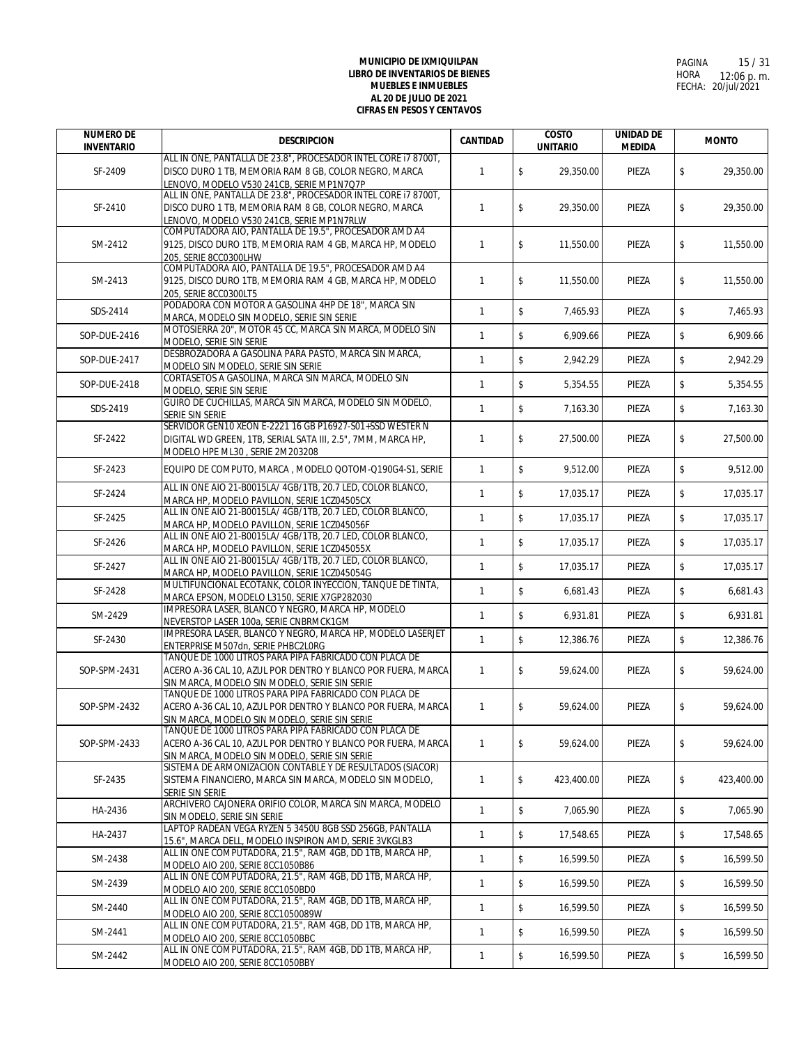| <b>NUMERO DE</b><br><b>INVENTARIO</b> | <b>DESCRIPCION</b>                                                                                                                                                                                                       | <b>CANTIDAD</b> | <b>COSTO</b><br><b>UNITARIO</b>      | <b>UNIDAD DE</b><br><b>MEDIDA</b> |    | <b>MONTO</b> |
|---------------------------------------|--------------------------------------------------------------------------------------------------------------------------------------------------------------------------------------------------------------------------|-----------------|--------------------------------------|-----------------------------------|----|--------------|
| SF-2409                               | ALL IN ONE, PANTALLA DE 23.8", PROCESADOR INTEL CORE 17 8700T,<br>DISCO DURO 1 TB, MEMORIA RAM 8 GB, COLOR NEGRO, MARCA<br>LENOVO, MODELO V530 241CB, SERIE MP1N7Q7P                                                     | $\mathbf{1}$    | \$<br>29,350.00                      | PIEZA                             | \$ | 29.350.00    |
| SF-2410                               | ALL IN ONE, PANTALLA DE 23.8", PROCESADOR INTEL CORE 17 8700T,<br>DISCO DURO 1 TB, MEMORIA RAM 8 GB, COLOR NEGRO, MARCA<br>LENOVO, MODELO V530 241CB, SERIE MP1N7RLW                                                     | $\mathbf{1}$    | \$<br>29,350.00                      | PIEZA                             | \$ | 29,350.00    |
| SM-2412                               | COMPUTADORA AIO, PANTALLA DE 19.5", PROCESADOR AMD A4<br>9125, DISCO DURO 1TB, MEMORIA RAM 4 GB, MARCA HP, MODELO<br>205. SERIE 8CC0300LHW                                                                               | $\mathbf{1}$    | \$<br>11,550.00                      | PIEZA                             | \$ | 11,550.00    |
| SM-2413                               | COMPUTADORA AIO, PANTALLA DE 19.5", PROCESADOR AMD A4<br>9125, DISCO DURO 1TB, MEMORIA RAM 4 GB, MARCA HP, MODELO<br>205. SERIE 8CC0300LT5                                                                               | $\mathbf{1}$    | \$<br>11,550.00                      | PIEZA                             | \$ | 11,550.00    |
| SDS-2414                              | PODADORA CON MOTOR A GASOLINA 4HP DE 18", MARCA SIN<br>MARCA, MODELO SIN MODELO, SERIE SIN SERIE                                                                                                                         | $\mathbf{1}$    | \$<br>7,465.93                       | PIEZA                             | \$ | 7,465.93     |
| SOP-DUE-2416                          | MOTOSIERRA 20", MOTOR 45 CC, MARCA SIN MARCA, MODELO SIN<br>MODELO, SERIE SIN SERIE                                                                                                                                      | $\mathbf{1}$    | \$<br>6,909.66                       | PIEZA                             | \$ | 6,909.66     |
| SOP-DUE-2417                          | DESBROZADORA A GASOLINA PARA PASTO, MARCA SIN MARCA,<br>MODELO SIN MODELO, SERIE SIN SERIE                                                                                                                               | $\mathbf{1}$    | \$<br>2,942.29                       | PIEZA                             | \$ | 2,942.29     |
| SOP-DUE-2418                          | CORTASETOS A GASOLINA, MARCA SIN MARCA, MODELO SIN<br>MODELO, SERIE SIN SERIE                                                                                                                                            | $\mathbf{1}$    | \$<br>5,354.55                       | PIEZA                             | \$ | 5,354.55     |
| SDS-2419                              | GUIRO DE CUCHILLAS, MARCA SIN MARCA, MODELO SIN MODELO,<br>SERIE SIN SERIE                                                                                                                                               | $\mathbf{1}$    | \$<br>7.163.30                       | PIEZA                             | \$ | 7,163.30     |
| SF-2422                               | SERVIDOR GEN10 XEON E-2221 16 GB P16927-S01+SSD WESTER N<br>DIGITAL WD GREEN, 1TB, SERIAL SATA III, 2.5", 7MM, MARCA HP,<br>MODELO HPE ML30, SERIE 2M203208                                                              | $\mathbf{1}$    | \$<br>27,500.00                      | PIEZA                             | \$ | 27,500.00    |
| SF-2423                               | EQUIPO DE COMPUTO, MARCA, MODELO QOTOM-Q190G4-S1, SERIE                                                                                                                                                                  | $\mathbf{1}$    | $\mathbb S$<br>9,512.00              | PIEZA                             | \$ | 9,512.00     |
| SF-2424                               | ALL IN ONE AIO 21-B0015LA/ 4GB/1TB, 20.7 LED, COLOR BLANCO,<br>MARCA HP, MODELO PAVILLON, SERIE 1CZ04505CX                                                                                                               | $\mathbf{1}$    | \$<br>17,035.17                      | PIEZA                             | \$ | 17,035.17    |
| SF-2425                               | ALL IN ONE AIO 21-B0015LA/ 4GB/1TB, 20.7 LED, COLOR BLANCO,<br>MARCA HP, MODELO PAVILLON, SERIE 1CZ045056F                                                                                                               | $\mathbf{1}$    | $\mathsf{\$}$<br>17,035.17           | PIEZA                             | \$ | 17,035.17    |
| SF-2426                               | ALL IN ONE AIO 21-B0015LA/ 4GB/1TB, 20.7 LED, COLOR BLANCO,<br>MARCA HP, MODELO PAVILLON, SERIE 1CZ045055X                                                                                                               | $\mathbf{1}$    | $\,$<br>17,035.17                    | PIEZA                             | \$ | 17,035.17    |
| SF-2427                               | ALL IN ONE AIO 21-B0015LA/ 4GB/1TB, 20.7 LED, COLOR BLANCO,<br>MARCA HP, MODELO PAVILLON, SERIE 1CZ045054G                                                                                                               | $\mathbf{1}$    | $\mathsf{\$}$<br>17,035.17           | PIEZA                             | \$ | 17,035.17    |
| SF-2428                               | MULTIFUNCIONAL ECOTANK, COLOR INYECCION, TANQUE DE TINTA,<br>MARCA EPSON, MODELO L3150, SERIE X7GP282030                                                                                                                 | $\mathbf{1}$    | $\mathbb S$<br>6,681.43              | PIEZA                             | \$ | 6,681.43     |
| SM-2429                               | IMPRESORA LASER, BLANCO Y NEGRO, MARCA HP, MODELO<br>NEVERSTOP LASER 100a, SERIE CNBRMCK1GM                                                                                                                              | $\mathbf{1}$    | $\mathbb S$<br>6,931.81              | PIEZA                             | \$ | 6,931.81     |
| SF-2430                               | IMPRESORA LASER, BLANCO Y NEGRO, MARCA HP, MODELO LASERJET<br>ENTERPRISE M507dn, SERIE PHBC2L0RG                                                                                                                         | $\mathbf{1}$    | \$<br>12,386.76                      | PIEZA                             | \$ | 12,386.76    |
| SOP-SPM-2431                          | TANQUE DE 1000 LITROS PARA PIPA FABRICADO CON PLACA DE<br>ACERO A-36 CAL 10, AZUL POR DENTRO Y BLANCO POR FUERA, MARCA                                                                                                   | $\mathbf{1}$    | \$<br>59.624.00                      | PIEZA                             | \$ | 59,624.00    |
| SOP-SPM-2432                          | SIN MARCA, MODELO SIN MODELO, SERIE SIN SERIE<br>TANQUE DE 1000 LITROS PARA PIPA FABRICADO CON PLACA DE<br>ACERO A-36 CAL 10, AZUL POR DENTRO Y BLANCO POR FUERA, MARCA                                                  | $\mathbf{1}$    | \$<br>59,624.00                      | PIEZA                             | \$ | 59,624.00    |
| SOP-SPM-2433                          | SIN MARCA, MODELO SIN MODELO, SERIE SIN SERIE<br>TANQUE DE 1000 LITROS PARA PIPA FABRICADO CON PLACA DE<br>ACERO A-36 CAL 10, AZUL POR DENTRO Y BLANCO POR FUERA, MARCA<br>SIN MARCA, MODELO SIN MODELO, SERIE SIN SERIE | $\mathbf{1}$    | \$<br>59,624.00                      | PIEZA                             | \$ | 59.624.00    |
| SF-2435                               | SISTEMA DE ARMONIZACION CONTABLE Y DE RESULTADOS (SIACOR)<br>SISTEMA FINANCIERO, MARCA SIN MARCA, MODELO SIN MODELO,<br>SERIE SIN SERIE                                                                                  | $\mathbf{1}$    | \$<br>423,400.00                     | PIEZA                             | \$ | 423,400.00   |
| HA-2436                               | ARCHIVERO CAJONERA ORIFIO COLOR, MARCA SIN MARCA, MODELO<br>SIN MODELO, SERIE SIN SERIE                                                                                                                                  | $\mathbf{1}$    | \$<br>7,065.90                       | PIEZA                             | \$ | 7,065.90     |
| HA-2437                               | LAPTOP RADEAN VEGA RYZEN 5 3450U 8GB SSD 256GB, PANTALLA<br>15.6", MARCA DELL, MODELO INSPIRON AMD, SERIE 3VKGLB3                                                                                                        | $\mathbf{1}$    | $\sqrt[6]{\frac{1}{2}}$<br>17,548.65 | PIEZA                             | \$ | 17,548.65    |
| SM-2438                               | ALL IN ONE COMPUTADORA, 21.5", RAM 4GB, DD 1TB, MARCA HP,<br>MODELO AIO 200, SERIE 8CC1050B86                                                                                                                            | $\mathbf{1}$    | $\sqrt[6]{\frac{1}{2}}$<br>16,599.50 | PIEZA                             | \$ | 16,599.50    |
| SM-2439                               | ALL IN ONE COMPUTADORA, 21.5", RAM 4GB, DD 1TB, MARCA HP,<br>MODELO AIO 200, SERIE 8CC1050BD0                                                                                                                            | $\mathbf{1}$    | $$\mathbb{S}$$<br>16,599.50          | PIEZA                             | \$ | 16.599.50    |
| SM-2440                               | ALL IN ONE COMPUTADORA, 21.5", RAM 4GB, DD 1TB, MARCA HP,                                                                                                                                                                | $\mathbf{1}$    | $\mathsf{\$}$<br>16,599.50           | PIEZA                             | \$ | 16,599.50    |
| SM-2441                               | MODELO AIO 200, SERIE 8CC1050089W<br>ALL IN ONE COMPUTADORA, 21.5", RAM 4GB, DD 1TB, MARCA HP,                                                                                                                           | $\mathbf{1}$    | \$<br>16,599.50                      | PIEZA                             | \$ | 16,599.50    |
| SM-2442                               | MODELO AIO 200, SERIE 8CC1050BBC<br>ALL IN ONE COMPUTADORA, 21.5", RAM 4GB, DD 1TB, MARCA HP,<br>MODELO AIO 200, SERIE 8CC1050BBY                                                                                        | $\mathbf{1}$    | $\,$<br>16,599.50                    | PIEZA                             | \$ | 16,599.50    |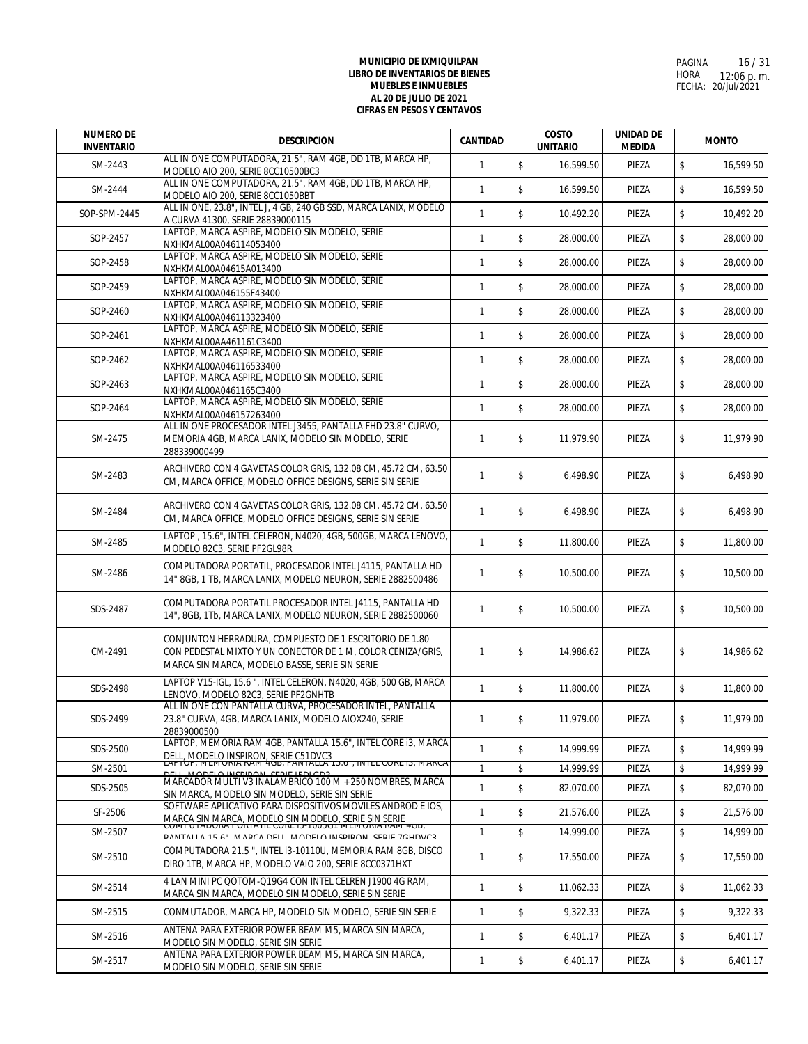| <b>NUMERO DE</b><br><b>INVENTARIO</b> | <b>DESCRIPCION</b>                                                                                                                                                          | <b>CANTIDAD</b> | <b>COSTO</b><br><b>UNITARIO</b> | <b>UNIDAD DE</b><br><b>MEDIDA</b> | <b>MONTO</b> |           |
|---------------------------------------|-----------------------------------------------------------------------------------------------------------------------------------------------------------------------------|-----------------|---------------------------------|-----------------------------------|--------------|-----------|
| SM-2443                               | ALL IN ONE COMPUTADORA, 21.5", RAM 4GB, DD 1TB, MARCA HP,<br>MODELO AIO 200, SERIE 8CC10500BC3                                                                              | $\mathbf{1}$    | $$\mathbb{S}$$<br>16,599.50     | PIEZA                             | \$           | 16.599.50 |
| SM-2444                               | ALL IN ONE COMPUTADORA, 21.5", RAM 4GB, DD 1TB, MARCA HP,<br>MODELO AIO 200, SERIE 8CC1050BBT                                                                               | $\mathbf{1}$    | \$<br>16,599.50                 | PIEZA                             | \$           | 16,599.50 |
| SOP-SPM-2445                          | ALL IN ONE, 23.8", INTEL J, 4 GB, 240 GB SSD, MARCA LANIX, MODELO<br>A CURVA 41300, SERIE 28839000115                                                                       | $\mathbf{1}$    | \$<br>10,492.20                 | PIEZA                             | \$           | 10.492.20 |
| SOP-2457                              | LAPTOP, MARCA ASPIRE, MODELO SIN MODELO, SERIE<br>NXHKMAL00A046114053400                                                                                                    | $\mathbf{1}$    | $\mathsf{\$}$<br>28,000.00      | PIEZA                             | \$           | 28,000.00 |
| SOP-2458                              | LAPTOP, MARCA ASPIRE, MODELO SIN MODELO, SERIE<br>NXHKMAL00A04615A013400                                                                                                    | $\mathbf{1}$    | \$<br>28,000.00                 | PIEZA                             | \$           | 28,000.00 |
| SOP-2459                              | LAPTOP, MARCA ASPIRE, MODELO SIN MODELO, SERIE<br>NXHKMAL00A046155F43400                                                                                                    | $\mathbf{1}$    | \$<br>28,000.00                 | PIEZA                             | \$           | 28,000.00 |
| SOP-2460                              | LAPTOP, MARCA ASPIRE, MODELO SIN MODELO, SERIE                                                                                                                              | $\mathbf{1}$    | \$<br>28.000.00                 | PIEZA                             | \$           | 28,000.00 |
| SOP-2461                              | NXHKMAL00A046113323400<br>LAPTOP, MARCA ASPIRE, MODELO SIN MODELO, SERIE                                                                                                    | $\mathbf{1}$    | \$<br>28,000.00                 | PIEZA                             | \$           | 28,000.00 |
| SOP-2462                              | NXHKMAL00AA461161C3400<br>LAPTOP, MARCA ASPIRE, MODELO SIN MODELO, SERIE                                                                                                    | $\mathbf{1}$    | \$<br>28,000.00                 | PIEZA                             | \$           | 28,000.00 |
| SOP-2463                              | NXHKMAL00A046116533400<br>LAPTOP, MARCA ASPIRE, MODELO SIN MODELO, SERIE                                                                                                    | $\mathbf{1}$    | \$<br>28,000.00                 | PIEZA                             | \$           | 28,000.00 |
|                                       | NXHKMAL00A0461165C3400<br>LAPTOP, MARCA ASPIRE, MODELO SIN MODELO, SERIE                                                                                                    |                 |                                 |                                   |              |           |
| SOP-2464                              | NXHKMAL00A046157263400<br>ALL IN ONE PROCESADOR INTEL J3455, PANTALLA FHD 23.8" CURVO,                                                                                      | $\mathbf{1}$    | \$<br>28,000.00                 | PIEZA                             | \$           | 28,000.00 |
| SM-2475                               | MEMORIA 4GB, MARCA LANIX, MODELO SIN MODELO, SERIE<br>288339000499                                                                                                          | $\mathbf{1}$    | \$<br>11,979.90                 | PIEZA                             | \$           | 11,979.90 |
| SM-2483                               | ARCHIVERO CON 4 GAVETAS COLOR GRIS, 132.08 CM, 45.72 CM, 63.50<br>CM, MARCA OFFICE, MODELO OFFICE DESIGNS, SERIE SIN SERIE                                                  | $\mathbf{1}$    | \$<br>6,498.90                  | PIEZA                             | \$           | 6.498.90  |
| SM-2484                               | ARCHIVERO CON 4 GAVETAS COLOR GRIS, 132.08 CM, 45.72 CM, 63.50<br>CM, MARCA OFFICE, MODELO OFFICE DESIGNS, SERIE SIN SERIE                                                  | $\mathbf{1}$    | \$<br>6,498.90                  | PIEZA                             | \$           | 6,498.90  |
| SM-2485                               | LAPTOP, 15.6", INTEL CELERON, N4020, 4GB, 500GB, MARCA LENOVO,<br>MODELO 82C3, SERIE PF2GL98R                                                                               | $\mathbf{1}$    | \$<br>11,800.00                 | PIEZA                             | \$           | 11,800.00 |
| SM-2486                               | COMPUTADORA PORTATIL, PROCESADOR INTEL J4115, PANTALLA HD<br>14" 8GB, 1 TB, MARCA LANIX, MODELO NEURON, SERIE 2882500486                                                    | $\mathbf{1}$    | \$<br>10,500.00                 | PIEZA                             | \$           | 10,500.00 |
| SDS-2487                              | COMPUTADORA PORTATIL PROCESADOR INTEL J4115, PANTALLA HD<br>14", 8GB, 1Tb, MARCA LANIX, MODELO NEURON, SERIE 2882500060                                                     | $\mathbf{1}$    | \$<br>10,500.00                 | PIEZA                             | \$           | 10,500.00 |
| CM-2491                               | CONJUNTON HERRADURA, COMPUESTO DE 1 ESCRITORIO DE 1.80<br>CON PEDESTAL MIXTO Y UN CONECTOR DE 1 M, COLOR CENIZA/GRIS,<br>MARCA SIN MARCA, MODELO BASSE, SERIE SIN SERIE     | $\mathbf{1}$    | \$<br>14,986.62                 | PIEZA                             | \$           | 14,986.62 |
| SDS-2498                              | LAPTOP V15-IGL, 15.6 ", INTEL CELERON, N4020, 4GB, 500 GB, MARCA<br>LENOVO, MODELO 82C3, SERIE PF2GNHTB                                                                     | $\mathbf{1}$    | \$<br>11,800.00                 | PIEZA                             | \$           | 11,800.00 |
| SDS-2499                              | ALL IN ONE CON PANTALLA CURVA, PROCESADOR INTEL, PANTALLA<br>23.8" CURVA, 4GB, MARCA LANIX, MODELO AIOX240, SERIE<br>28839000500                                            | $\mathbf{1}$    | 11,979.00                       | PIEZA                             |              | 11,979.00 |
| SDS-2500                              | LAPTOP, MEMORIA RAM 4GB, PANTALLA 15.6", INTEL CORE i3, MARCA<br>DELL, MODELO INSPIRON, SERIE C51DVC3                                                                       | $\mathbf{1}$    | $\mathsf{\$}$<br>14,999.99      | PIEZA                             | \$           | 14.999.99 |
| SM-2501                               | OF, IVIEIVIORIA RAIVI 400, FAIVIALLA 19.0, IIVIEL CORE 13, IVIARCA                                                                                                          | $\mathbf{1}$    | \$<br>14.999.99                 | PIEZA                             | \$           | 14,999.99 |
| SDS-2505                              | MARCADOR MULTI V3 INALAMBRICO 100 M + 250 NOMBRES, MARCA<br>SIN MARCA, MODELO SIN MODELO, SERIE SIN SERIE                                                                   | $\mathbf{1}$    | \$<br>82,070.00                 | PIEZA                             | \$           | 82,070.00 |
| SF-2506                               | SOFTWARE APLICATIVO PARA DISPOSITIVOS MOVILES ANDROD E IOS,<br>MARCA SIN MARCA, MODELO SIN MODELO, SERIE SIN SERIE<br>COMPOTADORA PORTATIL CORETS-T003GT MENIORIA RAMI 4GB, | $\mathbf{1}$    | \$<br>21,576.00                 | PIEZA                             | \$           | 21,576.00 |
| SM-2507                               | <b>E.A. MARCA DELL MODELO INSPIRON SERIE 7CHDVC3</b>                                                                                                                        | $\mathbf{1}$    | \$<br>14,999.00                 | PIEZA                             | \$           | 14,999.00 |
| SM-2510                               | COMPUTADORA 21.5 ", INTEL i3-10110U, MEMORIA RAM 8GB, DISCO<br>DIRO 1TB, MARCA HP, MODELO VAIO 200, SERIE 8CC0371HXT                                                        | $\mathbf{1}$    | \$<br>17,550.00                 | PIEZA                             | \$           | 17,550.00 |
| SM-2514                               | 4 LAN MINI PC QOTOM-Q19G4 CON INTEL CELREN J1900 4G RAM,<br>MARCA SIN MARCA, MODELO SIN MODELO, SERIE SIN SERIE                                                             | $\mathbf{1}$    | \$<br>11,062.33                 | PIEZA                             | \$           | 11,062.33 |
| SM-2515                               | CONMUTADOR, MARCA HP, MODELO SIN MODELO, SERIE SIN SERIE                                                                                                                    | $\mathbf{1}$    | \$<br>9,322.33                  | PIEZA                             | \$           | 9,322.33  |
| SM-2516                               | ANTENA PARA EXTERIOR POWER BEAM M5, MARCA SIN MARCA,<br>MODELO SIN MODELO, SERIE SIN SERIE                                                                                  | $\mathbf{1}$    | \$<br>6,401.17                  | PIEZA                             | \$           | 6,401.17  |
| SM-2517                               | ANTENA PARA EXTERIOR POWER BEAM M5, MARCA SIN MARCA,<br>MODELO SIN MODELO, SERIE SIN SERIE                                                                                  | $\mathbf{1}$    | \$<br>6,401.17                  | PIEZA                             | \$           | 6,401.17  |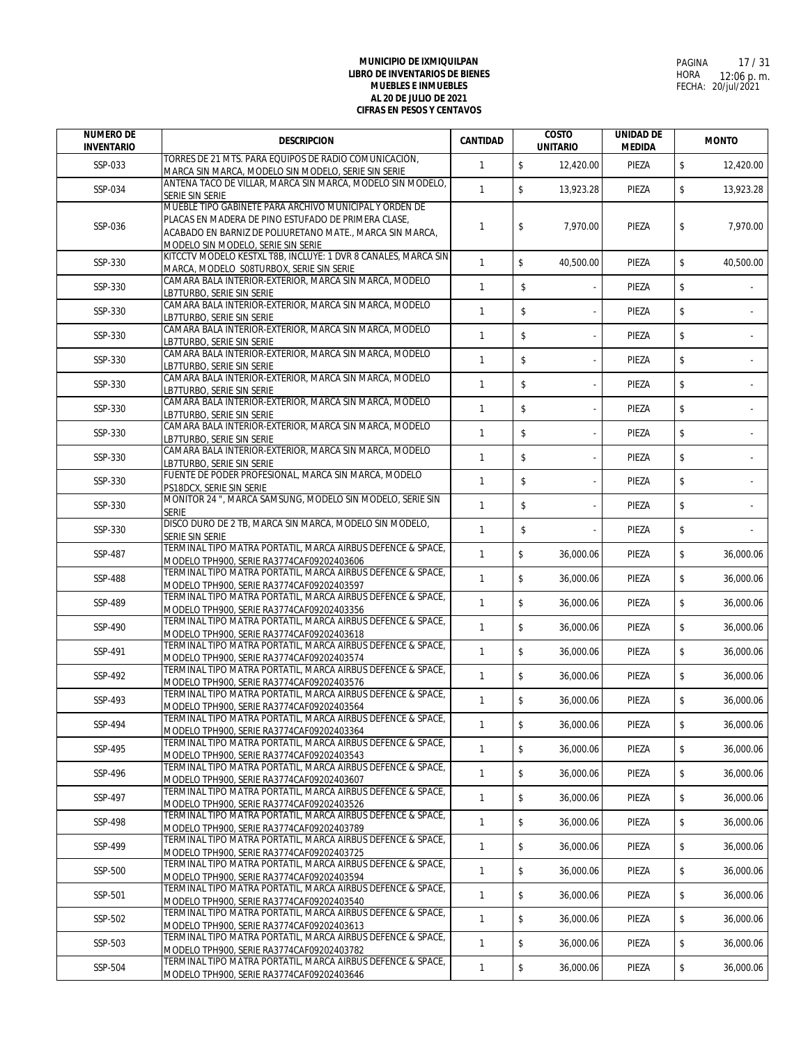| <b>NUMERO DE</b><br><b>INVENTARIO</b> | <b>DESCRIPCION</b>                                                                                                                                                                                              | <b>CANTIDAD</b> | <b>COSTO</b><br><b>UNITARIO</b>      | <b>UNIDAD DE</b><br><b>MEDIDA</b> | <b>MONTO</b> |           |
|---------------------------------------|-----------------------------------------------------------------------------------------------------------------------------------------------------------------------------------------------------------------|-----------------|--------------------------------------|-----------------------------------|--------------|-----------|
| SSP-033                               | TORRES DE 21 MTS. PARA EQUIPOS DE RADIO COMUNICACIÓN,<br>MARCA SIN MARCA, MODELO SIN MODELO, SERIE SIN SERIE                                                                                                    | $\mathbf{1}$    | $\sqrt[6]{\frac{1}{2}}$<br>12,420.00 | PIEZA                             | \$           | 12,420.00 |
| SSP-034                               | ANTENA TACO DE VILLAR, MARCA SIN MARCA, MODELO SIN MODELO,<br>SERIE SIN SERIE                                                                                                                                   | $\mathbf{1}$    | \$<br>13,923.28                      | PIEZA                             | \$           | 13,923.28 |
| SSP-036                               | MUEBLE TIPO GABINETE PARA ARCHIVO MUNICIPAL Y ORDEN DE<br>PLACAS EN MADERA DE PINO ESTUFADO DE PRIMERA CLASE,<br>ACABADO EN BARNIZ DE POLIURETANO MATE., MARCA SIN MARCA,<br>MODELO SIN MODELO, SERIE SIN SERIE | $\mathbf{1}$    | \$<br>7,970.00                       | PIEZA                             | \$           | 7,970.00  |
| SSP-330                               | KITCCTV MODELO KESTXL T8B, INCLUYE: 1 DVR 8 CANALES, MARCA SIN<br>MARCA, MODELO S08TURBOX, SERIE SIN SERIE                                                                                                      | $\mathbf{1}$    | \$<br>40,500.00                      | PIEZA                             | \$           | 40,500.00 |
| SSP-330                               | CAMARA BALA INTERIOR-EXTERIOR, MARCA SIN MARCA, MODELO<br>LB7TURBO, SERIE SIN SERIE                                                                                                                             | $\mathbf{1}$    | \$                                   | PIEZA                             | \$           |           |
| SSP-330                               | CAMARA BALA INTERIOR-EXTERIOR, MARCA SIN MARCA, MODELO<br>LB7TURBO, SERIE SIN SERIE                                                                                                                             | $\mathbf{1}$    | \$                                   | PIEZA                             | \$           |           |
| SSP-330                               | CAMARA BALA INTERIOR-EXTERIOR, MARCA SIN MARCA, MODELO<br>LB7TURBO, SERIE SIN SERIE                                                                                                                             | $\mathbf{1}$    | \$                                   | PIEZA                             | \$           |           |
| SSP-330                               | CAMARA BALA INTERIOR-EXTERIOR, MARCA SIN MARCA, MODELO<br>LB7TURBO, SERIE SIN SERIE                                                                                                                             | $\mathbf{1}$    | \$                                   | PIEZA                             | \$           |           |
| SSP-330                               | CAMARA BALA INTERIOR-EXTERIOR, MARCA SIN MARCA, MODELO<br>LB7TURBO, SERIE SIN SERIE                                                                                                                             | $\mathbf{1}$    | \$                                   | PIEZA                             | \$           |           |
| SSP-330                               | CAMARA BALA INTERIOR-EXTERIOR, MARCA SIN MARCA, MODELO<br>LB7TURBO, SERIE SIN SERIE                                                                                                                             | $\mathbf{1}$    | \$                                   | PIEZA                             | \$           |           |
| SSP-330                               | CAMARA BALA INTERIOR-EXTERIOR, MARCA SIN MARCA, MODELO<br>LB7TURBO, SERIE SIN SERIE                                                                                                                             | $\mathbf{1}$    | \$                                   | PIEZA                             | \$           |           |
| SSP-330                               | CAMARA BALA INTERIOR-EXTERIOR, MARCA SIN MARCA, MODELO<br>LB7TURBO, SERIE SIN SERIE                                                                                                                             | $\mathbf{1}$    | \$                                   | PIEZA                             | \$           |           |
| SSP-330                               | FUENTE DE PODER PROFESIONAL, MARCA SIN MARCA, MODELO<br>PS18DCX, SERIE SIN SERIE                                                                                                                                | $\mathbf{1}$    | \$                                   | PIEZA                             | \$           |           |
| SSP-330                               | MONITOR 24 ", MARCA SAMSUNG, MODELO SIN MODELO, SERIE SIN<br><b>SERIE</b>                                                                                                                                       | $\mathbf{1}$    | \$                                   | PIEZA                             | \$           |           |
| SSP-330                               | DISCO DURO DE 2 TB, MARCA SIN MARCA, MODELO SIN MODELO,<br>SERIE SIN SERIE                                                                                                                                      | $\mathbf{1}$    | \$                                   | PIEZA                             | \$           |           |
| SSP-487                               | TERMINAL TIPO MATRA PORTATIL, MARCA AIRBUS DEFENCE & SPACE,<br>MODELO TPH900, SERIE RA3774CAF09202403606                                                                                                        | $\mathbf{1}$    | $\mathsf S$<br>36,000.06             | PIEZA                             | \$           | 36,000.06 |
| SSP-488                               | TERMINAL TIPO MATRA PORTATIL, MARCA AIRBUS DEFENCE & SPACE,<br>MODELO TPH900, SERIE RA3774CAF09202403597                                                                                                        | $\mathbf{1}$    | \$<br>36,000.06                      | PIEZA                             | \$           | 36,000.06 |
| SSP-489                               | TERMINAL TIPO MATRA PORTATIL, MARCA AIRBUS DEFENCE & SPACE,<br>MODELO TPH900, SERIE RA3774CAF09202403356                                                                                                        | $\mathbf{1}$    | $\mathsf{\$}$<br>36,000.06           | PIEZA                             | \$           | 36,000.06 |
| SSP-490                               | TERMINAL TIPO MATRA PORTATIL, MARCA AIRBUS DEFENCE & SPACE,<br>MODELO TPH900, SERIE RA3774CAF09202403618                                                                                                        | $\mathbf{1}$    | \$<br>36,000.06                      | PIEZA                             | \$           | 36,000.06 |
| SSP-491                               | TERMINAL TIPO MATRA PORTATIL, MARCA AIRBUS DEFENCE & SPACE,<br>MODELO TPH900, SERIE RA3774CAF09202403574                                                                                                        | $\mathbf{1}$    | \$<br>36,000.06                      | PIEZA                             | \$           | 36,000.06 |
| SSP-492                               | TERMINAL TIPO MATRA PORTATIL, MARCA AIRBUS DEFENCE & SPACE,<br>MODELO TPH900, SERIE RA3774CAF09202403576                                                                                                        | $\mathbf{1}$    | \$<br>36,000.06                      | PIEZA                             | \$           | 36,000.06 |
| SSP-493                               | TERMINAL TIPO MATRA PORTATIL, MARCA AIRBUS DEFENCE & SPACE,<br>MODELO TPH900, SERIE RA3774CAF09202403564                                                                                                        | $\mathbf{1}$    | \$<br>36.000.06                      | PIEZA                             | \$           | 36,000.06 |
| SSP-494                               | TERMINAL TIPO MATRA PORTATIL, MARCA AIRBUS DEFENCE & SPACE,<br>MODELO TPH900, SERIE RA3774CAF09202403364                                                                                                        | $\mathbf{1}$    | \$<br>36,000.06                      | PIEZA                             | \$           | 36,000.06 |
| SSP-495                               | TERMINAL TIPO MATRA PORTATIL, MARCA AIRBUS DEFENCE & SPACE,<br>MODELO TPH900, SERIE RA3774CAF09202403543                                                                                                        | $\mathbf{1}$    | \$<br>36,000.06                      | PIEZA                             | \$           | 36,000.06 |
| SSP-496                               | TERMINAL TIPO MATRA PORTATIL. MARCA AIRBUS DEFENCE & SPACE.                                                                                                                                                     | $\mathbf{1}$    | \$<br>36,000.06                      | PIEZA                             | \$           | 36,000.06 |
| SSP-497                               | MODELO TPH900, SERIE RA3774CAF09202403607<br>TERMINAL TIPO MATRA PORTATIL, MARCA AIRBUS DEFENCE & SPACE,                                                                                                        | $\mathbf{1}$    | $\mathsf{\$}$<br>36.000.06           | PIEZA                             | \$           | 36,000.06 |
| SSP-498                               | MODELO TPH900, SERIE RA3774CAF09202403526<br>TERMINAL TIPO MATRA PORTATIL, MARCA AIRBUS DEFENCE & SPACE,                                                                                                        | $\mathbf{1}$    | \$<br>36.000.06                      | PIEZA                             | \$           | 36,000.06 |
| SSP-499                               | MODELO TPH900, SERIE RA3774CAF09202403789<br>TERMINAL TIPO MATRA PORTATIL, MARCA AIRBUS DEFENCE & SPACE,                                                                                                        | $\mathbf{1}$    | \$<br>36,000.06                      | PIEZA                             | \$           | 36,000.06 |
| SSP-500                               | MODELO TPH900, SERIE RA3774CAF09202403725<br>TERMINAL TIPO MATRA PORTATIL, MARCA AIRBUS DEFENCE & SPACE,                                                                                                        | $\mathbf{1}$    | \$<br>36,000.06                      | PIEZA                             | \$           | 36.000.06 |
| SSP-501                               | MODELO TPH900, SERIE RA3774CAF09202403594<br>TERMINAL TIPO MATRA PORTATIL, MARCA AIRBUS DEFENCE & SPACE,                                                                                                        | $\mathbf{1}$    | \$<br>36,000.06                      | PIEZA                             | \$           | 36,000.06 |
| SSP-502                               | MODELO TPH900, SERIE RA3774CAF09202403540<br>TERMINAL TIPO MATRA PORTATIL, MARCA AIRBUS DEFENCE & SPACE,                                                                                                        | $\mathbf{1}$    | \$<br>36,000.06                      | PIEZA                             | \$           | 36,000.06 |
| SSP-503                               | MODELO TPH900, SERIE RA3774CAF09202403613<br>TERMINAL TIPO MATRA PORTATIL, MARCA AIRBUS DEFENCE & SPACE,                                                                                                        | $\mathbf{1}$    | \$<br>36,000.06                      | PIEZA                             | \$           | 36,000.06 |
| SSP-504                               | MODELO TPH900, SERIE RA3774CAF09202403782<br>TERMINAL TIPO MATRA PORTATIL, MARCA AIRBUS DEFENCE & SPACE,                                                                                                        | $\mathbf{1}$    | \$<br>36,000.06                      | PIEZA                             | \$           | 36,000.06 |
|                                       | MODELO TPH900, SERIE RA3774CAF09202403646                                                                                                                                                                       |                 |                                      |                                   |              |           |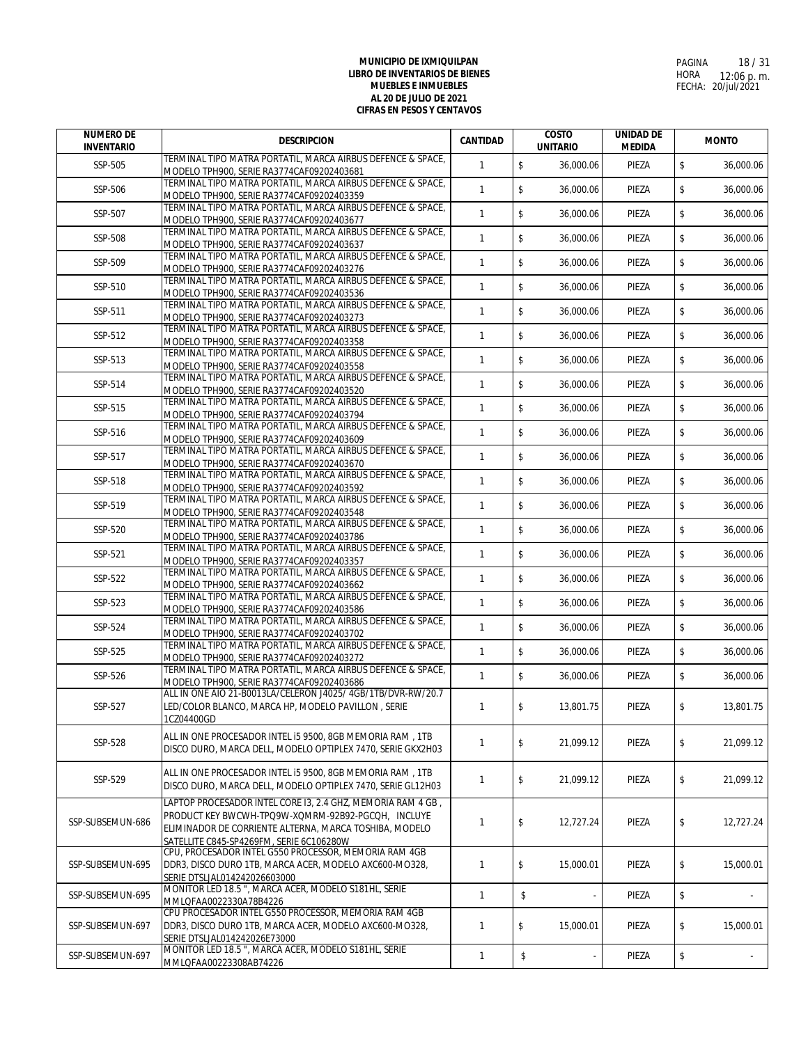| <b>NUMERO DE</b><br><b>INVENTARIO</b> | <b>DESCRIPCION</b>                                                                                                                                                                                                      | <b>CANTIDAD</b> | <b>COSTO</b><br><b>UNITARIO</b> | <b>UNIDAD DE</b><br><b>MEDIDA</b> | <b>MONTO</b>    |
|---------------------------------------|-------------------------------------------------------------------------------------------------------------------------------------------------------------------------------------------------------------------------|-----------------|---------------------------------|-----------------------------------|-----------------|
| SSP-505                               | TERMINAL TIPO MATRA PORTATIL, MARCA AIRBUS DEFENCE & SPACE,<br>MODELO TPH900, SERIE RA3774CAF09202403681                                                                                                                | $\mathbf{1}$    | \$<br>36,000.06                 | PIEZA                             | \$<br>36,000.06 |
| SSP-506                               | TERMINAL TIPO MATRA PORTATIL, MARCA AIRBUS DEFENCE & SPACE,<br>MODELO TPH900, SERIE RA3774CAF09202403359                                                                                                                | $\mathbf{1}$    | \$<br>36,000.06                 | PIEZA                             | \$<br>36,000.06 |
| SSP-507                               | TERMINAL TIPO MATRA PORTATIL, MARCA AIRBUS DEFENCE & SPACE,<br>MODELO TPH900, SERIE RA3774CAF09202403677                                                                                                                | $\mathbf{1}$    | \$<br>36.000.06                 | PIEZA                             | \$<br>36.000.06 |
| SSP-508                               | TERMINAL TIPO MATRA PORTATIL, MARCA AIRBUS DEFENCE & SPACE,<br>MODELO TPH900, SERIE RA3774CAF09202403637                                                                                                                | $\mathbf{1}$    | $\mathsf S$<br>36,000.06        | PIEZA                             | \$<br>36,000.06 |
| SSP-509                               | TERMINAL TIPO MATRA PORTATIL, MARCA AIRBUS DEFENCE & SPACE,                                                                                                                                                             | $\mathbf{1}$    | \$<br>36,000.06                 | PIEZA                             | \$<br>36,000.06 |
| SSP-510                               | MODELO TPH900, SERIE RA3774CAF09202403276<br>TERMINAL TIPO MATRA PORTATIL, MARCA AIRBUS DEFENCE & SPACE,                                                                                                                | $\mathbf{1}$    | \$<br>36.000.06                 | PIEZA                             | \$<br>36,000.06 |
| SSP-511                               | MODELO TPH900. SERIE RA3774CAF09202403536<br>TERMINAL TIPO MATRA PORTATIL, MARCA AIRBUS DEFENCE & SPACE,                                                                                                                | $\mathbf{1}$    | \$<br>36.000.06                 | PIEZA                             | \$<br>36,000.06 |
| SSP-512                               | MODELO TPH900, SERIE RA3774CAF09202403273<br>TERMINAL TIPO MATRA PORTATIL, MARCA AIRBUS DEFENCE & SPACE,                                                                                                                | $\mathbf{1}$    | \$<br>36,000.06                 | PIEZA                             | \$<br>36,000.06 |
| SSP-513                               | MODELO TPH900, SERIE RA3774CAF09202403358<br>TERMINAL TIPO MATRA PORTATIL, MARCA AIRBUS DEFENCE & SPACE,                                                                                                                | $\mathbf{1}$    | \$<br>36,000.06                 | PIEZA                             | \$<br>36,000.06 |
| SSP-514                               | MODELO TPH900, SERIE RA3774CAF09202403558<br>TERMINAL TIPO MATRA PORTATIL, MARCA AIRBUS DEFENCE & SPACE,                                                                                                                | $\mathbf{1}$    | \$<br>36,000.06                 | PIEZA                             | \$<br>36,000.06 |
| SSP-515                               | MODELO TPH900, SERIE RA3774CAF09202403520<br>TERMINAL TIPO MATRA PORTATIL, MARCA AIRBUS DEFENCE & SPACE,                                                                                                                | $\mathbf{1}$    | \$<br>36,000.06                 | PIEZA                             | \$<br>36,000.06 |
| SSP-516                               | MODELO TPH900, SERIE RA3774CAF09202403794<br>TERMINAL TIPO MATRA PORTATIL, MARCA AIRBUS DEFENCE & SPACE,                                                                                                                | $\mathbf{1}$    | $\sqrt[6]{\frac{1}{2}}$         | PIEZA                             | \$              |
|                                       | MODELO TPH900, SERIE RA3774CAF09202403609<br>TERMINAL TIPO MATRA PORTATIL, MARCA AIRBUS DEFENCE & SPACE,                                                                                                                | $\mathbf{1}$    | 36,000.06<br>$\mathsf{\$}$      |                                   | \$<br>36,000.06 |
| SSP-517                               | MODELO TPH900, SERIE RA3774CAF09202403670<br>TERMINAL TIPO MATRA PORTATIL, MARCA AIRBUS DEFENCE & SPACE,                                                                                                                |                 | 36,000.06                       | PIEZA                             | 36,000.06       |
| SSP-518                               | MODELO TPH900, SERIE RA3774CAF09202403592<br>TERMINAL TIPO MATRA PORTATIL, MARCA AIRBUS DEFENCE & SPACE,                                                                                                                | $\mathbf{1}$    | $\mathsf{\$}$<br>36,000.06      | PIEZA                             | \$<br>36,000.06 |
| SSP-519                               | MODELO TPH900, SERIE RA3774CAF09202403548<br>TERMINAL TIPO MATRA PORTATIL, MARCA AIRBUS DEFENCE & SPACE,                                                                                                                | $\mathbf{1}$    | $\mathsf{\$}$<br>36,000.06      | PIEZA                             | \$<br>36,000.06 |
| SSP-520                               | MODELO TPH900, SERIE RA3774CAF09202403786<br>TERMINAL TIPO MATRA PORTATIL, MARCA AIRBUS DEFENCE & SPACE,                                                                                                                | $\mathbf{1}$    | \$<br>36,000.06                 | PIEZA                             | \$<br>36,000.06 |
| SSP-521                               | MODELO TPH900, SERIE RA3774CAF09202403357                                                                                                                                                                               | $\mathbf{1}$    | \$<br>36,000.06                 | PIEZA                             | \$<br>36,000.06 |
| SSP-522                               | TERMINAL TIPO MATRA PORTATIL, MARCA AIRBUS DEFENCE & SPACE,<br>MODELO TPH900, SERIE RA3774CAF09202403662                                                                                                                | $\mathbf{1}$    | \$<br>36,000.06                 | PIEZA                             | \$<br>36,000.06 |
| SSP-523                               | TERMINAL TIPO MATRA PORTATIL, MARCA AIRBUS DEFENCE & SPACE,<br>MODELO TPH900, SERIE RA3774CAF09202403586                                                                                                                | $\mathbf{1}$    | \$<br>36,000.06                 | PIEZA                             | \$<br>36,000.06 |
| SSP-524                               | TERMINAL TIPO MATRA PORTATIL, MARCA AIRBUS DEFENCE & SPACE,<br>MODELO TPH900, SERIE RA3774CAF09202403702                                                                                                                | $\mathbf{1}$    | \$<br>36,000.06                 | PIEZA                             | \$<br>36,000.06 |
| SSP-525                               | TERMINAL TIPO MATRA PORTATIL, MARCA AIRBUS DEFENCE & SPACE,<br>MODELO TPH900, SERIE RA3774CAF09202403272                                                                                                                | $\mathbf{1}$    | \$<br>36.000.06                 | PIEZA                             | \$<br>36,000.06 |
| SSP-526                               | TERMINAL TIPO MATRA PORTATIL, MARCA AIRBUS DEFENCE & SPACE,<br>MODELO TPH900, SERIE RA3774CAF09202403686                                                                                                                | $\mathbf{1}$    | \$<br>36,000.06                 | PIEZA                             | \$<br>36,000.06 |
| SSP-527                               | ALL IN ONE AIO 21-B0013LA/CELERON J4025/ 4GB/1TB/DVR-RW/20.7<br>LED/COLOR BLANCO, MARCA HP, MODELO PAVILLON, SERIE                                                                                                      | $\mathbf{1}$    | \$<br>13,801.75                 | PIEZA                             | \$<br>13,801.75 |
| SSP-528                               | 1CZ04400GD<br>ALL IN ONE PROCESADOR INTEL I5 9500, 8GB MEMORIA RAM, 1TB<br>DISCO DURO, MARCA DELL, MODELO OPTIPLEX 7470, SERIE GKX2H03                                                                                  | $\mathbf{1}$    | \$<br>21,099.12                 | PIEZA                             | \$<br>21,099.12 |
| SSP-529                               | ALL IN ONE PROCESADOR INTEL I5 9500, 8GB MEMORIA RAM, 1TB<br>DISCO DURO, MARCA DELL, MODELO OPTIPLEX 7470, SERIE GL12H03                                                                                                | $\mathbf{1}$    | \$<br>21,099.12                 | PIEZA                             | \$<br>21.099.12 |
| SSP-SUBSEMUN-686                      | LAPTOP PROCESADOR INTEL CORE 13, 2.4 GHZ, MEMORIA RAM 4 GB,<br>PRODUCT KEY BWCWH-TPQ9W-XQMRM-92B92-PGCQH, INCLUYE<br>ELIMINADOR DE CORRIENTE ALTERNA, MARCA TOSHIBA, MODELO<br>SATELLITE C845-SP4269FM, SERIE 6C106280W | $\mathbf{1}$    | \$<br>12,727.24                 | PIEZA                             | \$<br>12,727.24 |
| SSP-SUBSEMUN-695                      | CPU, PROCESADOR INTEL G550 PROCESSOR, MEMORIA RAM 4GB<br>DDR3, DISCO DURO 1TB, MARCA ACER, MODELO AXC600-MO328,<br>SERIE DTSLJAL014242026603000                                                                         | $\mathbf{1}$    | \$<br>15.000.01                 | PIEZA                             | \$<br>15,000.01 |
| SSP-SUBSEMUN-695                      | MONITOR LED 18.5 ", MARCA ACER, MODELO S181HL, SERIE<br>MMLQFAA0022330A78B4226                                                                                                                                          | $\mathbf{1}$    | \$                              | PIEZA                             | \$              |
| SSP-SUBSEMUN-697                      | CPU PROCESADOR INTEL G550 PROCESSOR, MEMORIA RAM 4GB<br>DDR3, DISCO DURO 1TB, MARCA ACER, MODELO AXC600-MO328,<br>SERIE DTSLJAL014242026E73000                                                                          | $\mathbf{1}$    | \$<br>15,000.01                 | PIEZA                             | \$<br>15,000.01 |
| SSP-SUBSEMUN-697                      | MONITOR LED 18.5 ", MARCA ACER, MODELO S181HL, SERIE<br>MMLQFAA00223308AB74226                                                                                                                                          | $\mathbf{1}$    | \$                              | PIEZA                             | \$              |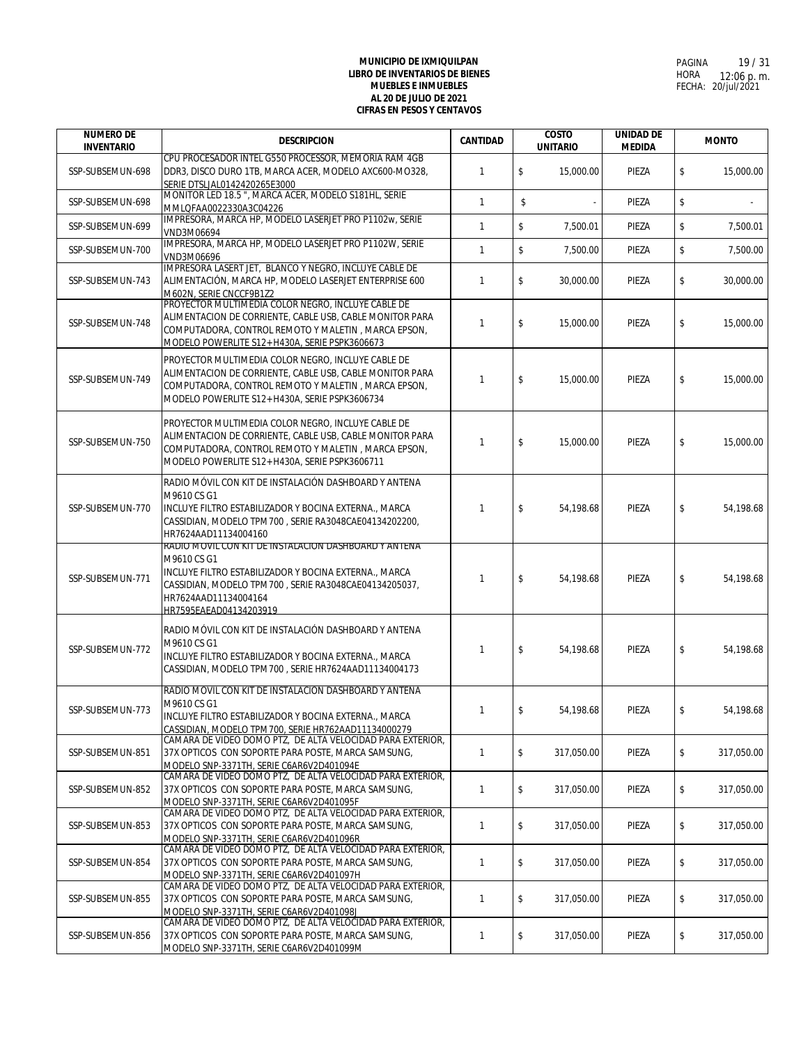| <b>NUMERO DE</b><br><b>INVENTARIO</b> | <b>DESCRIPCION</b>                                                                                                                                                                                                                       | <b>CANTIDAD</b> | <b>COSTO</b> |            | <b>UNITARIO</b> |                  |  |  | <b>UNIDAD DE</b><br><b>MEDIDA</b> | <b>MONTO</b> |
|---------------------------------------|------------------------------------------------------------------------------------------------------------------------------------------------------------------------------------------------------------------------------------------|-----------------|--------------|------------|-----------------|------------------|--|--|-----------------------------------|--------------|
| SSP-SUBSEMUN-698                      | CPU PROCESADOR INTEL G550 PROCESSOR, MEMORIA RAM 4GB<br>DDR3, DISCO DURO 1TB, MARCA ACER, MODELO AXC600-MO328,<br>SERIE DTSLJAL0142420265E3000                                                                                           | $\mathbf{1}$    | \$           | 15,000.00  | PIEZA           | \$<br>15,000.00  |  |  |                                   |              |
| SSP-SUBSEMUN-698                      | MONITOR LED 18.5 ", MARCA ACER, MODELO S181HL, SERIE<br>MMLQFAA0022330A3C04226                                                                                                                                                           | $\mathbf{1}$    | \$           |            | PIEZA           | \$               |  |  |                                   |              |
| SSP-SUBSEMUN-699                      | IMPRESORA, MARCA HP, MODELO LASERJET PRO P1102w, SERIE<br>VND3M06694                                                                                                                                                                     | $\mathbf{1}$    | $\mathbb S$  | 7,500.01   | PIEZA           | \$<br>7,500.01   |  |  |                                   |              |
| SSP-SUBSEMUN-700                      | IMPRESORA, MARCA HP, MODELO LASERJET PRO P1102W, SERIE<br>VND3M06696                                                                                                                                                                     | $\mathbf{1}$    | $\mathbb S$  | 7,500.00   | PIEZA           | \$<br>7,500.00   |  |  |                                   |              |
| SSP-SUBSEMUN-743                      | IMPRESORA LASERT JET, BLANCO Y NEGRO, INCLUYE CABLE DE<br>ALIMENTACIÓN, MARCA HP, MODELO LASERJET ENTERPRISE 600<br>M602N, SERIE CNCCF9B1Z2                                                                                              | $\mathbf{1}$    | \$           | 30,000.00  | PIEZA           | \$<br>30,000.00  |  |  |                                   |              |
| SSP-SUBSEMUN-748                      | PROYECTOR MULTIMEDIA COLOR NEGRO, INCLUYE CABLE DE<br>ALIMENTACION DE CORRIENTE, CABLE USB, CABLE MONITOR PARA<br>COMPUTADORA, CONTROL REMOTO Y MALETIN, MARCA EPSON,<br>MODELO POWERLITE S12+ H430A, SERIE PSPK3606673                  | $\mathbf{1}$    | \$           | 15,000.00  | PIEZA           | \$<br>15,000.00  |  |  |                                   |              |
| SSP-SUBSEMUN-749                      | PROYECTOR MULTIMEDIA COLOR NEGRO, INCLUYE CABLE DE<br>ALIMENTACION DE CORRIENTE, CABLE USB, CABLE MONITOR PARA<br>COMPUTADORA. CONTROL REMOTO Y MALETIN, MARCA EPSON.<br>MODELO POWERLITE S12+ H430A, SERIE PSPK3606734                  | $\mathbf{1}$    | \$           | 15,000.00  | PIEZA           | \$<br>15,000.00  |  |  |                                   |              |
| SSP-SUBSEMUN-750                      | PROYECTOR MULTIMEDIA COLOR NEGRO, INCLUYE CABLE DE<br>ALIMENTACION DE CORRIENTE, CABLE USB, CABLE MONITOR PARA<br>COMPUTADORA, CONTROL REMOTO Y MALETIN, MARCA EPSON,<br>MODELO POWERLITE S12+ H430A, SERIE PSPK3606711                  | $\mathbf{1}$    | \$           | 15,000.00  | PIEZA           | \$<br>15,000.00  |  |  |                                   |              |
| SSP-SUBSEMUN-770                      | RADIO MÓVIL CON KIT DE INSTALACIÓN DASHBOARD Y ANTENA<br>M9610 CS G1<br>INCLUYE FILTRO ESTABILIZADOR Y BOCINA EXTERNA., MARCA<br>CASSIDIAN, MODELO TPM700, SERIE RA3048CAE04134202200,<br>HR7624AAD11134004160                           | 1               | \$           | 54,198.68  | PIEZA           | \$<br>54,198.68  |  |  |                                   |              |
| SSP-SUBSEMUN-771                      | RADIO MOVIL CON KIT DE INSTALACION DASHBOARD Y ANTENA<br>M9610 CS G1<br>INCLUYE FILTRO ESTABILIZADOR Y BOCINA EXTERNA., MARCA<br>CASSIDIAN, MODELO TPM700, SERIE RA3048CAE04134205037,<br>HR7624AAD11134004164<br>HR7595FAFAD04134203919 | $\mathbf{1}$    | \$           | 54,198.68  | PIEZA           | \$<br>54,198.68  |  |  |                                   |              |
| SSP-SUBSEMUN-772                      | RADIO MÓVIL CON KIT DE INSTALACIÓN DASHBOARD Y ANTENA<br>M9610 CS G1<br>INCLUYE FILTRO ESTABILIZADOR Y BOCINA EXTERNA., MARCA<br>CASSIDIAN, MODELO TPM700, SERIE HR7624AAD11134004173                                                    | $\mathbf{1}$    | \$           | 54,198.68  | PIEZA           | \$<br>54.198.68  |  |  |                                   |              |
| SSP-SUBSEMUN-773                      | RADIO MÓVIL CON KIT DE INSTALACIÓN DASHBOARD Y ANTENA<br>M9610 CS G1<br>INCLUYE FILTRO ESTABILIZADOR Y BOCINA EXTERNA., MARCA<br>CASSIDIAN, MODELO TPM700, SERIE HR762AAD11134000279                                                     | 1               | \$           | 54,198.68  | PIEZA           | \$<br>54,198.68  |  |  |                                   |              |
| SSP-SUBSEMUN-851                      | CAMARA DE VIDEO DOMO PTZ. DE ALTA VELOCIDAD PARA EXTERIOR.<br>37X OPTICOS CON SOPORTE PARA POSTE, MARCA SAMSUNG,<br>MODELO SNP-3371TH, SERIE C6AR6V2D401094E                                                                             | $\mathbf{1}$    | \$           | 317.050.00 | PIEZA           | \$<br>317,050.00 |  |  |                                   |              |
| SSP-SUBSEMUN-852                      | CAMARA DE VIDEO DOMO PTZ, DE ALTA VELOCIDAD PARA EXTERIOR,<br>37X OPTICOS CON SOPORTE PARA POSTE, MARCA SAMSUNG,<br>MODELO SNP-3371TH, SERIE C6AR6V2D401095F                                                                             | $\mathbf{1}$    | \$           | 317,050.00 | PIEZA           | \$<br>317,050.00 |  |  |                                   |              |
| SSP-SUBSEMUN-853                      | CAMARA DE VIDEO DOMO PTZ, DE ALTA VELOCIDAD PARA EXTERIOR,<br>37X OPTICOS CON SOPORTE PARA POSTE, MARCA SAMSUNG,<br>MODELO SNP-3371TH, SERIE C6AR6V2D401096R                                                                             | $\mathbf{1}$    | \$           | 317,050.00 | PIEZA           | \$<br>317.050.00 |  |  |                                   |              |
| SSP-SUBSEMUN-854                      | CAMARA DE VIDEO DOMO PTZ. DE ALTA VELOCIDAD PARA EXTERIOR.<br>37X OPTICOS CON SOPORTE PARA POSTE, MARCA SAMSUNG,<br>MODELO SNP-3371TH, SERIE C6AR6V2D401097H                                                                             | $\mathbf{1}$    | \$           | 317,050.00 | PIEZA           | \$<br>317,050.00 |  |  |                                   |              |
| SSP-SUBSEMUN-855                      | CAMARA DE VIDEO DOMO PTZ, DE ALTA VELOCIDAD PARA EXTERIOR,<br>37X OPTICOS CON SOPORTE PARA POSTE, MARCA SAMSUNG,<br>MODELO SNP-3371TH, SERIE C6AR6V2D401098J                                                                             | 1               | \$           | 317,050.00 | PIEZA           | \$<br>317,050.00 |  |  |                                   |              |
| SSP-SUBSEMUN-856                      | CAMARA DE VIDEO DOMO PTZ, DE ALTA VELOCIDAD PARA EXTERIOR,<br>37X OPTICOS CON SOPORTE PARA POSTE, MARCA SAMSUNG,<br>MODELO SNP-3371TH, SERIE C6AR6V2D401099M                                                                             | 1               | \$           | 317,050.00 | PIEZA           | \$<br>317,050.00 |  |  |                                   |              |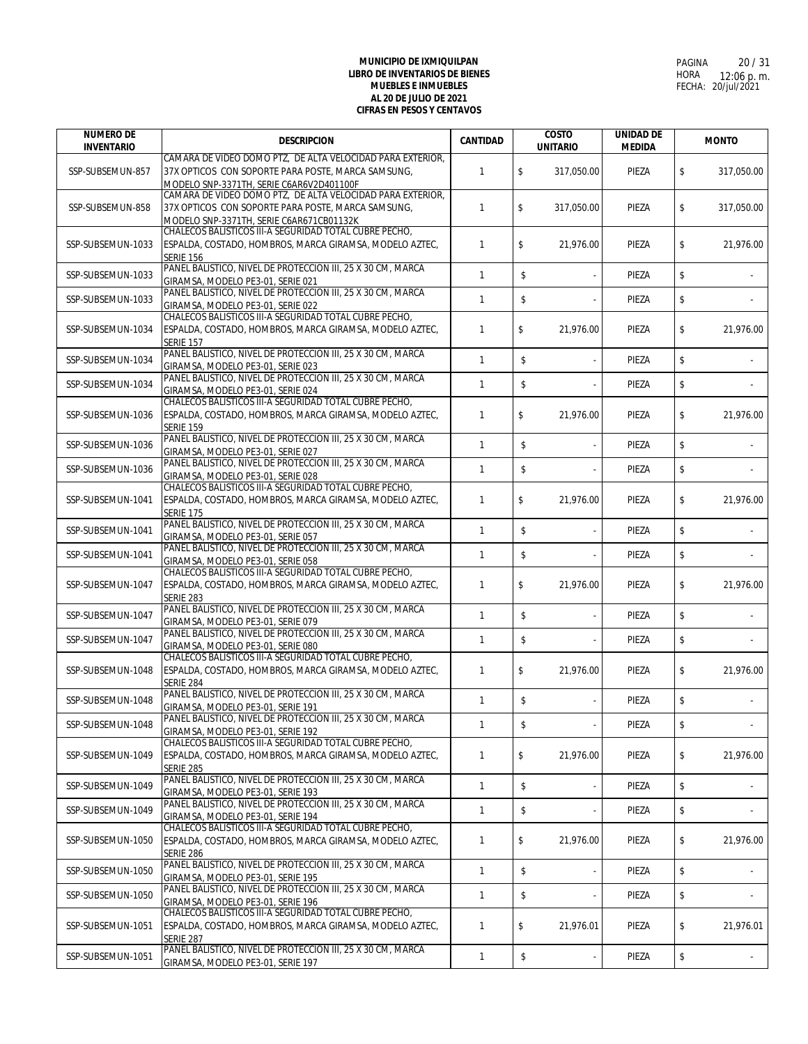| <b>NUMERO DE</b><br><b>INVENTARIO</b> | <b>DESCRIPCION</b>                                                                                 | <b>CANTIDAD</b> | <b>COSTO</b><br><b>UNITARIO</b> | <b>UNIDAD DE</b><br><b>MEDIDA</b> | <b>MONTO</b>     |
|---------------------------------------|----------------------------------------------------------------------------------------------------|-----------------|---------------------------------|-----------------------------------|------------------|
|                                       | CAMARA DE VIDEO DOMO PTZ, DE ALTA VELOCIDAD PARA EXTERIOR,                                         |                 |                                 |                                   |                  |
| SSP-SUBSEMUN-857                      | 37X OPTICOS CON SOPORTE PARA POSTE, MARCA SAMSUNG,                                                 | $\mathbf{1}$    | \$<br>317,050.00                | PIEZA                             | \$<br>317,050.00 |
|                                       | MODELO SNP-3371TH, SERIE C6AR6V2D401100F                                                           |                 |                                 |                                   |                  |
|                                       | CAMARA DE VIDEO DOMO PTZ, DE ALTA VELOCIDAD PARA EXTERIOR,                                         |                 |                                 |                                   |                  |
| SSP-SUBSEMUN-858                      | 37X OPTICOS CON SOPORTE PARA POSTE, MARCA SAMSUNG,                                                 | 1               | \$<br>317,050.00                | PIEZA                             | \$<br>317.050.00 |
|                                       | MODELO SNP-3371TH, SERIE C6AR671CB01132K<br>CHALECOS BALISTICOS III-A SEGURIDAD TOTAL CUBRE PECHO, |                 |                                 |                                   |                  |
| SSP-SUBSEMUN-1033                     | ESPALDA, COSTADO, HOMBROS, MARCA GIRAMSA, MODELO AZTEC,                                            | 1               | \$<br>21,976.00                 | PIEZA                             | \$<br>21,976.00  |
|                                       | <b>SERIE 156</b>                                                                                   |                 |                                 |                                   |                  |
|                                       | PANEL BALISTICO, NIVEL DE PROTECCION III, 25 X 30 CM, MARCA                                        |                 |                                 |                                   |                  |
| SSP-SUBSEMUN-1033                     | GIRAMSA, MODELO PE3-01, SERIE 021                                                                  | $\mathbf{1}$    | \$<br>÷,                        | PIEZA                             | \$               |
| SSP-SUBSEMUN-1033                     | PANEL BALISTICO. NIVEL DE PROTECCION III, 25 X 30 CM, MARCA                                        | $\mathbf{1}$    | $\mathbb S$                     | PIEZA                             | \$               |
|                                       | GIRAMSA, MODELO PE3-01, SERIE 022                                                                  |                 |                                 |                                   |                  |
|                                       | CHALECOS BALISTICOS III-A SEGURIDAD TOTAL CUBRE PECHO,                                             |                 |                                 |                                   |                  |
| SSP-SUBSEMUN-1034                     | ESPALDA, COSTADO, HOMBROS, MARCA GIRAMSA, MODELO AZTEC,                                            | 1               | \$<br>21,976.00                 | PIEZA                             | \$<br>21,976.00  |
|                                       | <b>SERIE 157</b><br>PANEL BALISTICO, NIVEL DE PROTECCION III, 25 X 30 CM, MARCA                    |                 |                                 |                                   |                  |
| SSP-SUBSEMUN-1034                     | GIRAMSA, MODELO PE3-01, SERIE 023                                                                  | $\mathbf{1}$    | \$<br>$\overline{\phantom{a}}$  | PIEZA                             | \$               |
|                                       | PANEL BALISTICO, NIVEL DE PROTECCION III, 25 X 30 CM, MARCA                                        |                 |                                 |                                   |                  |
| SSP-SUBSEMUN-1034                     | GIRAMSA, MODELO PE3-01, SERIE 024                                                                  | 1               | \$                              | PIEZA                             | \$               |
|                                       | CHALECOS BALISTICOS III-A SEGURIDAD TOTAL CUBRE PECHO.                                             |                 |                                 |                                   |                  |
| SSP-SUBSEMUN-1036                     | ESPALDA, COSTADO, HOMBROS, MARCA GIRAMSA, MODELO AZTEC,                                            | 1               | \$<br>21.976.00                 | PIEZA                             | \$<br>21,976.00  |
|                                       | <b>SERIE 159</b>                                                                                   |                 |                                 |                                   |                  |
| SSP-SUBSEMUN-1036                     | PANEL BALISTICO, NIVEL DE PROTECCION III, 25 X 30 CM, MARCA                                        | 1               | \$<br>÷                         | PIEZA                             | \$               |
|                                       | GIRAMSA, MODELO PE3-01, SERIE 027<br>PANEL BALISTICO, NIVEL DE PROTECCION III, 25 X 30 CM, MARCA   |                 |                                 |                                   |                  |
| SSP-SUBSEMUN-1036                     | GIRAMSA, MODELO PE3-01, SERIE 028                                                                  | $\mathbf{1}$    | \$                              | PIEZA                             | \$               |
|                                       | CHALECOS BALISTICOS III-A SEGURIDAD TOTAL CUBRE PECHO.                                             |                 |                                 |                                   |                  |
| SSP-SUBSEMUN-1041                     | ESPALDA, COSTADO, HOMBROS, MARCA GIRAMSA, MODELO AZTEC,                                            | 1               | \$<br>21,976.00                 | PIEZA                             | \$<br>21,976.00  |
|                                       | <b>SERIE 175</b>                                                                                   |                 |                                 |                                   |                  |
| SSP-SUBSEMUN-1041                     | PANEL BALISTICO, NIVEL DE PROTECCION III, 25 X 30 CM, MARCA                                        | $\mathbf{1}$    | \$<br>÷,                        | PIEZA                             | \$               |
|                                       | GIRAMSA, MODELO PE3-01, SERIE 057<br>PANEL BALISTICO, NIVEL DE PROTECCION III, 25 X 30 CM, MARCA   |                 |                                 |                                   |                  |
| SSP-SUBSEMUN-1041                     | GIRAMSA, MODELO PE3-01, SERIE 058                                                                  | $\mathbf{1}$    | \$                              | PIEZA                             | \$               |
|                                       | CHALECOS BALISTICOS III-A SEGURIDAD TOTAL CUBRE PECHO,                                             |                 |                                 |                                   |                  |
| SSP-SUBSEMUN-1047                     | ESPALDA, COSTADO, HOMBROS, MARCA GIRAMSA, MODELO AZTEC,                                            | 1               | \$<br>21,976.00                 | PIEZA                             | \$<br>21,976.00  |
|                                       | <b>SERIE 283</b>                                                                                   |                 |                                 |                                   |                  |
| SSP-SUBSEMUN-1047                     | PANEL BALISTICO, NIVEL DE PROTECCION III, 25 X 30 CM, MARCA                                        | $\mathbf{1}$    | \$                              | PIEZA                             | \$               |
|                                       | GIRAMSA, MODELO PE3-01, SERIE 079                                                                  |                 |                                 |                                   |                  |
| SSP-SUBSEMUN-1047                     | PANEL BALISTICO, NIVEL DE PROTECCION III, 25 X 30 CM, MARCA                                        | 1               | \$<br>$\overline{\phantom{a}}$  | PIEZA                             | \$               |
|                                       | GIRAMSA, MODELO PE3-01, SERIE 080<br>CHALECOS BALISTICOS III-A SEGURIDAD TOTAL CUBRE PECHO.        |                 |                                 |                                   |                  |
| SSP-SUBSEMUN-1048                     | ESPALDA, COSTADO, HOMBROS, MARCA GIRAMSA, MODELO AZTEC,                                            | 1               | \$<br>21,976.00                 | PIEZA                             | \$<br>21,976.00  |
|                                       | <b>SERIE 284</b>                                                                                   |                 |                                 |                                   |                  |
| SSP-SUBSEMUN-1048                     | PANEL BALISTICO, NIVEL DE PROTECCION III, 25 X 30 CM, MARCA                                        | $\mathbf{1}$    | \$                              | PIEZA                             | \$               |
|                                       | GIRAMSA, MODELO PE3-01, SERIE 191                                                                  |                 |                                 |                                   |                  |
| SSP-SUBSEMUN-1048                     | PANEL BALISTICO, NIVEL DE PROTECCION III, 25 X 30 CM, MARCA                                        | $\mathbf{1}$    | \$<br>$\overline{\phantom{a}}$  | PIEZA                             | \$               |
|                                       | GIRAMSA, MODELO PE3-01, SERIE 192<br>CHALECOS BALISTICOS III-A SEGURIDAD TOTAL CUBRE PECHO,        |                 |                                 |                                   |                  |
| SSP-SUBSEMUN-1049                     | ESPALDA, COSTADO, HOMBROS, MARCA GIRAMSA, MODELO AZTEC,                                            | 1               | \$<br>21,976.00                 | PIEZA                             | \$<br>21,976.00  |
|                                       | Serie 285                                                                                          |                 |                                 |                                   |                  |
| SSP-SUBSEMUN-1049                     | PANEL BALISTICO, NIVEL DE PROTECCION III, 25 X 30 CM, MARCA                                        |                 |                                 |                                   |                  |
|                                       | GIRAMSA, MODELO PE3-01, SERIE 193                                                                  | 1               | \$                              | PIEZA                             | \$               |
| SSP-SUBSEMUN-1049                     | PANEL BALISTICO, NIVEL DE PROTECCION III, 25 X 30 CM, MARCA                                        | 1               | \$                              | PIEZA                             | \$               |
|                                       | GIRAMSA, MODELO PE3-01, SERIE 194<br>CHALECOS BALISTICOS III-A SEGURIDAD TOTAL CUBRE PECHO,        |                 |                                 |                                   |                  |
| SSP-SUBSEMUN-1050                     | ESPALDA, COSTADO, HOMBROS, MARCA GIRAMSA, MODELO AZTEC,                                            | 1               | \$<br>21,976.00                 | PIEZA                             | \$<br>21,976.00  |
|                                       | <b>SERIE 286</b>                                                                                   |                 |                                 |                                   |                  |
|                                       | PANEL BALISTICO, NIVEL DE PROTECCION III, 25 X 30 CM, MARCA                                        |                 |                                 |                                   |                  |
| SSP-SUBSEMUN-1050                     | GIRAMSA, MODELO PE3-01, SERIE 195                                                                  | $\mathbf{1}$    | \$<br>÷,                        | PIEZA                             | \$               |
| SSP-SUBSEMUN-1050                     | PANEL BALISTICO, NIVEL DE PROTECCION III, 25 X 30 CM, MARCA                                        | 1               | \$                              | PIEZA                             | \$               |
|                                       | GIRAMSA, MODELO PE3-01, SERIE 196                                                                  |                 |                                 |                                   |                  |
|                                       | CHALECOS BALISTICOS III-A SEGURIDAD TOTAL CUBRE PECHO,                                             |                 |                                 |                                   |                  |
| SSP-SUBSEMUN-1051                     | ESPALDA, COSTADO, HOMBROS, MARCA GIRAMSA, MODELO AZTEC,<br><b>SERIE 287</b>                        | $\mathbf{1}$    | \$<br>21,976.01                 | PIEZA                             | \$<br>21,976.01  |
|                                       | PANEL BALISTICO, NIVEL DE PROTECCION III, 25 X 30 CM, MARCA                                        |                 |                                 |                                   |                  |
| SSP-SUBSEMUN-1051                     | GIRAMSA, MODELO PE3-01, SERIE 197                                                                  | $\mathbf{1}$    | \$<br>÷,                        | PIEZA                             | \$               |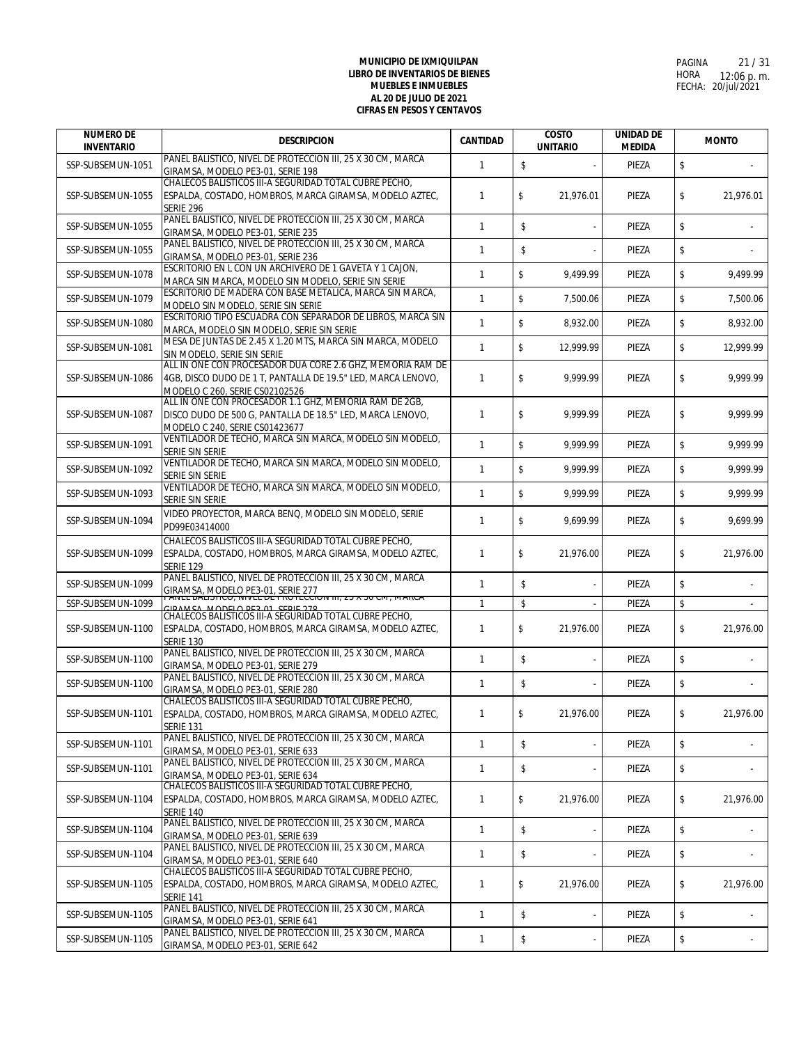| <b>NUMERO DE</b><br><b>INVENTARIO</b> | <b>DESCRIPCION</b>                                                                                                | <b>CANTIDAD</b> | <b>COSTO</b><br><b>UNITARIO</b> |           | <b>UNIDAD DE</b><br><b>MEDIDA</b> |    | <b>MONTO</b> |  |
|---------------------------------------|-------------------------------------------------------------------------------------------------------------------|-----------------|---------------------------------|-----------|-----------------------------------|----|--------------|--|
| SSP-SUBSEMUN-1051                     | PANEL BALISTICO, NIVEL DE PROTECCION III, 25 X 30 CM, MARCA                                                       | $\mathbf{1}$    | \$                              |           | PIEZA                             | \$ |              |  |
|                                       | GIRAMSA, MODELO PE3-01, SERIE 198<br>CHALECOS BALISTICOS III-A SEGURIDAD TOTAL CUBRE PECHO,                       |                 |                                 |           |                                   |    |              |  |
| SSP-SUBSEMUN-1055                     | ESPALDA, COSTADO, HOMBROS, MARCA GIRAMSA, MODELO AZTEC,                                                           | 1               | \$                              | 21.976.01 | PIEZA                             | \$ | 21,976.01    |  |
|                                       | <b>SERIE 296</b>                                                                                                  |                 |                                 |           |                                   |    |              |  |
| SSP-SUBSEMUN-1055                     | PANEL BALISTICO, NIVEL DE PROTECCION III, 25 X 30 CM, MARCA                                                       | $\mathbf{1}$    | \$                              |           | PIEZA                             | \$ |              |  |
|                                       | GIRAMSA, MODELO PE3-01, SERIE 235                                                                                 |                 |                                 |           |                                   |    |              |  |
| SSP-SUBSEMUN-1055                     | PANEL BALISTICO, NIVEL DE PROTECCION III, 25 X 30 CM, MARCA                                                       | $\mathbf{1}$    | \$                              |           | PIEZA                             | \$ |              |  |
|                                       | GIRAMSA, MODELO PE3-01, SERIE 236<br>ESCRITORIO EN L CON UN ARCHIVERO DE 1 GAVETA Y 1 CAJON,                      |                 |                                 |           |                                   |    |              |  |
| SSP-SUBSEMUN-1078                     | MARCA SIN MARCA, MODELO SIN MODELO, SERIE SIN SERIE                                                               | $\mathbf{1}$    | \$                              | 9,499.99  | PIEZA                             | \$ | 9,499.99     |  |
| SSP-SUBSEMUN-1079                     | ESCRITORIO DE MADERA CON BASE METALICA. MARCA SIN MARCA.                                                          | $\mathbf{1}$    | \$                              | 7.500.06  | PIEZA                             | \$ | 7.500.06     |  |
|                                       | MODELO SIN MODELO, SERIE SIN SERIE<br>ESCRITORIO TIPO ESCUADRA CON SEPARADOR DE LIBROS, MARCA SIN                 |                 |                                 |           |                                   |    |              |  |
| SSP-SUBSEMUN-1080                     | MARCA, MODELO SIN MODELO, SERIE SIN SERIE                                                                         | $\mathbf{1}$    | \$                              | 8,932.00  | PIEZA                             | \$ | 8,932.00     |  |
|                                       | MESA DE JUNTAS DE 2.45 X 1.20 MTS, MARCA SIN MARCA, MODELO                                                        |                 |                                 |           |                                   |    |              |  |
| SSP-SUBSEMUN-1081                     | SIN MODELO, SERIE SIN SERIE                                                                                       | $\mathbf{1}$    | \$                              | 12,999.99 | PIEZA                             | \$ | 12,999.99    |  |
|                                       | ALL IN ONE CON PROCESADOR DUA CORE 2.6 GHZ, MEMORIA RAM DE                                                        |                 |                                 |           |                                   |    |              |  |
| SSP-SUBSEMUN-1086                     | 4GB, DISCO DUDO DE 1 T, PANTALLA DE 19.5" LED, MARCA LENOVO,<br>MODELO C 260, SERIE CS02102526                    | 1               | \$                              | 9.999.99  | PIEZA                             | \$ | 9.999.99     |  |
|                                       | ALL IN ONE CON PROCESADOR 1.1 GHZ, MEMORIA RAM DE 2GB,                                                            |                 |                                 |           |                                   |    |              |  |
| SSP-SUBSEMUN-1087                     | DISCO DUDO DE 500 G, PANTALLA DE 18.5" LED, MARCA LENOVO,                                                         | $\mathbf{1}$    | \$                              | 9,999.99  | PIEZA                             | \$ | 9,999.99     |  |
|                                       | MODELO C 240, SERIE CS01423677                                                                                    |                 |                                 |           |                                   |    |              |  |
| SSP-SUBSEMUN-1091                     | VENTILADOR DE TECHO, MARCA SIN MARCA, MODELO SIN MODELO,                                                          | $\mathbf{1}$    | \$                              | 9,999.99  | PIEZA                             | \$ | 9,999.99     |  |
|                                       | SERIE SIN SERIE<br>VENTILADOR DE TECHO, MARCA SIN MARCA, MODELO SIN MODELO,                                       |                 |                                 |           |                                   |    |              |  |
| SSP-SUBSEMUN-1092                     | SERIE SIN SERIE                                                                                                   | $\mathbf{1}$    | \$                              | 9,999.99  | PIEZA                             | \$ | 9,999.99     |  |
| SSP-SUBSEMUN-1093                     | VENTILADOR DE TECHO, MARCA SIN MARCA, MODELO SIN MODELO,                                                          | $\mathbf{1}$    | \$                              | 9.999.99  | PIEZA                             | \$ | 9.999.99     |  |
|                                       | SERIE SIN SERIE                                                                                                   |                 |                                 |           |                                   |    |              |  |
| SSP-SUBSEMUN-1094                     | VIDEO PROYECTOR, MARCA BENQ, MODELO SIN MODELO, SERIE                                                             | $\mathbf{1}$    | \$                              | 9,699.99  | PIEZA                             | \$ | 9,699.99     |  |
|                                       | PD99E03414000                                                                                                     |                 |                                 |           |                                   |    |              |  |
| SSP-SUBSEMUN-1099                     | CHALECOS BALISTICOS III-A SEGURIDAD TOTAL CUBRE PECHO,<br>ESPALDA, COSTADO, HOMBROS, MARCA GIRAMSA, MODELO AZTEC, | $\mathbf{1}$    | \$                              | 21,976.00 | PIEZA                             | \$ | 21,976.00    |  |
|                                       | <b>SERIE 129</b>                                                                                                  |                 |                                 |           |                                   |    |              |  |
| SSP-SUBSEMUN-1099                     | PANEL BALISTICO, NIVEL DE PROTECCION III, 25 X 30 CM, MARCA                                                       | $\mathbf{1}$    | \$                              |           | PIEZA                             | \$ |              |  |
|                                       | GIRAMSA, MODELO PE3-01, SERIE 277<br>PAIVEL DALISTICO, IVIVEL DE PROTECCION III, ZO A 30 CM, MARCA                |                 |                                 |           |                                   |    |              |  |
| SSP-SUBSEMUN-1099                     | CIDAMCA MODELO DE 2 01 SEDIE 279<br>CHALECOS BALISTICOS III-A SEGURIDAD TOTAL CUBRE PECHO,                        | $\mathbf{1}$    | \$                              |           | PIEZA                             | \$ |              |  |
| SSP-SUBSEMUN-1100                     | ESPALDA, COSTADO, HOMBROS, MARCA GIRAMSA, MODELO AZTEC,                                                           | $\mathbf{1}$    | \$                              | 21,976.00 | PIEZA                             | \$ | 21,976.00    |  |
|                                       | <b>SERIE 130</b>                                                                                                  |                 |                                 |           |                                   |    |              |  |
| SSP-SUBSEMUN-1100                     | PANEL BALISTICO, NIVEL DE PROTECCION III, 25 X 30 CM, MARCA                                                       | $\mathbf{1}$    | \$                              |           | PIEZA                             | \$ |              |  |
|                                       | GIRAMSA, MODELO PE3-01, SERIE 279<br>PANEL BALISTICO, NIVEL DE PROTECCION III, 25 X 30 CM, MARCA                  |                 |                                 |           |                                   |    |              |  |
| SSP-SUBSEMUN-1100                     | GIRAMSA, MODELO PE3-01, SERIE 280                                                                                 | $\mathbf{1}$    | \$                              |           | PIEZA                             | \$ |              |  |
|                                       | CHALECOS BALISTICOS III-A SEGURIDAD TOTAL CUBRE PECHO.                                                            |                 |                                 |           |                                   |    |              |  |
| SSP-SUBSEMUN-1101                     | ESPALDA, COSTADO, HOMBROS, MARCA GIRAMSA, MODELO AZTEC,                                                           | 1               | \$                              | 21,976.00 | PIEZA                             | \$ | 21,976.00    |  |
|                                       | <b>SERIE 131</b>                                                                                                  |                 |                                 |           |                                   |    |              |  |
| SSP-SUBSEMUN-1101                     | PANEL BALISTICO, NIVEL DE PROTECCION III, 25 X 30 CM, MARCA<br>GIRAMSA, MODELO PE3-01, SERIE 633                  | $\mathbf{1}$    | \$                              | ÷,        | PIEZA                             | \$ |              |  |
|                                       | PANEL BALISTICO, NIVEL DE PROTECCION III, 25 X 30 CM, MARCA                                                       |                 |                                 |           |                                   |    |              |  |
| SSP-SUBSEMUN-1101                     | GIRAMSA, MODELO PE3-01, SERIE 634                                                                                 | $\mathbf{1}$    | \$                              |           | PIEZA                             | \$ |              |  |
|                                       | CHALECOS BALISTICOS III-A SEGURIDAD TOTAL CUBRE PECHO,                                                            |                 |                                 |           |                                   |    |              |  |
| SSP-SUBSEMUN-1104                     | ESPALDA, COSTADO, HOMBROS, MARCA GIRAMSA, MODELO AZTEC,<br><b>SERIE 140</b>                                       | $\mathbf{1}$    | \$                              | 21.976.00 | PIEZA                             | \$ | 21,976.00    |  |
|                                       | PANEL BALISTICO, NIVEL DE PROTECCION III, 25 X 30 CM, MARCA                                                       |                 |                                 |           |                                   |    |              |  |
| SSP-SUBSEMUN-1104                     | GIRAMSA, MODELO PE3-01, SERIE 639                                                                                 | $\mathbf{1}$    | \$                              |           | PIEZA                             | \$ |              |  |
| SSP-SUBSEMUN-1104                     | PANEL BALISTICO, NIVEL DE PROTECCION III, 25 X 30 CM, MARCA                                                       | $\mathbf{1}$    | \$                              |           | PIEZA                             | \$ |              |  |
|                                       | GIRAMSA, MODELO PE3-01, SERIE 640<br>CHALECOS BALISTICOS III-A SEGURIDAD TOTAL CUBRE PECHO.                       |                 |                                 |           |                                   |    |              |  |
| SSP-SUBSEMUN-1105                     | ESPALDA, COSTADO, HOMBROS, MARCA GIRAMSA, MODELO AZTEC,                                                           | $\mathbf{1}$    | \$                              | 21,976.00 | PIEZA                             | \$ | 21.976.00    |  |
|                                       | <b>SERIE 141</b>                                                                                                  |                 |                                 |           |                                   |    |              |  |
| SSP-SUBSEMUN-1105                     | PANEL BALISTICO, NIVEL DE PROTECCION III, 25 X 30 CM, MARCA                                                       | $\mathbf{1}$    | \$                              | ÷,        | PIEZA                             | \$ |              |  |
|                                       | GIRAMSA, MODELO PE3-01, SERIE 641                                                                                 |                 |                                 |           |                                   |    |              |  |
| SSP-SUBSEMUN-1105                     | PANEL BALISTICO, NIVEL DE PROTECCION III, 25 X 30 CM, MARCA<br>GIRAMSA, MODELO PE3-01, SERIE 642                  | $\mathbf{1}$    | \$                              |           | PIEZA                             | \$ |              |  |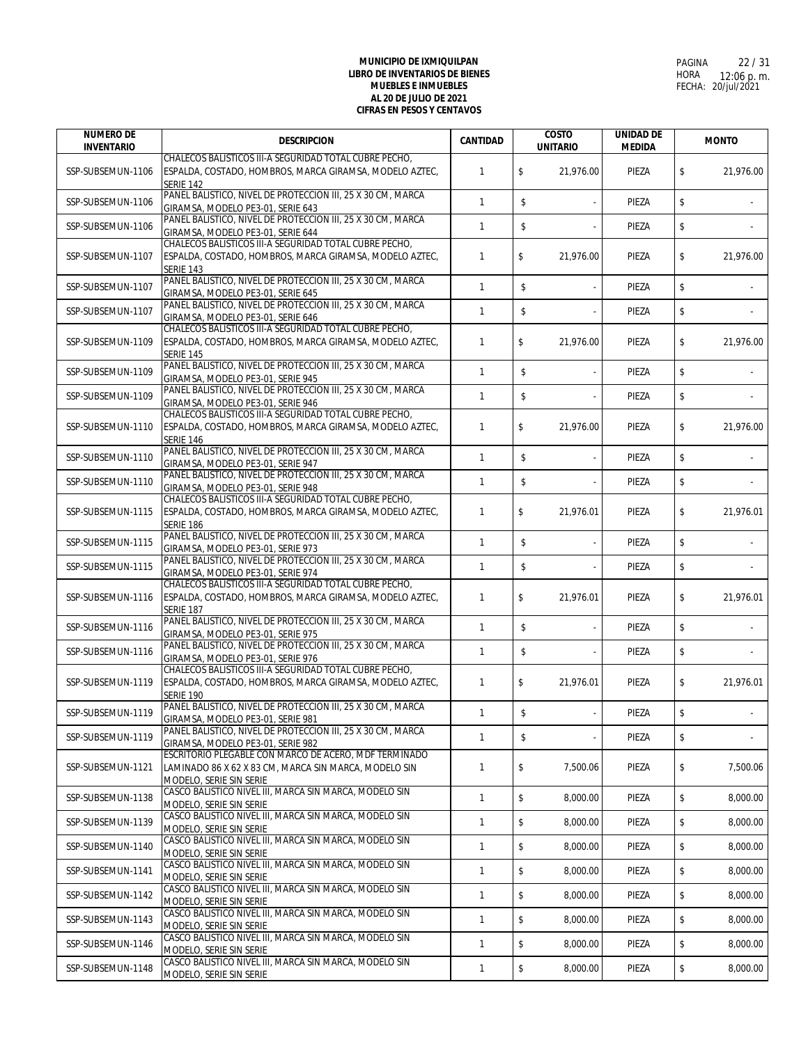| <b>NUMERO DE</b><br><b>INVENTARIO</b> | <b>DESCRIPCION</b>                                                                               | <b>CANTIDAD</b> | <b>COSTO</b><br><b>UNITARIO</b> | <b>UNIDAD DE</b><br><b>MEDIDA</b> | <b>MONTO</b>    |
|---------------------------------------|--------------------------------------------------------------------------------------------------|-----------------|---------------------------------|-----------------------------------|-----------------|
|                                       | CHALECOS BALISTICOS III-A SEGURIDAD TOTAL CUBRE PECHO,                                           |                 |                                 |                                   |                 |
| SSP-SUBSEMUN-1106                     | ESPALDA, COSTADO, HOMBROS, MARCA GIRAMSA, MODELO AZTEC,<br><b>SERIE 142</b>                      | $\mathbf{1}$    | \$<br>21,976.00                 | PIEZA                             | \$<br>21,976.00 |
| SSP-SUBSEMUN-1106                     | PANEL BALISTICO, NIVEL DE PROTECCION III, 25 X 30 CM, MARCA<br>GIRAMSA, MODELO PE3-01, SERIE 643 | $\mathbf{1}$    | \$<br>÷,                        | PIEZA                             | \$              |
| SSP-SUBSEMUN-1106                     | PANEL BALISTICO, NIVEL DE PROTECCION III, 25 X 30 CM, MARCA<br>GIRAMSA, MODELO PE3-01, SERIE 644 | $\mathbf{1}$    | \$                              | PIEZA                             | \$              |
|                                       | CHALECOS BALISTICOS III-A SEGURIDAD TOTAL CUBRE PECHO.                                           |                 |                                 |                                   |                 |
| SSP-SUBSEMUN-1107                     | ESPALDA, COSTADO, HOMBROS, MARCA GIRAMSA, MODELO AZTEC,<br><b>SERIE 143</b>                      | $\mathbf{1}$    | \$<br>21,976.00                 | PIEZA                             | \$<br>21,976.00 |
| SSP-SUBSEMUN-1107                     | PANEL BALISTICO, NIVEL DE PROTECCION III, 25 X 30 CM, MARCA<br>GIRAMSA, MODELO PE3-01, SERIE 645 | $\mathbf{1}$    | \$                              | PIEZA                             | \$              |
| SSP-SUBSEMUN-1107                     | PANEL BALISTICO, NIVEL DE PROTECCION III, 25 X 30 CM, MARCA<br>GIRAMSA, MODELO PE3-01, SERIE 646 | 1               | \$                              | PIEZA                             | \$              |
|                                       | CHALECOS BALISTICOS III-A SEGURIDAD TOTAL CUBRE PECHO.                                           |                 |                                 |                                   |                 |
| SSP-SUBSEMUN-1109                     | ESPALDA, COSTADO, HOMBROS, MARCA GIRAMSA, MODELO AZTEC,<br><b>SERIE 145</b>                      | $\mathbf{1}$    | \$<br>21,976.00                 | PIEZA                             | \$<br>21,976.00 |
| SSP-SUBSEMUN-1109                     | PANEL BALISTICO, NIVEL DE PROTECCION III, 25 X 30 CM, MARCA                                      | $\mathbf{1}$    | \$<br>ä,                        | PIEZA                             | \$              |
|                                       | GIRAMSA, MODELO PE3-01, SERIE 945                                                                |                 |                                 |                                   |                 |
| SSP-SUBSEMUN-1109                     | PANEL BALISTICO, NIVEL DE PROTECCION III, 25 X 30 CM, MARCA                                      | $\mathbf{1}$    | \$                              | PIEZA                             | \$              |
|                                       | GIRAMSA, MODELO PE3-01, SERIE 946<br>CHALECOS BALISTICOS III-A SEGURIDAD TOTAL CUBRE PECHO,      |                 |                                 |                                   |                 |
| SSP-SUBSEMUN-1110                     | ESPALDA, COSTADO, HOMBROS, MARCA GIRAMSA, MODELO AZTEC,                                          | $\mathbf{1}$    | \$<br>21,976.00                 | PIEZA                             | \$<br>21,976.00 |
|                                       | <b>SERIE 146</b>                                                                                 |                 |                                 |                                   |                 |
| SSP-SUBSEMUN-1110                     | PANEL BALISTICO, NIVEL DE PROTECCION III, 25 X 30 CM, MARCA                                      | $\mathbf{1}$    | \$                              | PIEZA                             | \$              |
|                                       | GIRAMSA, MODELO PE3-01, SERIE 947                                                                |                 |                                 |                                   |                 |
| SSP-SUBSEMUN-1110                     | PANEL BALISTICO, NIVEL DE PROTECCION III, 25 X 30 CM, MARCA                                      | $\mathbf{1}$    | \$                              | PIEZA                             | \$              |
|                                       | GIRAMSA, MODELO PE3-01, SERIE 948<br>CHALECOS BALISTICOS III-A SEGURIDAD TOTAL CUBRE PECHO,      |                 |                                 |                                   |                 |
| SSP-SUBSEMUN-1115                     | ESPALDA, COSTADO, HOMBROS, MARCA GIRAMSA, MODELO AZTEC,                                          | $\mathbf{1}$    | \$<br>21,976.01                 | PIEZA                             | \$<br>21,976.01 |
|                                       | <b>SERIE 186</b>                                                                                 |                 |                                 |                                   |                 |
|                                       | PANEL BALISTICO, NIVEL DE PROTECCION III, 25 X 30 CM, MARCA                                      |                 |                                 |                                   |                 |
| SSP-SUBSEMUN-1115                     | GIRAMSA, MODELO PE3-01, SERIE 973                                                                | $\mathbf{1}$    | \$<br>$\overline{\phantom{a}}$  | PIEZA                             | \$              |
| SSP-SUBSEMUN-1115                     | PANEL BALISTICO, NIVEL DE PROTECCION III, 25 X 30 CM, MARCA                                      | 1               | \$                              | PIEZA                             | \$              |
|                                       | GIRAMSA, MODELO PE3-01, SERIE 974<br>CHALECOS BALISTICOS III-A SEGURIDAD TOTAL CUBRE PECHO,      |                 |                                 |                                   |                 |
| SSP-SUBSEMUN-1116                     | ESPALDA, COSTADO, HOMBROS, MARCA GIRAMSA, MODELO AZTEC,                                          | 1               | \$<br>21,976.01                 | PIEZA                             | \$<br>21,976.01 |
|                                       | SERIE 187                                                                                        |                 |                                 |                                   |                 |
|                                       | PANEL BALISTICO, NIVEL DE PROTECCION III, 25 X 30 CM, MARCA                                      |                 |                                 |                                   |                 |
| SSP-SUBSEMUN-1116                     | GIRAMSA, MODELO PE3-01, SERIE 975                                                                | 1               | \$                              | PIEZA                             | \$              |
| SSP-SUBSEMUN-1116                     | PANEL BALISTICO, NIVEL DE PROTECCION III, 25 X 30 CM, MARCA                                      | 1               | \$                              | PIEZA                             | \$              |
|                                       | GIRAMSA, MODELO PE3-01, SERIE 976                                                                |                 |                                 |                                   |                 |
|                                       | CHALECOS BALISTICOS III-A SEGURIDAD TOTAL CUBRE PECHO.                                           |                 |                                 |                                   |                 |
| SSP-SUBSEMUN-1119                     | ESPALDA, COSTADO, HOMBROS, MARCA GIRAMSA, MODELO AZTEC,<br>SERIE 190                             | $\mathbf{1}$    | \$<br>21,976.01                 | PIEZA                             | \$<br>21,976.01 |
|                                       | PANEL BALISTICO, NIVEL DE PROTECCION III, 25 X 30 CM, MARCA                                      |                 |                                 |                                   |                 |
| SSP-SUBSEMUN-1119                     | GIRAMSA, MODELO PE3-01, SERIE 981                                                                | $\mathbf{1}$    | \$                              | PIEZA                             | \$              |
|                                       | PANEL BALISTICO, NIVEL DE PROTECCION III, 25 X 30 CM, MARCA                                      | $\mathbf{1}$    | \$                              |                                   | \$              |
| SSP-SUBSEMUN-1119                     | GIRAMSA, MODELO PE3-01, SERIE 982                                                                |                 |                                 | PIEZA                             |                 |
|                                       | ESCRITORIO PLEGABLE CON MARCO DE ACERO, MDF TERMINADO                                            |                 |                                 |                                   |                 |
| SSP-SUBSEMUN-1121                     | LAMINADO 86 X 62 X 83 CM, MARCA SIN MARCA, MODELO SIN                                            | $\mathbf{1}$    | \$<br>7.500.06                  | PIEZA                             | \$<br>7,500.06  |
|                                       | MODELO, SERIE SIN SERIE<br>CASCO BALISTICO NIVEL III, MARCA SIN MARCA, MODELO SIN                |                 |                                 |                                   |                 |
| SSP-SUBSEMUN-1138                     | MODELO, SERIE SIN SERIE                                                                          | $\mathbf{1}$    | \$<br>8,000.00                  | PIEZA                             | \$<br>8,000.00  |
|                                       | CASCO BALISTICO NIVEL III, MARCA SIN MARCA, MODELO SIN                                           |                 |                                 |                                   |                 |
| SSP-SUBSEMUN-1139                     | MODELO, SERIE SIN SERIE                                                                          | 1               | \$<br>8,000.00                  | PIEZA                             | \$<br>8.000.00  |
| SSP-SUBSEMUN-1140                     | CASCO BALISTICO NIVEL III, MARCA SIN MARCA, MODELO SIN                                           | $\mathbf{1}$    | \$<br>8,000.00                  | PIEZA                             | \$<br>8,000.00  |
|                                       | MODELO, SERIE SIN SERIE                                                                          |                 |                                 |                                   |                 |
| SSP-SUBSEMUN-1141                     | CASCO BALISTICO NIVEL III, MARCA SIN MARCA, MODELO SIN<br>MODELO, SERIE SIN SERIE                | 1               | \$<br>8,000.00                  | PIEZA                             | \$<br>8,000.00  |
|                                       | CASCO BALISTICO NIVEL III, MARCA SIN MARCA, MODELO SIN                                           |                 |                                 |                                   |                 |
| SSP-SUBSEMUN-1142                     | MODELO, SERIE SIN SERIE                                                                          | $\mathbf{1}$    | \$<br>8,000.00                  | PIEZA                             | \$<br>8,000.00  |
|                                       | CASCO BALISTICO NIVEL III, MARCA SIN MARCA, MODELO SIN                                           |                 | \$                              |                                   |                 |
| SSP-SUBSEMUN-1143                     | MODELO, SERIE SIN SERIE                                                                          | 1               | 8,000.00                        | PIEZA                             | \$<br>8,000.00  |
| SSP-SUBSEMUN-1146                     | CASCO BALISTICO NIVEL III, MARCA SIN MARCA, MODELO SIN                                           | 1               | \$<br>8,000.00                  | PIEZA                             | \$<br>8,000.00  |
|                                       | MODELO, SERIE SIN SERIE<br>CASCO BALISTICO NIVEL III, MARCA SIN MARCA, MODELO SIN                |                 |                                 |                                   |                 |
| SSP-SUBSEMUN-1148                     | MODELO, SERIE SIN SERIE                                                                          | 1               | \$<br>8,000.00                  | PIEZA                             | \$<br>8,000.00  |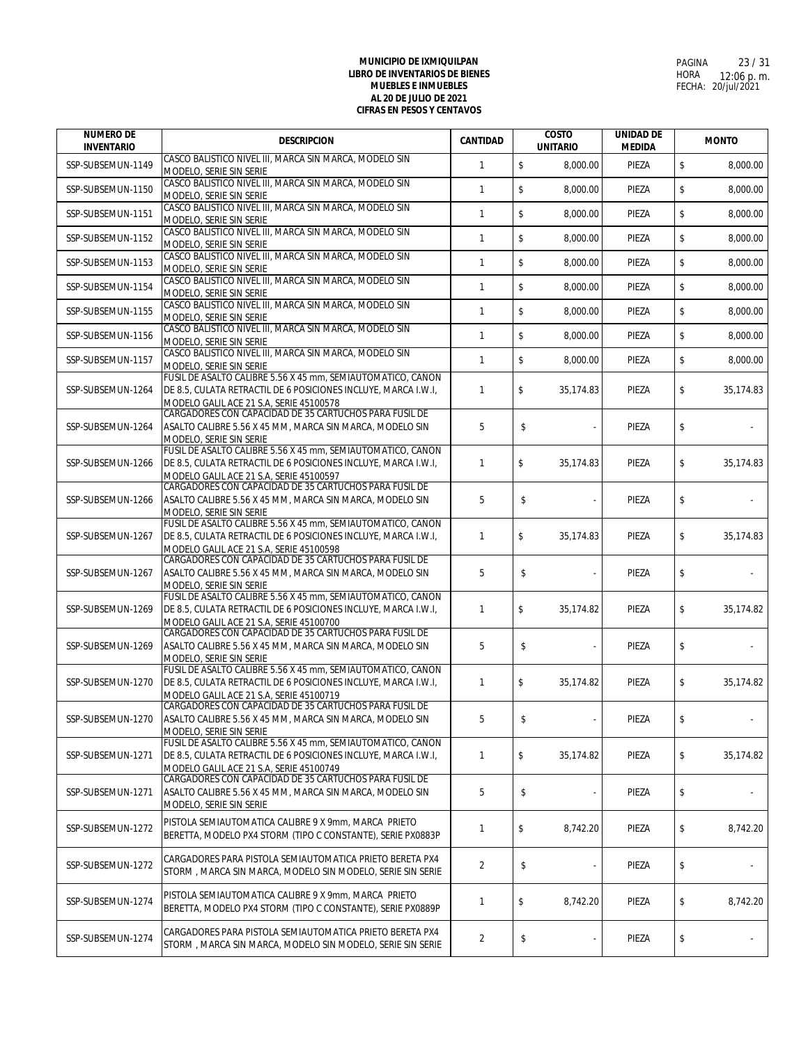| <b>NUMERO DE</b><br><b>INVENTARIO</b> | <b>DESCRIPCION</b>                                                                                                            | <b>CANTIDAD</b> | <b>COSTO</b><br><b>UNITARIO</b> | <b>UNIDAD DE</b><br><b>MEDIDA</b> | <b>MONTO</b>    |
|---------------------------------------|-------------------------------------------------------------------------------------------------------------------------------|-----------------|---------------------------------|-----------------------------------|-----------------|
| SSP-SUBSEMUN-1149                     | CASCO BALISTICO NIVEL III, MARCA SIN MARCA, MODELO SIN<br>MODELO, SERIE SIN SERIE                                             | $\mathbf{1}$    | \$<br>8,000.00                  | PIEZA                             | \$<br>8,000.00  |
| SSP-SUBSEMUN-1150                     | CASCO BALISTICO NIVEL III, MARCA SIN MARCA, MODELO SIN<br>MODELO, SERIE SIN SERIE                                             | $\mathbf{1}$    | $\mathsf{\$}$<br>8,000.00       | PIEZA                             | \$<br>8,000.00  |
| SSP-SUBSEMUN-1151                     | CASCO BALISTICO NIVEL III, MARCA SIN MARCA, MODELO SIN<br>MODELO, SERIE SIN SERIE                                             | $\mathbf{1}$    | $\mathbb S$<br>8,000.00         | PIEZA                             | \$<br>8,000.00  |
| SSP-SUBSEMUN-1152                     | CASCO BALISTICO NIVEL III, MARCA SIN MARCA, MODELO SIN<br>MODELO, SERIE SIN SERIE                                             | $\mathbf{1}$    | $\mathbb S$<br>8,000.00         | PIEZA                             | \$<br>8,000.00  |
| SSP-SUBSEMUN-1153                     | CASCO BALISTICO NIVEL III, MARCA SIN MARCA, MODELO SIN<br>MODELO, SERIE SIN SERIE                                             | $\mathbf{1}$    | \$<br>8,000.00                  | PIEZA                             | \$<br>8,000.00  |
| SSP-SUBSEMUN-1154                     | CASCO BALISTICO NIVEL III, MARCA SIN MARCA, MODELO SIN<br>MODELO, SERIE SIN SERIE                                             | $\mathbf{1}$    | \$<br>8,000.00                  | PIEZA                             | \$<br>8,000.00  |
| SSP-SUBSEMUN-1155                     | CASCO BALISTICO NIVEL III, MARCA SIN MARCA, MODELO SIN<br>MODELO, SERIE SIN SERIE                                             | 1               | \$<br>8,000.00                  | PIEZA                             | \$<br>8,000.00  |
| SSP-SUBSEMUN-1156                     | CASCO BALISTICO NIVEL III, MARCA SIN MARCA, MODELO SIN<br>MODELO, SERIE SIN SERIE                                             | $\mathbf{1}$    | $\sqrt{2}$<br>8,000.00          | PIEZA                             | \$<br>8,000.00  |
| SSP-SUBSEMUN-1157                     | CASCO BALISTICO NIVEL III, MARCA SIN MARCA, MODELO SIN<br>MODELO, SERIE SIN SERIE                                             | $\mathbf{1}$    | $\mathbb S$<br>8,000.00         | PIEZA                             | \$<br>8,000.00  |
| SSP-SUBSEMUN-1264                     | FUSIL DE ASALTO CALIBRE 5.56 X 45 mm, SEMIAUTOMATICO, CAÑON<br>DE 8.5, CULATA RETRACTIL DE 6 POSICIONES INCLUYE, MARCA I.W.I, | $\mathbf{1}$    | \$<br>35,174.83                 | PIEZA                             | \$<br>35,174.83 |
|                                       | MODELO GALIL ACE 21 S.A, SERIE 45100578<br>CARGADORES CON CAPACIDAD DE 35 CARTUCHOS PARA FUSIL DE                             |                 |                                 |                                   |                 |
| SSP-SUBSEMUN-1264                     | ASALTO CALIBRE 5.56 X 45 MM, MARCA SIN MARCA, MODELO SIN<br>MODELO, SERIE SIN SERIE                                           | 5               | \$                              | PIEZA                             | \$              |
| SSP-SUBSEMUN-1266                     | FUSIL DE ASALTO CALIBRE 5.56 X 45 mm, SEMIAUTOMATICO, CAÑON<br>DE 8.5, CULATA RETRACTIL DE 6 POSICIONES INCLUYE, MARCA I.W.I. | $\mathbf{1}$    | \$<br>35,174.83                 | PIEZA                             | \$<br>35,174.83 |
|                                       | MODELO GALIL ACE 21 S.A, SERIE 45100597<br>CARGADORES CON CAPACIDAD DE 35 CARTUCHOS PARA FUSIL DE                             |                 |                                 |                                   |                 |
| SSP-SUBSEMUN-1266                     | ASALTO CALIBRE 5.56 X 45 MM, MARCA SIN MARCA, MODELO SIN                                                                      | 5               | \$                              | PIEZA                             | \$              |
|                                       | MODELO, SERIE SIN SERIE<br>FUSIL DE ASALTO CALIBRE 5.56 X 45 mm, SEMIAUTOMATICO, CAÑON                                        |                 |                                 |                                   |                 |
| SSP-SUBSEMUN-1267                     | DE 8.5, CULATA RETRACTIL DE 6 POSICIONES INCLUYE, MARCA I.W.I,<br>MODELO GALIL ACE 21 S.A, SERIE 45100598                     | $\mathbf{1}$    | \$<br>35,174.83                 | PIEZA                             | \$<br>35,174.83 |
| SSP-SUBSEMUN-1267                     | CARGADORES CON CAPACIDAD DE 35 CARTUCHOS PARA FUSIL DE<br>ASALTO CALIBRE 5.56 X 45 MM, MARCA SIN MARCA, MODELO SIN            | 5               | \$                              | PIEZA                             | \$              |
|                                       | MODELO, SERIE SIN SERIE<br>FUSIL DE ASALTO CALIBRE 5.56 X 45 mm, SEMIAUTOMATICO, CAÑON                                        |                 |                                 |                                   |                 |
| SSP-SUBSEMUN-1269                     | DE 8.5, CULATA RETRACTIL DE 6 POSICIONES INCLUYE, MARCA I.W.I.<br>MODELO GALIL ACE 21 S.A, SERIE 45100700                     | $\mathbf{1}$    | \$<br>35,174.82                 | PIEZA                             | \$<br>35,174.82 |
| SSP-SUBSEMUN-1269                     | CARGADORES CON CAPACIDAD DE 35 CARTUCHOS PARA FUSIL DE<br>ASALTO CALIBRE 5.56 X 45 MM, MARCA SIN MARCA, MODELO SIN            | 5               | \$                              | PIEZA                             | \$              |
|                                       | MODELO, SERIE SIN SERIE<br>FUSIL DE ASALTO CALIBRE 5.56 X 45 mm, SEMIAUTOMATICO, CAÑON                                        |                 |                                 |                                   |                 |
| SSP-SUBSEMUN-1270                     | DE 8.5. CULATA RETRACTIL DE 6 POSICIONES INCLUYE, MARCA I.W.I.<br>MODELO GALIL ACE 21 S.A, SERIE 45100719                     | $\mathbf{1}$    | \$<br>35.174.82                 | PIEZA                             | \$<br>35,174.82 |
| SSP-SUBSEMUN-1270                     | CARGADORES CON CAPACIDAD DE 35 CARTUCHOS PARA FUSIL DE<br>ASALTO CALIBRE 5.56 X 45 MM, MARCA SIN MARCA, MODELO SIN            | 5               | \$                              | PIEZA                             | \$              |
|                                       | MODELO, SERIE SIN SERIE<br>FUSIL DE ASALTO CALIBRE 5.56 X 45 mm, SEMIAUTOMATICO, CAÑON                                        |                 |                                 |                                   |                 |
| SSP-SUBSEMUN-1271                     | DE 8.5, CULATA RETRACTIL DE 6 POSICIONES INCLUYE, MARCA I.W.I.<br>MODELO GALIL ACE 21 S.A, SERIE 45100749                     | $\mathbf{1}$    | \$<br>35,174.82                 | PIEZA                             | \$<br>35,174.82 |
| SSP-SUBSEMUN-1271                     | CARGADORES CON CAPACIDAD DE 35 CARTUCHOS PARA FUSIL DE<br>ASALTO CALIBRE 5.56 X 45 MM, MARCA SIN MARCA, MODELO SIN            | 5               | \$                              | PIEZA                             | \$              |
|                                       | MODELO, SERIE SIN SERIE<br>PISTOLA SEMIAUTOMATICA CALIBRE 9 X 9mm, MARCA PRIETO                                               |                 |                                 |                                   |                 |
| SSP-SUBSEMUN-1272                     | BERETTA, MODELO PX4 STORM (TIPO C CONSTANTE), SERIE PX0883P                                                                   | $\mathbf{1}$    | \$<br>8,742.20                  | PIEZA                             | \$<br>8,742.20  |
| SSP-SUBSEMUN-1272                     | CARGADORES PARA PISTOLA SEMIAUTOMATICA PRIETO BERETA PX4<br>STORM, MARCA SIN MARCA, MODELO SIN MODELO, SERIE SIN SERIE        | $\overline{2}$  | \$<br>÷,                        | PIEZA                             | \$              |
| SSP-SUBSEMUN-1274                     | PISTOLA SEMIAUTOMATICA CALIBRE 9 X 9mm, MARCA PRIETO<br>BERETTA, MODELO PX4 STORM (TIPO C CONSTANTE), SERIE PX0889P           | $\mathbf{1}$    | \$<br>8,742.20                  | PIEZA                             | \$<br>8,742.20  |
| SSP-SUBSEMUN-1274                     | CARGADORES PARA PISTOLA SEMIAUTOMATICA PRIETO BERETA PX4<br>STORM, MARCA SIN MARCA, MODELO SIN MODELO, SERIE SIN SERIE        | $\overline{2}$  | \$                              | PIEZA                             | \$              |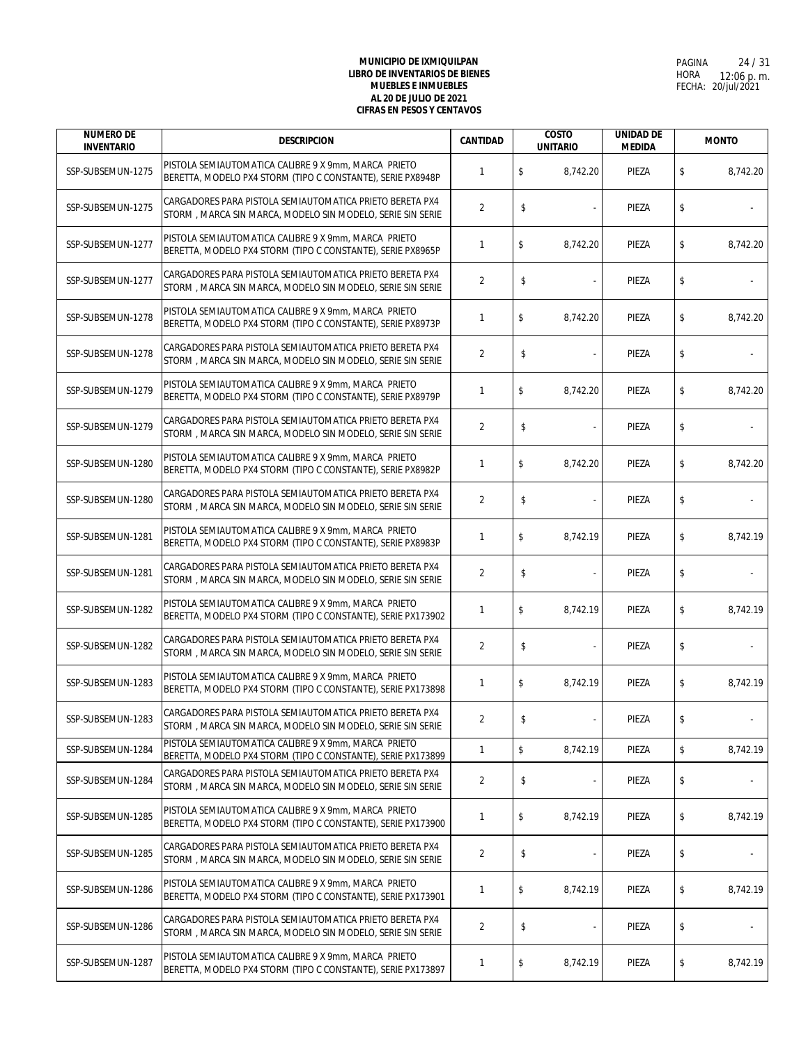| <b>NUMERO DE</b><br><b>INVENTARIO</b> | <b>DESCRIPCION</b>                                                                                                     | <b>CANTIDAD</b> | <b>COSTO</b><br><b>UNITARIO</b> | <b>UNIDAD DE</b><br><b>MEDIDA</b> | <b>MONTO</b> |          |
|---------------------------------------|------------------------------------------------------------------------------------------------------------------------|-----------------|---------------------------------|-----------------------------------|--------------|----------|
| SSP-SUBSEMUN-1275                     | PISTOLA SEMIAUTOMATICA CALIBRE 9 X 9mm, MARCA PRIETO<br>BERETTA, MODELO PX4 STORM (TIPO C CONSTANTE), SERIE PX8948P    | $\mathbf{1}$    | \$<br>8,742.20                  | PIEZA                             | \$           | 8,742.20 |
| SSP-SUBSEMUN-1275                     | CARGADORES PARA PISTOLA SEMIAUTOMATICA PRIETO BERETA PX4<br>STORM, MARCA SIN MARCA, MODELO SIN MODELO, SERIE SIN SERIE | $\overline{2}$  | \$                              | PIEZA                             | \$           |          |
| SSP-SUBSEMUN-1277                     | PISTOLA SEMIAUTOMATICA CALIBRE 9 X 9mm, MARCA PRIETO<br>BERETTA, MODELO PX4 STORM (TIPO C CONSTANTE), SERIE PX8965P    | $\mathbf{1}$    | \$<br>8,742.20                  | PIEZA                             | \$           | 8,742.20 |
| SSP-SUBSEMUN-1277                     | CARGADORES PARA PISTOLA SEMIAUTOMATICA PRIETO BERETA PX4<br>STORM, MARCA SIN MARCA, MODELO SIN MODELO, SERIE SIN SERIE | $\overline{2}$  | \$                              | PIEZA                             | \$           |          |
| SSP-SUBSEMUN-1278                     | PISTOLA SEMIAUTOMATICA CALIBRE 9 X 9mm, MARCA PRIETO<br>BERETTA, MODELO PX4 STORM (TIPO C CONSTANTE), SERIE PX8973P    | $\mathbf{1}$    | \$<br>8,742.20                  | PIEZA                             | \$           | 8,742.20 |
| SSP-SUBSEMUN-1278                     | CARGADORES PARA PISTOLA SEMIAUTOMATICA PRIETO BERETA PX4<br>STORM, MARCA SIN MARCA, MODELO SIN MODELO, SERIE SIN SERIE | $\overline{2}$  | \$                              | PIEZA                             | \$           |          |
| SSP-SUBSEMUN-1279                     | PISTOLA SEMIAUTOMATICA CALIBRE 9 X 9mm, MARCA PRIETO<br>BERETTA, MODELO PX4 STORM (TIPO C CONSTANTE), SERIE PX8979P    | $\mathbf{1}$    | \$<br>8,742.20                  | PIEZA                             | \$           | 8,742.20 |
| SSP-SUBSEMUN-1279                     | CARGADORES PARA PISTOLA SEMIAUTOMATICA PRIETO BERETA PX4<br>STORM, MARCA SIN MARCA, MODELO SIN MODELO, SERIE SIN SERIE | $\overline{2}$  | \$                              | PIEZA                             | \$           |          |
| SSP-SUBSEMUN-1280                     | PISTOLA SEMIAUTOMATICA CALIBRE 9 X 9mm, MARCA PRIETO<br>BERETTA, MODELO PX4 STORM (TIPO C CONSTANTE), SERIE PX8982P    | $\mathbf{1}$    | \$<br>8,742.20                  | PIEZA                             | \$           | 8,742.20 |
| SSP-SUBSEMUN-1280                     | CARGADORES PARA PISTOLA SEMIAUTOMATICA PRIETO BERETA PX4<br>STORM, MARCA SIN MARCA, MODELO SIN MODELO, SERIE SIN SERIE | $\overline{2}$  | \$                              | PIEZA                             | \$           |          |
| SSP-SUBSEMUN-1281                     | PISTOLA SEMIAUTOMATICA CALIBRE 9 X 9mm, MARCA PRIETO<br>BERETTA, MODELO PX4 STORM (TIPO C CONSTANTE), SERIE PX8983P    | $\mathbf{1}$    | \$<br>8,742.19                  | PIEZA                             | \$           | 8,742.19 |
| SSP-SUBSEMUN-1281                     | CARGADORES PARA PISTOLA SEMIAUTOMATICA PRIETO BERETA PX4<br>STORM, MARCA SIN MARCA, MODELO SIN MODELO, SERIE SIN SERIE | $\overline{2}$  | \$                              | PIEZA                             | \$           |          |
| SSP-SUBSEMUN-1282                     | PISTOLA SEMIAUTOMATICA CALIBRE 9 X 9mm, MARCA PRIETO<br>BERETTA, MODELO PX4 STORM (TIPO C CONSTANTE), SERIE PX173902   | $\mathbf{1}$    | \$<br>8,742.19                  | PIEZA                             | \$           | 8,742.19 |
| SSP-SUBSEMUN-1282                     | CARGADORES PARA PISTOLA SEMIAUTOMATICA PRIETO BERETA PX4<br>STORM, MARCA SIN MARCA, MODELO SIN MODELO, SERIE SIN SERIE | $\overline{2}$  | \$                              | PIEZA                             | \$           |          |
| SSP-SUBSEMUN-1283                     | PISTOLA SEMIAUTOMATICA CALIBRE 9 X 9mm, MARCA PRIETO<br>BERETTA, MODELO PX4 STORM (TIPO C CONSTANTE), SERIE PX173898   | $\mathbf{1}$    | \$<br>8,742.19                  | PIEZA                             | \$           | 8,742.19 |
| SSP-SUBSEMUN-1283                     | CARGADORES PARA PISTOLA SEMIAUTOMATICA PRIETO BERETA PX4<br>STORM, MARCA SIN MARCA, MODELO SIN MODELO, SERIE SIN SERIE | 2               | \$<br>$\overline{\phantom{a}}$  | PIEZA                             | \$           |          |
| SSP-SUBSEMUN-1284                     | PISTOLA SEMIAUTOMATICA CALIBRE 9 X 9mm, MARCA PRIETO<br>BERETTA, MODELO PX4 STORM (TIPO C CONSTANTE), SERIE PX173899   | $\mathbf{1}$    | \$<br>8,742.19                  | PIEZA                             | \$           | 8,742.19 |
| SSP-SUBSEMUN-1284                     | CARGADORES PARA PISTOLA SEMIAUTOMATICA PRIETO BERETA PX4<br>STORM, MARCA SIN MARCA, MODELO SIN MODELO, SERIE SIN SERIE | 2               | \$                              | PIEZA                             | \$           |          |
| SSP-SUBSEMUN-1285                     | PISTOLA SEMIAUTOMATICA CALIBRE 9 X 9mm, MARCA PRIETO<br>BERETTA, MODELO PX4 STORM (TIPO C CONSTANTE), SERIE PX173900   | 1               | \$<br>8,742.19                  | PIEZA                             | \$           | 8,742.19 |
| SSP-SUBSEMUN-1285                     | CARGADORES PARA PISTOLA SEMIAUTOMATICA PRIETO BERETA PX4<br>STORM, MARCA SIN MARCA, MODELO SIN MODELO, SERIE SIN SERIE | $\overline{2}$  | \$<br>÷,                        | PIEZA                             | \$           |          |
| SSP-SUBSEMUN-1286                     | PISTOLA SEMIAUTOMATICA CALIBRE 9 X 9mm, MARCA PRIETO<br>BERETTA, MODELO PX4 STORM (TIPO C CONSTANTE), SERIE PX173901   | 1               | \$<br>8,742.19                  | PIEZA                             | \$           | 8,742.19 |
| SSP-SUBSEMUN-1286                     | CARGADORES PARA PISTOLA SEMIAUTOMATICA PRIETO BERETA PX4<br>STORM, MARCA SIN MARCA, MODELO SIN MODELO, SERIE SIN SERIE | 2               | \$<br>÷                         | PIEZA                             | \$           |          |
| SSP-SUBSEMUN-1287                     | PISTOLA SEMIAUTOMATICA CALIBRE 9 X 9mm, MARCA PRIETO<br>BERETTA, MODELO PX4 STORM (TIPO C CONSTANTE), SERIE PX173897   | $\mathbf{1}$    | \$<br>8,742.19                  | PIEZA                             | \$           | 8,742.19 |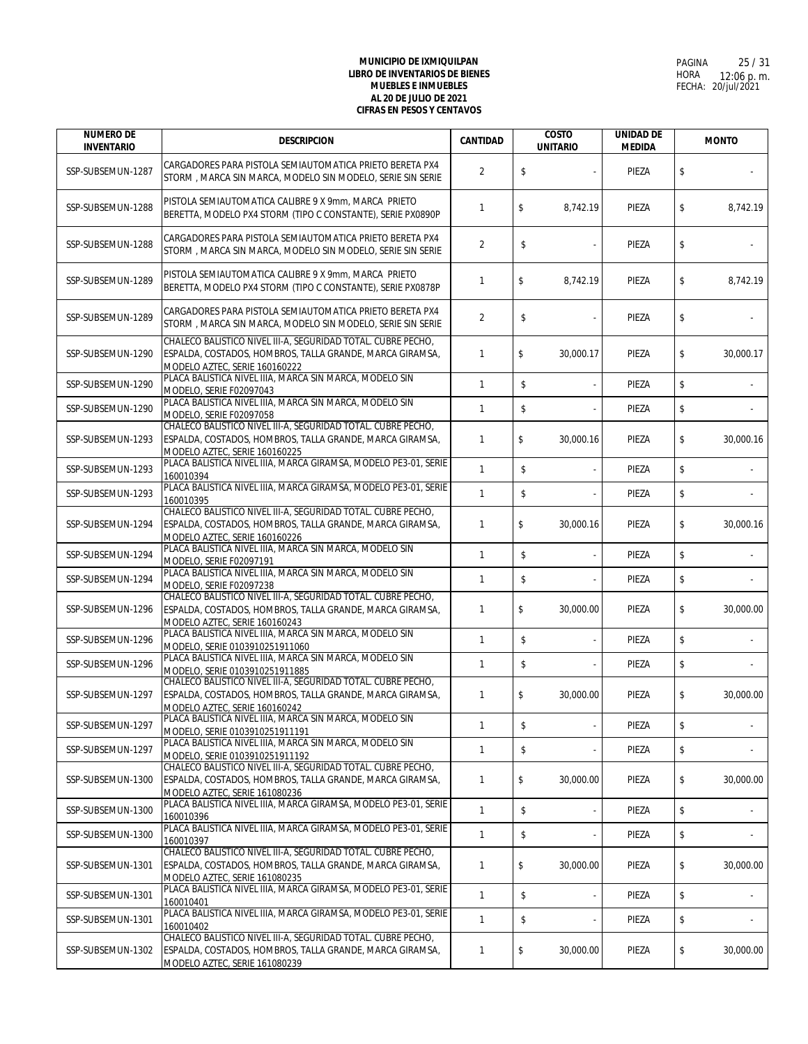| <b>NUMERO DE</b><br><b>INVENTARIO</b> | <b>DESCRIPCION</b>                                                                                                                                        | <b>CANTIDAD</b> | <b>COSTO</b><br><b>UNITARIO</b> | <b>UNIDAD DE</b><br><b>MEDIDA</b> | <b>MONTO</b>    |
|---------------------------------------|-----------------------------------------------------------------------------------------------------------------------------------------------------------|-----------------|---------------------------------|-----------------------------------|-----------------|
| SSP-SUBSEMUN-1287                     | CARGADORES PARA PISTOLA SEMIAUTOMATICA PRIETO BERETA PX4<br>STORM, MARCA SIN MARCA, MODELO SIN MODELO, SERIE SIN SERIE                                    | $\overline{2}$  | \$                              | PIEZA                             | \$              |
| SSP-SUBSEMUN-1288                     | PISTOLA SEMIAUTOMATICA CALIBRE 9 X 9mm, MARCA PRIETO<br>BERETTA, MODELO PX4 STORM (TIPO C CONSTANTE), SERIE PX0890P                                       | 1               | \$<br>8,742.19                  | PIEZA                             | \$<br>8,742.19  |
| SSP-SUBSEMUN-1288                     | CARGADORES PARA PISTOLA SEMIAUTOMATICA PRIETO BERETA PX4<br>STORM, MARCA SIN MARCA, MODELO SIN MODELO, SERIE SIN SERIE                                    | $\overline{2}$  | \$                              | PIEZA                             | \$              |
| SSP-SUBSEMUN-1289                     | PISTOLA SEMIAUTOMATICA CALIBRE 9 X 9mm, MARCA PRIETO<br>BERETTA, MODELO PX4 STORM (TIPO C CONSTANTE), SERIE PX0878P                                       | 1               | \$<br>8,742.19                  | PIEZA                             | \$<br>8,742.19  |
| SSP-SUBSEMUN-1289                     | CARGADORES PARA PISTOLA SEMIAUTOMATICA PRIETO BERETA PX4<br>STORM, MARCA SIN MARCA, MODELO SIN MODELO, SERIE SIN SERIE                                    | $\overline{2}$  | \$                              | PIEZA                             | \$              |
| SSP-SUBSEMUN-1290                     | CHALECO BALISTICO NIVEL III-A, SEGURIDAD TOTAL. CUBRE PECHO,<br>ESPALDA, COSTADOS, HOMBROS, TALLA GRANDE, MARCA GIRAMSA,<br>MODELO AZTEC, SERIE 160160222 | 1               | \$<br>30,000.17                 | PIEZA                             | \$<br>30,000.17 |
| SSP-SUBSEMUN-1290                     | PLACA BALISTICA NIVEL IIIA, MARCA SIN MARCA, MODELO SIN<br>MODELO, SERIE F02097043                                                                        | $\mathbf{1}$    | \$<br>$\overline{\phantom{a}}$  | PIEZA                             | \$              |
| SSP-SUBSEMUN-1290                     | PLACA BALISTICA NIVEL IIIA, MARCA SIN MARCA, MODELO SIN<br>MODELO, SERIE F02097058                                                                        | 1               | \$                              | PIEZA                             | \$              |
| SSP-SUBSEMUN-1293                     | CHALECO BALISTICO NIVEL III-A, SEGURIDAD TOTAL. CUBRE PECHO,<br>ESPALDA, COSTADOS, HOMBROS, TALLA GRANDE, MARCA GIRAMSA,<br>MODELO AZTEC, SERIE 160160225 | $\mathbf{1}$    | \$<br>30,000.16                 | PIEZA                             | \$<br>30,000.16 |
| SSP-SUBSEMUN-1293                     | PLACA BALISTICA NIVEL IIIA. MARCA GIRAMSA, MODELO PE3-01, SERIE<br>160010394                                                                              | 1               | \$                              | PIEZA                             | \$              |
| SSP-SUBSEMUN-1293                     | PLACA BALISTICA NIVEL IIIA, MARCA GIRAMSA, MODELO PE3-01, SERIE<br>160010395                                                                              | $\mathbf{1}$    | \$                              | PIEZA                             | \$              |
| SSP-SUBSEMUN-1294                     | CHALECO BALISTICO NIVEL III-A, SEGURIDAD TOTAL. CUBRE PECHO,<br>ESPALDA, COSTADOS, HOMBROS, TALLA GRANDE, MARCA GIRAMSA,<br>MODELO AZTEC, SERIE 160160226 | $\mathbf{1}$    | \$<br>30,000.16                 | PIEZA                             | \$<br>30,000.16 |
| SSP-SUBSEMUN-1294                     | PLACA BALISTICA NIVEL IIIA, MARCA SIN MARCA, MODELO SIN<br>MODELO, SERIE F02097191                                                                        | 1               | \$                              | PIEZA                             | \$              |
| SSP-SUBSEMUN-1294                     | PLACA BALISTICA NIVEL IIIA, MARCA SIN MARCA, MODELO SIN<br>MODELO, SERIE F02097238                                                                        | $\mathbf{1}$    | \$                              | PIEZA                             | \$              |
| SSP-SUBSEMUN-1296                     | CHALECO BALISTICO NIVEL III-A, SEGURIDAD TOTAL. CUBRE PECHO,<br>ESPALDA, COSTADOS, HOMBROS, TALLA GRANDE, MARCA GIRAMSA,<br>MODELO AZTEC, SERIE 160160243 | $\mathbf{1}$    | \$<br>30,000.00                 | PIEZA                             | \$<br>30,000.00 |
| SSP-SUBSEMUN-1296                     | PLACA BALISTICA NIVEL IIIA, MARCA SIN MARCA, MODELO SIN<br>MODELO, SERIE 0103910251911060                                                                 | 1               | \$                              | PIEZA                             | \$              |
| SSP-SUBSEMUN-1296                     | PLACA BALISTICA NIVEL IIIA, MARCA SIN MARCA, MODELO SIN<br>MODELO, SERIE 0103910251911885                                                                 | 1               | \$                              | PIEZA                             | \$              |
| SSP-SUBSEMUN-1297                     | CHALECO BALISTICO NIVEL III-A, SEGURIDAD TOTAL. CUBRE PECHO,<br>ESPALDA, COSTADOS, HOMBROS, TALLA GRANDE, MARCA GIRAMSA,<br>MODELO AZTEC, SERIE 160160242 | 1               | \$<br>30,000.00                 | PIEZA                             | \$<br>30,000.00 |
| SSP-SUBSEMUN-1297                     | PLACA BALISTICA NIVEL IIIA, MARCA SIN MARCA, MODELO SIN<br>MODELO, SERIE 0103910251911191                                                                 | $\mathbf{1}$    | \$<br>$\overline{\phantom{a}}$  | PIEZA                             | \$              |
| SSP-SUBSEMUN-1297                     | PLACA BALISTICA NIVEL IIIA, MARCA SIN MARCA, MODELO SIN<br>MODELO, SERIE 0103910251911192                                                                 | $\mathbf{1}$    | \$                              | PIEZA                             | \$              |
| SSP-SUBSEMUN-1300                     | CHALECO BALISTICO NIVEL III-A, SEGURIDAD TOTAL. CUBRE PECHO,<br>ESPALDA, COSTADOS, HOMBROS, TALLA GRANDE, MARCA GIRAMSA,<br>MODELO AZTEC, SERIE 161080236 | 1               | \$<br>30,000.00                 | PIEZA                             | \$<br>30,000.00 |
| SSP-SUBSEMUN-1300                     | PLACA BALISTICA NIVEL IIIA, MARCA GIRAMSA, MODELO PE3-01, SERIE<br>160010396                                                                              | $\mathbf{1}$    | \$<br>÷,                        | PIEZA                             | \$              |
| SSP-SUBSEMUN-1300                     | PLACA BALISTICA NIVEL IIIA. MARCA GIRAMSA, MODELO PE3-01, SERIE<br>160010397                                                                              | $\mathbf{1}$    | \$                              | PIEZA                             | \$              |
| SSP-SUBSEMUN-1301                     | CHALECO BALISTICO NIVEL III-A, SEGURIDAD TOTAL. CUBRE PECHO,<br>ESPALDA, COSTADOS, HOMBROS, TALLA GRANDE, MARCA GIRAMSA,<br>MODELO AZTEC, SERIE 161080235 | 1               | \$<br>30,000.00                 | PIEZA                             | \$<br>30,000.00 |
| SSP-SUBSEMUN-1301                     | PLACA BALISTICA NIVEL IIIA, MARCA GIRAMSA, MODELO PE3-01, SERIE<br>160010401                                                                              | $\mathbf{1}$    | \$<br>$\frac{1}{2}$             | PIEZA                             | \$              |
| SSP-SUBSEMUN-1301                     | PLACA BALISTICA NIVEL IIIA, MARCA GIRAMSA, MODELO PE3-01, SERIE<br>160010402                                                                              | $\mathbf{1}$    | \$                              | PIEZA                             | \$              |
| SSP-SUBSEMUN-1302                     | CHALECO BALISTICO NIVEL III-A, SEGURIDAD TOTAL. CUBRE PECHO,<br>ESPALDA, COSTADOS, HOMBROS, TALLA GRANDE, MARCA GIRAMSA,<br>MODELO AZTEC, SERIE 161080239 | $\mathbf{1}$    | \$<br>30,000.00                 | PIEZA                             | \$<br>30,000.00 |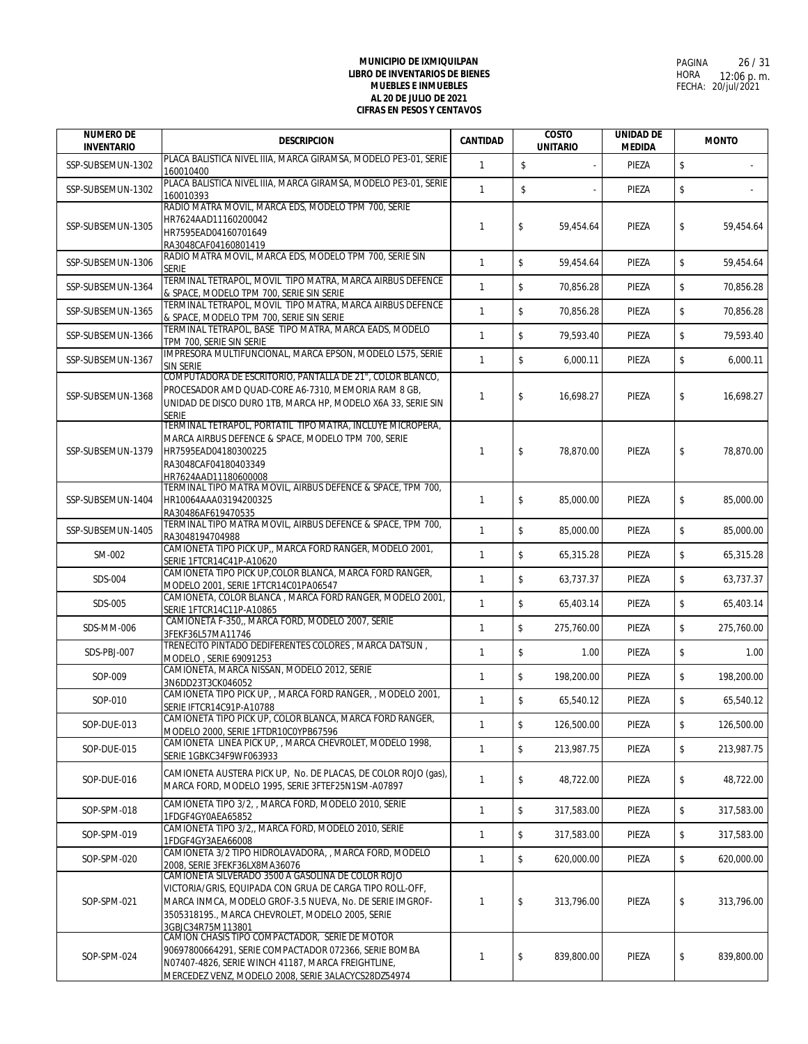| <b>NUMERO DE</b><br><b>INVENTARIO</b> | <b>DESCRIPCION</b>                                                                                                                                                                                                                                 | <b>CANTIDAD</b> | <b>COSTO</b><br><b>UNITARIO</b> | <b>UNIDAD DE</b><br><b>MEDIDA</b> | <b>MONTO</b>     |
|---------------------------------------|----------------------------------------------------------------------------------------------------------------------------------------------------------------------------------------------------------------------------------------------------|-----------------|---------------------------------|-----------------------------------|------------------|
| SSP-SUBSEMUN-1302                     | PLACA BALISTICA NIVEL IIIA, MARCA GIRAMSA, MODELO PE3-01, SERIE                                                                                                                                                                                    | $\mathbf{1}$    | $\mathbb S$                     | PIEZA                             | \$               |
| SSP-SUBSEMUN-1302                     | 160010400<br>PLACA BALISTICA NIVEL IIIA, MARCA GIRAMSA, MODELO PE3-01, SERIE                                                                                                                                                                       | $\mathbf{1}$    | \$                              | PIEZA                             | \$               |
|                                       | 160010393<br>RADIO MATRA MOVIL, MARCA EDS, MODELO TPM 700, SERIE                                                                                                                                                                                   |                 |                                 |                                   |                  |
| SSP-SUBSEMUN-1305                     | HR7624AAD11160200042<br>HR7595EAD04160701649<br>RA3048CAF04160801419                                                                                                                                                                               | $\mathbf{1}$    | \$<br>59,454.64                 | PIEZA                             | \$<br>59,454.64  |
| SSP-SUBSEMUN-1306                     | RADIO MATRA MOVIL, MARCA EDS, MODELO TPM 700, SERIE SIN<br><b>SERIE</b>                                                                                                                                                                            | $\mathbf{1}$    | \$<br>59,454.64                 | PIEZA                             | \$<br>59,454.64  |
| SSP-SUBSEMUN-1364                     | TERMINAL TETRAPOL, MOVIL TIPO MATRA, MARCA AIRBUS DEFENCE<br>& SPACE, MODELO TPM 700, SERIE SIN SERIE                                                                                                                                              | $\mathbf{1}$    | \$<br>70,856.28                 | PIEZA                             | \$<br>70,856.28  |
| SSP-SUBSEMUN-1365                     | TERMINAL TETRAPOL, MOVIL TIPO MATRA, MARCA AIRBUS DEFENCE<br>& SPACE, MODELO TPM 700, SERIE SIN SERIE                                                                                                                                              | $\mathbf{1}$    | \$<br>70.856.28                 | PIEZA                             | \$<br>70,856.28  |
| SSP-SUBSEMUN-1366                     | TERMINAL TETRAPOL, BASE TIPO MATRA, MARCA EADS, MODELO<br>TPM 700, SERIE SIN SERIE                                                                                                                                                                 | $\mathbf{1}$    | \$<br>79,593.40                 | PIEZA                             | \$<br>79,593.40  |
| SSP-SUBSEMUN-1367                     | IMPRESORA MULTIFUNCIONAL, MARCA EPSON, MODELO L575, SERIE<br><b>SIN SERIE</b>                                                                                                                                                                      | $\mathbf{1}$    | \$<br>6,000.11                  | PIEZA                             | \$<br>6,000.11   |
| SSP-SUBSEMUN-1368                     | COMPUTADORA DE ESCRITORIO, PANTALLA DE 21", COLOR BLANCO,<br>PROCESADOR AMD QUAD-CORE A6-7310, MEMORIA RAM 8 GB,<br>UNIDAD DE DISCO DURO 1TB, MARCA HP, MODELO X6A 33, SERIE SIN<br><b>SERIE</b>                                                   | 1               | \$<br>16,698.27                 | PIEZA                             | \$<br>16,698.27  |
| SSP-SUBSEMUN-1379                     | TERMINAL TETRAPOL, PORTATIL TIPO MATRA, INCLUYE MICROPERA,<br>MARCA AIRBUS DEFENCE & SPACE, MODELO TPM 700, SERIE<br>HR7595EAD04180300225<br>RA3048CAF04180403349<br>HR7624AAD11180600008                                                          | $\mathbf{1}$    | \$<br>78.870.00                 | PIEZA                             | \$<br>78.870.00  |
| SSP-SUBSEMUN-1404                     | TERMINAL TIPO MATRA MOVIL, AIRBUS DEFENCE & SPACE, TPM 700,<br>HR10064AAA03194200325<br>RA30486AF619470535                                                                                                                                         | $\mathbf{1}$    | \$<br>85,000.00                 | PIEZA                             | \$<br>85,000.00  |
| SSP-SUBSEMUN-1405                     | TERMINAL TIPO MATRA MOVIL, AIRBUS DEFENCE & SPACE, TPM 700,<br>RA3048194704988                                                                                                                                                                     | $\mathbf{1}$    | \$<br>85,000.00                 | PIEZA                             | \$<br>85,000.00  |
| SM-002                                | CAMIONETA TIPO PICK UP,, MARCA FORD RANGER, MODELO 2001,<br>SERIE 1FTCR14C41P-A10620                                                                                                                                                               | $\mathbf{1}$    | \$<br>65,315.28                 | PIEZA                             | \$<br>65,315.28  |
| SDS-004                               | CAMIONETA TIPO PICK UP, COLOR BLANCA, MARCA FORD RANGER,<br>MODELO 2001, SERIE 1FTCR14C01PA06547                                                                                                                                                   | $\mathbf{1}$    | \$<br>63,737.37                 | PIEZA                             | \$<br>63,737.37  |
| SDS-005                               | CAMIONETA, COLOR BLANCA, MARCA FORD RANGER, MODELO 2001,<br>SERIE 1FTCR14C11P-A10865                                                                                                                                                               | $\mathbf{1}$    | \$<br>65,403.14                 | PIEZA                             | \$<br>65,403.14  |
| SDS-MM-006                            | CAMIONETA F-350,, MARCA FORD, MODELO 2007, SERIE<br>3FEKF36L57MA11746                                                                                                                                                                              | $\mathbf{1}$    | \$<br>275,760.00                | PIEZA                             | \$<br>275,760.00 |
| SDS-PBJ-007                           | TRENECITO PINTADO DEDIFERENTES COLORES, MARCA DATSUN,<br>MODELO . SERIE 69091253                                                                                                                                                                   | $\mathbf{1}$    | \$<br>1.00                      | PIEZA                             | \$<br>1.00       |
| SOP-009                               | CAMIONETA, MARCA NISSAN, MODELO 2012, SERIE<br>3N6DD23T3CK046052                                                                                                                                                                                   | 1               | \$<br>198,200.00                | PIEZA                             | \$<br>198.200.00 |
| SOP-010                               | CAMIONETA TIPO PICK UP, , MARCA FORD RANGER, , MODELO 2001,<br>SERIE IFTCR14C91P-A10788                                                                                                                                                            | $\mathbf{1}$    | \$<br>65,540.12                 | PIEZA                             | \$<br>65,540.12  |
| SOP-DUE-013                           | CAMIONETA TIPO PICK UP, COLOR BLANCA, MARCA FORD RANGER,<br>MODELO 2000, SERIE 1FTDR10C0YPB67596                                                                                                                                                   | $\mathbf{1}$    | \$<br>126,500.00                | PIEZA                             | \$<br>126,500.00 |
| SOP-DUE-015                           | CAMIONETA LINEA PICK UP, , MARCA CHEVROLET, MODELO 1998,<br>SERIE 1GBKC34F9WF063933                                                                                                                                                                | 1               | \$<br>213,987.75                | PIEZA                             | \$<br>213,987.75 |
| SOP-DUE-016                           | CAMIONETA AUSTERA PICK UP, No. DE PLACAS, DE COLOR ROJO (gas),<br>MARCA FORD, MODELO 1995, SERIE 3FTEF25N1SM-A07897                                                                                                                                | 1               | \$<br>48,722.00                 | PIEZA                             | \$<br>48,722.00  |
| SOP-SPM-018                           | CAMIONETA TIPO 3/2. MARCA FORD, MODELO 2010, SERIE<br>1FDGF4GY0AEA65852                                                                                                                                                                            | 1               | \$<br>317,583.00                | PIEZA                             | \$<br>317,583.00 |
| SOP-SPM-019                           | CAMIONETA TIPO 3/2,, MARCA FORD, MODELO 2010, SERIE<br>1FDGF4GY3AEA66008                                                                                                                                                                           | 1               | \$<br>317.583.00                | PIEZA                             | \$<br>317,583.00 |
| SOP-SPM-020                           | CAMIONETA 3/2 TIPO HIDROLAVADORA, , MARCA FORD, MODELO<br>2008, SERIE 3FEKF36LX8MA36076                                                                                                                                                            | $\mathbf{1}$    | \$<br>620.000.00                | PIEZA                             | \$<br>620,000.00 |
| SOP-SPM-021                           | CAMIONETA SILVERADO 3500 A GASOLINA DE COLOR ROJO<br>VICTORIA/GRIS, EQUIPADA CON GRUA DE CARGA TIPO ROLL-OFF,<br>MARCA INMCA, MODELO GROF-3.5 NUEVA, No. DE SERIE IMGROF-<br>3505318195., MARCA CHEVROLET, MODELO 2005, SERIE<br>3GBJC34R75M113801 | $\mathbf{1}$    | \$<br>313,796.00                | PIEZA                             | \$<br>313,796.00 |
| SOP-SPM-024                           | CAMION CHASIS TIPO COMPACTADOR, SERIE DE MOTOR<br>90697800664291, SERIE COMPACTADOR 072366, SERIE BOMBA<br>N07407-4826, SERIE WINCH 41187, MARCA FREIGHTLINE,<br>MERCEDEZ VENZ, MODELO 2008, SERIE 3ALACYCS28DZ54974                               | 1               | \$<br>839,800.00                | PIEZA                             | \$<br>839,800.00 |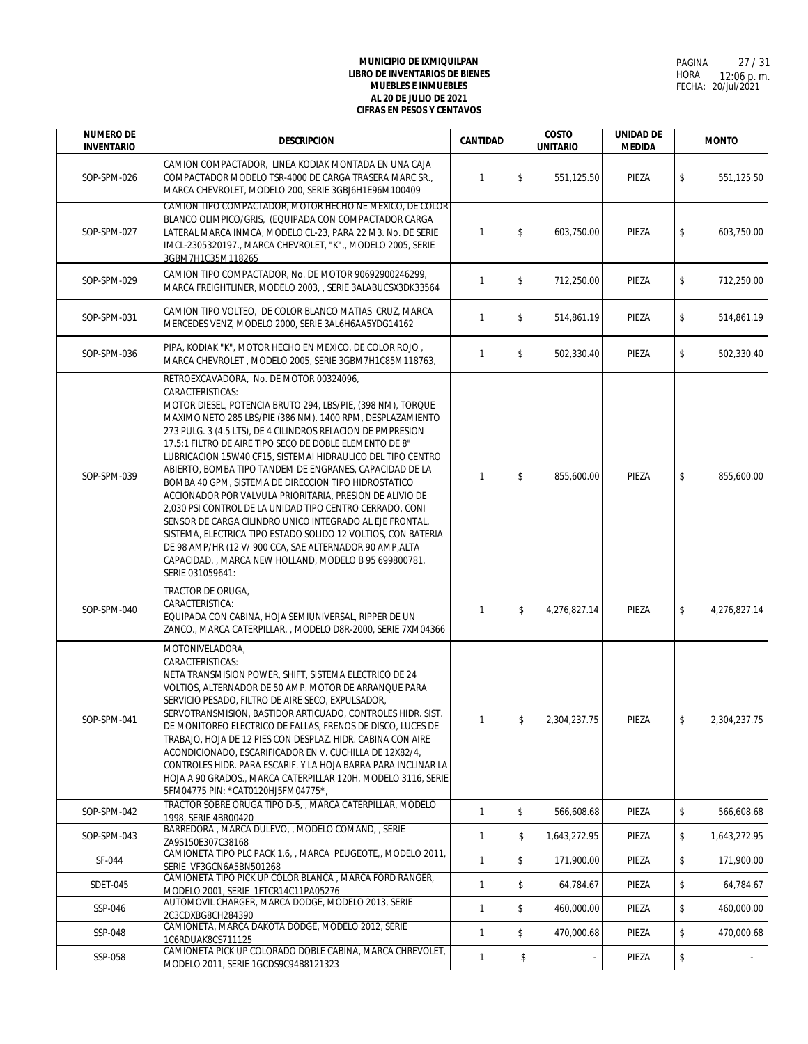| <b>NUMERO DE</b><br><b>INVENTARIO</b> | <b>DESCRIPCION</b>                                                                                                                                                                                                                                                                                                                                                                                                                                                                                                                                                                                                                                                                                                                                                                                                                                                                                 | <b>CANTIDAD</b> | <b>COSTO</b><br><b>UNITARIO</b> | <b>UNIDAD DE</b><br><b>MEDIDA</b> |               | <b>MONTO</b> |
|---------------------------------------|----------------------------------------------------------------------------------------------------------------------------------------------------------------------------------------------------------------------------------------------------------------------------------------------------------------------------------------------------------------------------------------------------------------------------------------------------------------------------------------------------------------------------------------------------------------------------------------------------------------------------------------------------------------------------------------------------------------------------------------------------------------------------------------------------------------------------------------------------------------------------------------------------|-----------------|---------------------------------|-----------------------------------|---------------|--------------|
| SOP-SPM-026                           | CAMION COMPACTADOR, LINEA KODIAK MONTADA EN UNA CAJA<br>COMPACTADOR MODELO TSR-4000 DE CARGA TRASERA MARC SR.,<br>MARCA CHEVROLET, MODELO 200, SERIE 3GBJ6H1E96M100409                                                                                                                                                                                                                                                                                                                                                                                                                                                                                                                                                                                                                                                                                                                             | $\mathbf{1}$    | \$<br>551,125.50                | PIEZA                             | $\sqrt{2}$    | 551,125.50   |
| SOP-SPM-027                           | CAMION TIPO COMPACTADOR, MOTOR HECHO NE MEXICO, DE COLOR<br>BLANCO OLIMPICO/GRIS, (EQUIPADA CON COMPACTADOR CARGA<br>LATERAL MARCA INMCA, MODELO CL-23, PARA 22 M3. No. DE SERIE<br>IMCL-2305320197., MARCA CHEVROLET, "K",, MODELO 2005, SERIE<br>3GBM7H1C35M118265                                                                                                                                                                                                                                                                                                                                                                                                                                                                                                                                                                                                                               | $\mathbf{1}$    | \$<br>603,750.00                | PIEZA                             | $\sqrt{2}$    | 603,750.00   |
| SOP-SPM-029                           | CAMION TIPO COMPACTADOR, No. DE MOTOR 90692900246299,<br>MARCA FREIGHTLINER, MODELO 2003, , SERIE 3ALABUCSX3DK33564                                                                                                                                                                                                                                                                                                                                                                                                                                                                                                                                                                                                                                                                                                                                                                                | $\mathbf{1}$    | \$<br>712,250.00                | PIEZA                             | \$            | 712,250.00   |
| SOP-SPM-031                           | CAMION TIPO VOLTEO, DE COLOR BLANCO MATIAS CRUZ, MARCA<br>MERCEDES VENZ, MODELO 2000, SERIE 3AL6H6AA5YDG14162                                                                                                                                                                                                                                                                                                                                                                                                                                                                                                                                                                                                                                                                                                                                                                                      | $\mathbf{1}$    | \$<br>514,861.19                | PIEZA                             | \$            | 514,861.19   |
| SOP-SPM-036                           | PIPA, KODIAK "K", MOTOR HECHO EN MEXICO, DE COLOR ROJO,<br>MARCA CHEVROLET, MODELO 2005, SERIE 3GBM7H1C85M118763,                                                                                                                                                                                                                                                                                                                                                                                                                                                                                                                                                                                                                                                                                                                                                                                  | $\mathbf{1}$    | \$<br>502,330.40                | PIEZA                             | \$            | 502,330.40   |
| SOP-SPM-039                           | RETROEXCAVADORA, No. DE MOTOR 00324096,<br>CARACTERISTICAS:<br>MOTOR DIESEL, POTENCIA BRUTO 294, LBS/PIE, (398 NM), TORQUE<br>MAXIMO NETO 285 LBS/PIE (386 NM). 1400 RPM, DESPLAZAMIENTO<br>273 PULG. 3 (4.5 LTS), DE 4 CILINDROS RELACION DE PMPRESION<br>17.5:1 FILTRO DE AIRE TIPO SECO DE DOBLE ELEMENTO DE 8"<br>LUBRICACION 15W40 CF15, SISTEMAI HIDRAULICO DEL TIPO CENTRO<br>ABIERTO, BOMBA TIPO TANDEM DE ENGRANES, CAPACIDAD DE LA<br>BOMBA 40 GPM, SISTEMA DE DIRECCION TIPO HIDROSTATICO<br>ACCIONADOR POR VALVULA PRIORITARIA, PRESION DE ALIVIO DE<br>2,030 PSI CONTROL DE LA UNIDAD TIPO CENTRO CERRADO, CONI<br>SENSOR DE CARGA CILINDRO UNICO INTEGRADO AL EJE FRONTAL,<br>SISTEMA, ELECTRICA TIPO ESTADO SOLIDO 12 VOLTIOS, CON BATERIA<br>DE 98 AMP/HR (12 V/ 900 CCA, SAE ALTERNADOR 90 AMP, ALTA<br>CAPACIDAD., MARCA NEW HOLLAND, MODELO B 95 699800781,<br>SERIE 031059641: | $\mathbf{1}$    | \$<br>855,600.00                | PIEZA                             | \$            | 855,600.00   |
| SOP-SPM-040                           | TRACTOR DE ORUGA,<br>CARACTERISTICA:<br>EQUIPADA CON CABINA, HOJA SEMIUNIVERSAL, RIPPER DE UN<br>ZANCO., MARCA CATERPILLAR, , MODELO D8R-2000, SERIE 7XM04366                                                                                                                                                                                                                                                                                                                                                                                                                                                                                                                                                                                                                                                                                                                                      | $\mathbf{1}$    | \$<br>4,276,827.14              | PIEZA                             | \$            | 4,276,827.14 |
| SOP-SPM-041                           | MOTONIVELADORA,<br>CARACTERISTICAS:<br>NETA TRANSMISION POWER, SHIFT, SISTEMA ELECTRICO DE 24<br>VOLTIOS, ALTERNADOR DE 50 AMP. MOTOR DE ARRANQUE PARA<br>SERVICIO PESADO, FILTRO DE AIRE SECO, EXPULSADOR,<br>SERVOTRANSMISION, BASTIDOR ARTICUADO, CONTROLES HIDR. SIST.<br>DE MONITOREO ELECTRICO DE FALLAS, FRENOS DE DISCO, LUCES DE<br>TRABAJO, HOJA DE 12 PIES CON DESPLAZ. HIDR. CABINA CON AIRE<br>ACONDICIONADO, ESCARIFICADOR EN V. CUCHILLA DE 12X82/4,<br>CONTROLES HIDR. PARA ESCARIF. Y LA HOJA BARRA PARA INCLINAR LA<br>HOJA A 90 GRADOS., MARCA CATERPILLAR 120H, MODELO 3116, SERIE<br>5FM04775 PIN: *CAT0120HJ5FM04775*,                                                                                                                                                                                                                                                       |                 | 2,304,237.75                    | PIEZA                             |               | 2,304,237.75 |
| SOP-SPM-042                           | TRACTOR SOBRE ORUGA TIPO D-5, , MARCA CATERPILLAR, MODELO<br>1998, SERIE 4BR00420                                                                                                                                                                                                                                                                                                                                                                                                                                                                                                                                                                                                                                                                                                                                                                                                                  | $\mathbf{1}$    | \$<br>566,608.68                | PIEZA                             | \$            | 566,608.68   |
| SOP-SPM-043                           | BARREDORA, MARCA DULEVO, , MODELO COMAND, , SERIE<br>ZA9S150E307C38168                                                                                                                                                                                                                                                                                                                                                                                                                                                                                                                                                                                                                                                                                                                                                                                                                             | $\mathbf{1}$    | \$<br>1,643,272.95              | PIEZA                             | \$            | 1,643,272.95 |
| SF-044                                | CAMIONETA TIPO PLC PACK 1,6, , MARCA PEUGEOTE, , MODELO 2011,<br>SERIE VF3GCN6A5BN501268                                                                                                                                                                                                                                                                                                                                                                                                                                                                                                                                                                                                                                                                                                                                                                                                           | $\mathbf{1}$    | $\mathsf{\$}$<br>171,900.00     | PIEZA                             | \$            | 171,900.00   |
| <b>SDET-045</b>                       | CAMIONETA TIPO PICK UP COLOR BLANCA, MARCA FORD RANGER,<br>MODELO 2001, SERIE 1FTCR14C11PA05276                                                                                                                                                                                                                                                                                                                                                                                                                                                                                                                                                                                                                                                                                                                                                                                                    | $\mathbf{1}$    | \$<br>64,784.67                 | PIEZA                             | \$            | 64,784.67    |
| SSP-046                               | AUTOMOVIL CHARGER, MARCA DODGE, MODELO 2013, SERIE<br>2C3CDXBG8CH284390                                                                                                                                                                                                                                                                                                                                                                                                                                                                                                                                                                                                                                                                                                                                                                                                                            | $\mathbf{1}$    | \$<br>460,000.00                | PIEZA                             | \$            | 460,000.00   |
| SSP-048                               | CAMIONETA, MARCA DAKOTA DODGE, MODELO 2012, SERIE<br>1C6RDUAK8CS711125                                                                                                                                                                                                                                                                                                                                                                                                                                                                                                                                                                                                                                                                                                                                                                                                                             | $\mathbf{1}$    | \$<br>470,000.68                | PIEZA                             | \$            | 470,000.68   |
| SSP-058                               | CAMIONETA PICK UP COLORADO DOBLE CABINA, MARCA CHREVOLET,<br>MODELO 2011, SERIE 1GCDS9C94B8121323                                                                                                                                                                                                                                                                                                                                                                                                                                                                                                                                                                                                                                                                                                                                                                                                  | $\mathbf{1}$    | \$                              | PIEZA                             | $\sqrt[6]{2}$ |              |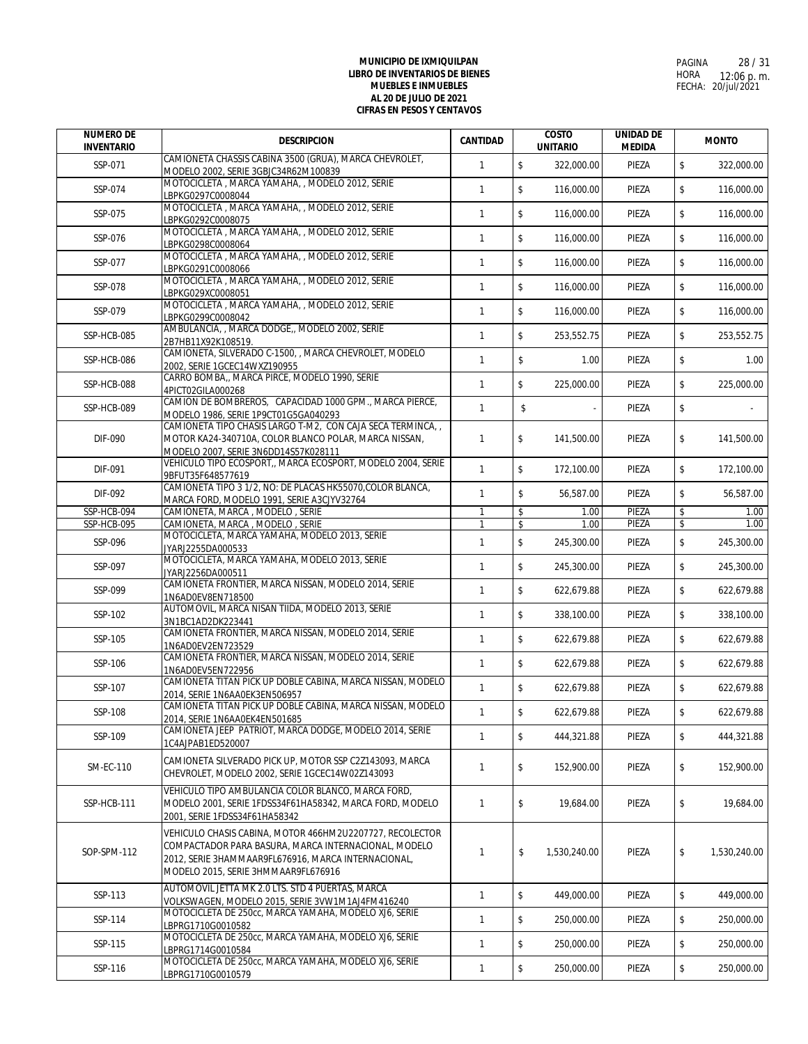| <b>NUMERO DE</b><br><b>INVENTARIO</b> | <b>DESCRIPCION</b>                                                                                                                                                                                             | CANTIDAD     | <b>COSTO</b><br><b>UNITARIO</b> | <b>UNIDAD DE</b><br><b>MEDIDA</b> | <b>MONTO</b>                |
|---------------------------------------|----------------------------------------------------------------------------------------------------------------------------------------------------------------------------------------------------------------|--------------|---------------------------------|-----------------------------------|-----------------------------|
| SSP-071                               | CAMIONETA CHASSIS CABINA 3500 (GRUA), MARCA CHEVROLET,<br>MODELO 2002, SERIE 3GBJC34R62M100839                                                                                                                 | $\mathbf{1}$ | $\mathsf{\$}$<br>322,000.00     | PIEZA                             | $\mathsf{\$}$<br>322,000.00 |
| SSP-074                               | MOTOCICLETA, MARCA YAMAHA, , MODELO 2012, SERIE<br>LBPKG0297C0008044                                                                                                                                           | $\mathbf{1}$ | $\mathsf{\$}$<br>116,000.00     | PIEZA                             | $\mathsf{\$}$<br>116,000.00 |
| SSP-075                               | MOTOCICLETA, MARCA YAMAHA,, MODELO 2012, SERIE<br>LBPKG0292C0008075                                                                                                                                            | $\mathbf{1}$ | \$<br>116.000.00                | PIEZA                             | \$<br>116,000.00            |
| SSP-076                               | MOTOCICLETA, MARCA YAMAHA,, MODELO 2012, SERIE<br>LBPKG0298C0008064                                                                                                                                            | $\mathbf{1}$ | $\mathsf{\$}$<br>116,000.00     | PIEZA                             | \$<br>116,000.00            |
| SSP-077                               | MOTOCICLETA, MARCA YAMAHA, , MODELO 2012, SERIE<br>LBPKG0291C0008066                                                                                                                                           | $\mathbf{1}$ | $\mathsf{\$}$<br>116,000.00     | PIEZA                             | \$<br>116,000.00            |
| SSP-078                               | MOTOCICLETA, MARCA YAMAHA,, MODELO 2012, SERIE<br>LBPKG029XC0008051                                                                                                                                            | $\mathbf{1}$ | $\mathsf{\$}$<br>116,000.00     | PIEZA                             | \$<br>116,000.00            |
| SSP-079                               | MOTOCICLETA, MARCA YAMAHA, , MODELO 2012, SERIE<br>LBPKG0299C0008042                                                                                                                                           | $\mathbf{1}$ | $\mathsf{\$}$<br>116,000.00     | PIEZA                             | \$<br>116,000.00            |
| SSP-HCB-085                           | AMBULANCIA, , MARCA DODGE,, MODELO 2002, SERIE<br>2B7HB11X92K108519.                                                                                                                                           | $\mathbf{1}$ | \$<br>253,552.75                | PIEZA                             | \$<br>253,552.75            |
| SSP-HCB-086                           | CAMIONETA, SILVERADO C-1500, , MARCA CHEVROLET, MODELO<br>2002, SERIE 1GCEC14WXZ190955                                                                                                                         | $\mathbf{1}$ | \$<br>1.00                      | PIEZA                             | \$<br>1.00                  |
| SSP-HCB-088                           | CARRO BOMBA,, MARCA PIRCE, MODELO 1990, SERIE<br>4PICT02GILA000268                                                                                                                                             | $\mathbf{1}$ | $\mathsf{\$}$<br>225,000.00     | PIEZA                             | \$<br>225,000.00            |
| SSP-HCB-089                           | CAMION DE BOMBREROS, CAPACIDAD 1000 GPM., MARCA PIERCE,                                                                                                                                                        | $\mathbf{1}$ | \$                              | PIEZA                             | \$                          |
| DIF-090                               | MODELO 1986, SERIE 1P9CT01G5GA040293<br>CAMIONETA TIPO CHASIS LARGO T-M2, CON CAJA SECA TERMINCA,<br>MOTOR KA24-340710A, COLOR BLANCO POLAR, MARCA NISSAN,                                                     | $\mathbf{1}$ | \$<br>141,500.00                | PIEZA                             | \$<br>141,500.00            |
| DIF-091                               | MODELO 2007, SERIE 3N6DD14S57K028111<br>VEHICULO TIPO ECOSPORT,, MARCA ECOSPORT, MODELO 2004, SERIE                                                                                                            | $\mathbf{1}$ | $\mathsf{\$}$<br>172,100.00     | PIEZA                             | \$<br>172,100.00            |
| DIF-092                               | 9BFUT35F648577619<br>CAMIONETA TIPO 3 1/2, NO: DE PLACAS HK55070, COLOR BLANCA,                                                                                                                                | $\mathbf{1}$ | \$<br>56,587.00                 | PIEZA                             | \$<br>56,587.00             |
| SSP-HCB-094                           | MARCA FORD, MODELO 1991, SERIE A3CJYV32764<br>CAMIONETA, MARCA, MODELO, SERIE                                                                                                                                  | $\mathbf{1}$ | \$<br>1.00                      | PIEZA                             | \$<br>1.00                  |
| SSP-HCB-095                           | CAMIONETA, MARCA, MODELO, SERIE                                                                                                                                                                                | 1            | \$<br>1.00                      | PIEZA                             | \$<br>1.00                  |
| SSP-096                               | MOTOCICLETA, MARCA YAMAHA, MODELO 2013, SERIE<br>JYARJ2255DA000533                                                                                                                                             | $\mathbf{1}$ | $\mathsf{\$}$<br>245,300.00     | PIEZA                             | \$<br>245,300.00            |
| SSP-097                               | MOTOCICLETA, MARCA YAMAHA, MODELO 2013, SERIE<br>JYARJ2256DA000511                                                                                                                                             | $\mathbf{1}$ | $\mathbb S$<br>245,300.00       | PIEZA                             | \$<br>245,300.00            |
| SSP-099                               | CAMIONETA FRONTIER, MARCA NISSAN, MODELO 2014, SERIE<br>1N6AD0EV8EN718500                                                                                                                                      | $\mathbf{1}$ | $\mathsf{\$}$<br>622,679.88     | PIEZA                             | \$<br>622,679.88            |
| SSP-102                               | AUTOMOVIL, MARCA NISAN TIIDA, MODELO 2013, SERIE<br>3N1BC1AD2DK223441                                                                                                                                          | $\mathbf{1}$ | $\mathsf{\$}$<br>338,100.00     | PIEZA                             | \$<br>338,100.00            |
| SSP-105                               | CAMIONETA FRONTIER, MARCA NISSAN, MODELO 2014, SERIE<br>1N6AD0EV2EN723529                                                                                                                                      | $\mathbf{1}$ | $\mathsf{\$}$<br>622,679.88     | PIEZA                             | \$<br>622,679.88            |
| SSP-106                               | CAMIONETA FRONTIER, MARCA NISSAN, MODELO 2014, SERIE<br>1N6AD0EV5EN722956                                                                                                                                      | $\mathbf{1}$ | $\mathsf{\$}$<br>622,679.88     | PIEZA                             | \$<br>622,679.88            |
| SSP-107                               | CAMIONETA TITAN PICK UP DOBLE CABINA, MARCA NISSAN, MODELO<br>2014, SERIE 1N6AA0EK3EN506957                                                                                                                    | $\mathbf{1}$ | \$<br>622,679.88                | PIEZA                             | \$<br>622,679.88            |
| SSP-108                               | CAMIONETA TITAN PICK UP DOBLE CABINA, MARCA NISSAN, MODELO<br>2014, SERIE 1N6AA0EK4EN501685                                                                                                                    | $\mathbf{1}$ | \$<br>622,679.88                | PIEZA                             | \$<br>622,679.88            |
| SSP-109                               | CAMIONETA JEEP PATRIOT, MARCA DODGE, MODELO 2014, SERIE<br>1C4AJPAB1ED520007                                                                                                                                   | $\mathbf{1}$ | \$<br>444,321.88                | PIEZA                             | \$<br>444,321.88            |
| <b>SM-EC-110</b>                      | CAMIONETA SILVERADO PICK UP, MOTOR SSP C2Z143093, MARCA<br>CHEVROLET, MODELO 2002, SERIE 1GCEC14W02Z143093                                                                                                     | 1            | \$<br>152,900.00                | PIEZA                             | \$<br>152.900.00            |
| SSP-HCB-111                           | VEHICULO TIPO AMBULANCIA COLOR BLANCO, MARCA FORD.<br>MODELO 2001, SERIE 1FDSS34F61HA58342, MARCA FORD, MODELO<br>2001, SERIE 1FDSS34F61HA58342                                                                | 1            | \$<br>19,684.00                 | PIEZA                             | \$<br>19,684.00             |
| SOP-SPM-112                           | VEHICULO CHASIS CABINA, MOTOR 466HM2U2207727, RECOLECTOR<br>COMPACTADOR PARA BASURA, MARCA INTERNACIONAL, MODELO<br>2012, SERIE 3HAMMAAR9FL676916, MARCA INTERNACIONAL,<br>MODELO 2015, SERIE 3HMMAAR9FL676916 | 1            | \$<br>1,530,240.00              | PIEZA                             | \$<br>1,530,240.00          |
| SSP-113                               | AUTOMOVIL JETTA MK 2.0 LTS. STD 4 PUERTAS, MARCA<br>VOLKSWAGEN, MODELO 2015, SERIE 3VW1M1AJ4FM416240                                                                                                           | $\mathbf{1}$ | $\mathbb S$<br>449,000.00       | PIEZA                             | \$<br>449,000.00            |
| SSP-114                               | MOTOCICLETA DE 250cc, MARCA YAMAHA, MODELO XJ6, SERIE<br>LBPRG1710G0010582                                                                                                                                     | 1            | \$<br>250,000.00                | PIEZA                             | \$<br>250,000.00            |
| SSP-115                               | MOTOCICLETA DE 250cc, MARCA YAMAHA, MODELO XJ6, SERIE<br>BPRG1714G0010584                                                                                                                                      | $\mathbf{1}$ | \$<br>250,000.00                | PIEZA                             | \$<br>250,000.00            |
| SSP-116                               | MOTOCICLETA DE 250cc, MARCA YAMAHA, MODELO XJ6, SERIE<br>LBPRG1710G0010579                                                                                                                                     | $\mathbf{1}$ | \$<br>250,000.00                | PIEZA                             | \$<br>250,000.00            |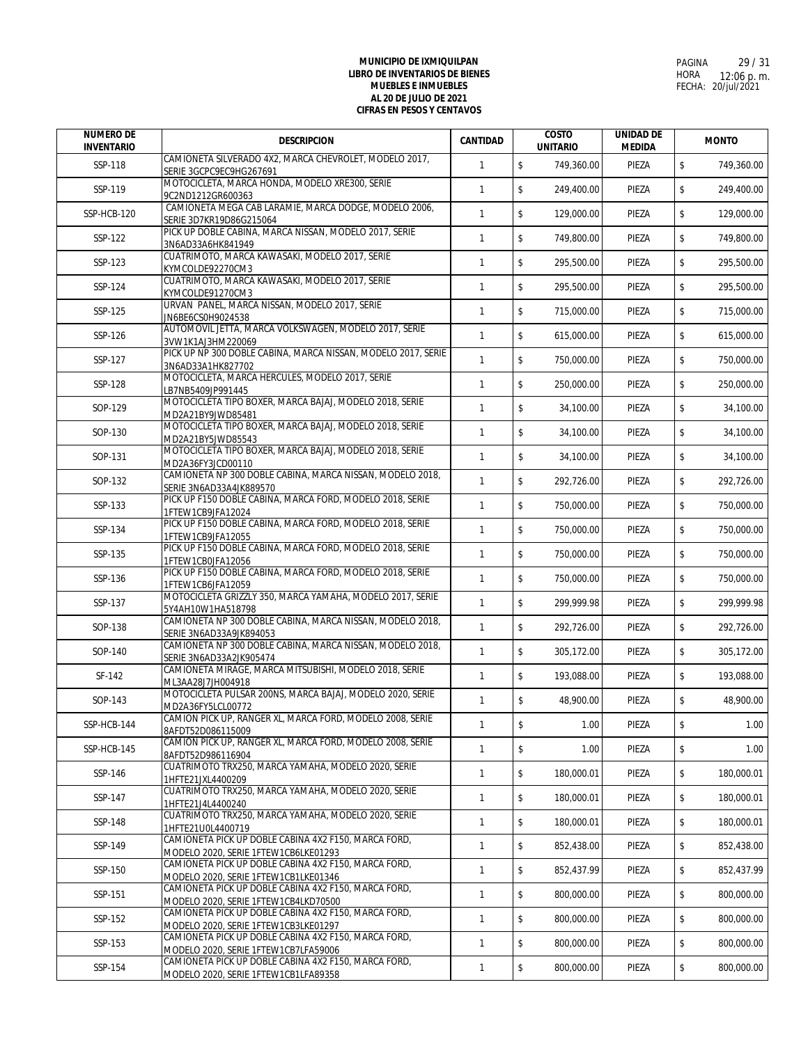| <b>NUMERO DE</b><br><b>INVENTARIO</b> | <b>DESCRIPCION</b>                                                                           | <b>CANTIDAD</b> | <b>COSTO</b><br><b>UNITARIO</b>       | <b>UNIDAD DE</b><br><b>MEDIDA</b> | <b>MONTO</b>     |
|---------------------------------------|----------------------------------------------------------------------------------------------|-----------------|---------------------------------------|-----------------------------------|------------------|
| SSP-118                               | CAMIONETA SILVERADO 4X2, MARCA CHEVROLET, MODELO 2017,<br>SERIE 3GCPC9EC9HG267691            | $\mathbf{1}$    | $\sqrt[6]{\frac{1}{2}}$<br>749,360.00 | PIEZA                             | \$<br>749,360.00 |
| SSP-119                               | MOTOCICLETA, MARCA HONDA, MODELO XRE300, SERIE<br>9C2ND1212GR600363                          | $\mathbf{1}$    | $$\mathbb{S}$$<br>249,400.00          | PIEZA                             | \$<br>249,400.00 |
| SSP-HCB-120                           | CAMIONETA MEGA CAB LARAMIE, MARCA DODGE, MODELO 2006,<br>SERIE 3D7KR19D86G215064             | $\mathbf{1}$    | \$<br>129,000.00                      | PIEZA                             | \$<br>129,000.00 |
| SSP-122                               | PICK UP DOBLE CABINA, MARCA NISSAN, MODELO 2017, SERIE<br>3N6AD33A6HK841949                  | $\mathbf{1}$    | $\mathbb S$<br>749,800.00             | PIEZA                             | \$<br>749,800.00 |
| SSP-123                               | CUATRIMOTO, MARCA KAWASAKI, MODELO 2017, SERIE<br>KYMCOLDE92270CM3                           | $\mathbf{1}$    | $$\mathbb{S}$$<br>295,500.00          | PIEZA                             | \$<br>295,500.00 |
| SSP-124                               | CUATRIMOTO, MARCA KAWASAKI, MODELO 2017, SERIE                                               | $\mathbf{1}$    | \$<br>295,500.00                      | PIEZA                             | \$<br>295,500.00 |
| SSP-125                               | KYMCOLDE91270CM3<br>URVAN PANEL, MARCA NISSAN, MODELO 2017, SERIE                            | $\mathbf{1}$    | \$<br>715,000.00                      | PIEZA                             | \$<br>715,000.00 |
| SSP-126                               | JN6BE6CS0H9024538<br>AUTOMOVIL JETTA, MARCA VOLKSWAGEN, MODELO 2017, SERIE                   | $\mathbf{1}$    | \$<br>615,000.00                      | PIEZA                             | \$<br>615,000.00 |
| SSP-127                               | 3VW1K1AJ3HM220069<br>PICK UP NP 300 DOBLE CABINA, MARCA NISSAN, MODELO 2017, SERIE           | $\mathbf{1}$    | \$<br>750,000.00                      | PIEZA                             | \$<br>750,000.00 |
| SSP-128                               | 3N6AD33A1HK827702<br>MOTOCICLETA, MARCA HERCULES, MODELO 2017, SERIE                         | $\mathbf{1}$    | \$<br>250.000.00                      | PIEZA                             | \$<br>250,000.00 |
| SOP-129                               | LB7NB5409JP991445<br>MOTOCICLETA TIPO BOXER, MARCA BAJAJ, MODELO 2018, SERIE                 | $\mathbf{1}$    | $\mathsf{\$}$<br>34,100.00            | PIEZA                             | \$<br>34,100.00  |
|                                       | MD2A21BY9JWD85481<br>MOTOCICLETA TIPO BOXER, MARCA BAJAJ, MODELO 2018, SERIE                 |                 |                                       |                                   |                  |
| SOP-130                               | MD2A21BY5JWD85543<br>MOTOCICLETA TIPO BOXER, MARCA BAJAJ, MODELO 2018, SERIE                 | $\mathbf{1}$    | $\sqrt[6]{\frac{1}{2}}$<br>34,100.00  | PIEZA                             | \$<br>34,100.00  |
| SOP-131                               | MD2A36FY3JCD00110<br>CAMIONETA NP 300 DOBLE CABINA, MARCA NISSAN, MODELO 2018,               | $\mathbf{1}$    | $\mathsf{\$}$<br>34,100.00            | PIEZA                             | \$<br>34,100.00  |
| SOP-132                               | SERIE 3N6AD33A4JK889570<br>PICK UP F150 DOBLE CABINA, MARCA FORD, MODELO 2018, SERIE         | $\mathbf{1}$    | \$<br>292,726.00                      | PIEZA                             | \$<br>292,726.00 |
| SSP-133                               | 1FTEW1CB9JFA12024                                                                            | $\mathbf{1}$    | \$<br>750,000.00                      | PIEZA                             | \$<br>750,000.00 |
| SSP-134                               | PICK UP F150 DOBLE CABINA, MARCA FORD, MODELO 2018, SERIE<br>1FTEW1CB9JFA12055               | $\mathbf{1}$    | \$<br>750,000.00                      | PIEZA                             | \$<br>750,000.00 |
| SSP-135                               | PICK UP F150 DOBLE CABINA, MARCA FORD, MODELO 2018, SERIE<br>1FTEW1CB0JFA12056               | $\mathbf{1}$    | \$<br>750,000.00                      | PIEZA                             | \$<br>750,000.00 |
| SSP-136                               | PICK UP F150 DOBLE CABINA, MARCA FORD, MODELO 2018, SERIE<br>1FTEW1CB6JFA12059               | $\mathbf{1}$    | \$<br>750,000.00                      | PIEZA                             | \$<br>750,000.00 |
| SSP-137                               | MOTOCICLETA GRIZZLY 350, MARCA YAMAHA, MODELO 2017, SERIE<br>5Y4AH10W1HA518798               | $\mathbf{1}$    | $\mathbb S$<br>299,999.98             | PIEZA                             | \$<br>299,999.98 |
| SOP-138                               | CAMIONETA NP 300 DOBLE CABINA, MARCA NISSAN, MODELO 2018,<br>SERIE 3N6AD33A9JK894053         | $\mathbf{1}$    | \$<br>292,726.00                      | PIEZA                             | \$<br>292,726.00 |
| SOP-140                               | CAMIONETA NP 300 DOBLE CABINA, MARCA NISSAN, MODELO 2018,<br>SERIE 3N6AD33A2JK905474         | $\mathbf{1}$    | \$<br>305,172.00                      | PIEZA                             | \$<br>305,172.00 |
| SF-142                                | CAMIONETA MIRAGE, MARCA MITSUBISHI, MODELO 2018, SERIE<br>ML3AA28J7JH004918                  | $\mathbf{1}$    | \$<br>193,088.00                      | PIEZA                             | \$<br>193,088.00 |
| SOP-143                               | MOTOCICLETA PULSAR 200NS, MARCA BAJAJ, MODELO 2020, SERIE<br>MD2A36FY5LCL00772               | $\mathbf{1}$    | \$<br>48,900.00                       | PIEZA                             | \$<br>48,900.00  |
| SSP-HCB-144                           | CAMION PICK UP, RANGER XL, MARCA FORD, MODELO 2008, SERIE                                    | $\mathbf{1}$    | \$<br>1.00                            | PIEZA                             | \$<br>1.00       |
| SSP-HCB-145                           | 8AFDT52D086115009<br>CAMION PICK UP, RANGER XL, MARCA FORD, MODELO 2008, SERIE               | $\mathbf{1}$    | $\mathsf{\$}$<br>1.00                 | PIEZA                             | \$<br>1.00       |
| SSP-146                               | 8AFDT52D986116904<br>CUATRIMOTO TRX250, MARCA YAMAHA, MODELO 2020, SERIE                     | $\mathbf{1}$    | $\sqrt[6]{\frac{1}{2}}$<br>180,000.01 | PIEZA                             | \$<br>180,000.01 |
| SSP-147                               | 1HFTE21JXL4400209<br>CUATRIMOTO TRX250, MARCA YAMAHA, MODELO 2020, SERIE                     | $\mathbf{1}$    | \$<br>180,000.01                      | PIEZA                             | \$<br>180,000.01 |
| SSP-148                               | 1HFTE21J4L4400240<br>CUATRIMOTO TRX250, MARCA YAMAHA, MODELO 2020, SERIE                     | $\mathbf{1}$    | $\sqrt[6]{\frac{1}{2}}$<br>180,000.01 | PIEZA                             | \$<br>180,000.01 |
|                                       | 1HFTE21U0L4400719<br>CAMIONETA PICK UP DOBLE CABINA 4X2 F150, MARCA FORD,                    |                 | $\mathbb S$                           |                                   |                  |
| SSP-149                               | MODELO 2020, SERIE 1FTEW1CB6LKE01293<br>CAMIONETA PICK UP DOBLE CABINA 4X2 F150, MARCA FORD, | $\mathbf{1}$    | 852,438.00                            | PIEZA                             | \$<br>852,438.00 |
| SSP-150                               | MODELO 2020, SERIE 1FTEW1CB1LKE01346<br>CAMIONETA PICK UP DOBLE CABINA 4X2 F150, MARCA FORD, | $\mathbf{1}$    | \$<br>852,437.99                      | PIEZA                             | \$<br>852,437.99 |
| SSP-151                               | MODELO 2020, SERIE 1FTEW1CB4LKD70500<br>CAMIONETA PICK UP DOBLE CABINA 4X2 F150, MARCA FORD, | $\mathbf{1}$    | $\mathbb S$<br>800,000.00             | PIEZA                             | \$<br>800,000.00 |
| SSP-152                               | MODELO 2020, SERIE 1FTEW1CB3LKE01297                                                         | $\mathbf{1}$    | \$<br>800,000.00                      | PIEZA                             | \$<br>800,000.00 |
| SSP-153                               | CAMIONETA PICK UP DOBLE CABINA 4X2 F150, MARCA FORD,<br>MODELO 2020, SERIE 1FTEW1CB7LFA59006 | $\mathbf{1}$    | \$<br>800,000.00                      | PIEZA                             | \$<br>800,000.00 |
| SSP-154                               | CAMIONETA PICK UP DOBLE CABINA 4X2 F150, MARCA FORD,<br>MODELO 2020, SERIE 1FTEW1CB1LFA89358 | $\mathbf{1}$    | \$<br>800,000.00                      | PIEZA                             | \$<br>800,000.00 |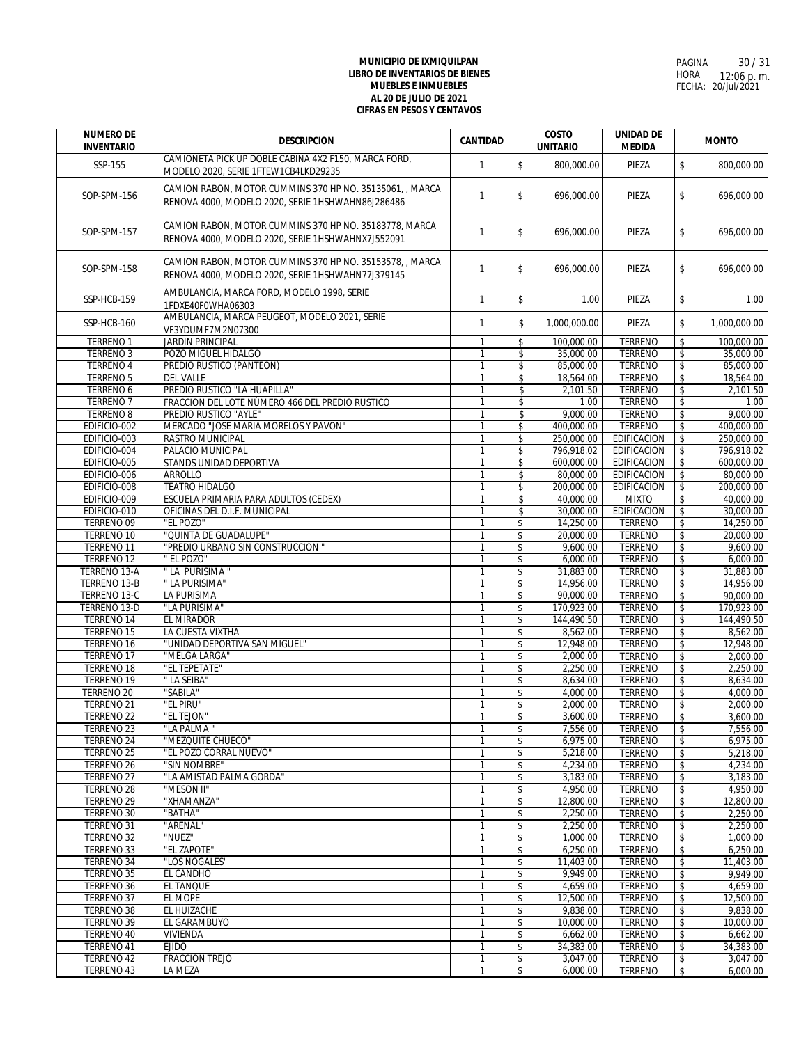| <b>NUMERO DE</b><br><b>INVENTARIO</b> | <b>DESCRIPCION</b>                                                                                            | CANTIDAD                       | <b>COSTO</b><br><b>UNITARIO</b>              | <b>UNIDAD DE</b><br><b>MEDIDA</b> | <b>MONTO</b>                                        |
|---------------------------------------|---------------------------------------------------------------------------------------------------------------|--------------------------------|----------------------------------------------|-----------------------------------|-----------------------------------------------------|
|                                       | CAMIONETA PICK UP DOBLE CABINA 4X2 F150, MARCA FORD,                                                          |                                |                                              |                                   |                                                     |
| SSP-155                               | MODELO 2020, SERIE 1FTEW1CB4LKD29235                                                                          | $\mathbf{1}$                   | $\mathsf{\$}$<br>800,000.00                  | PIEZA                             | $\mathsf{\$}$<br>800,000.00                         |
| SOP-SPM-156                           | CAMION RABON, MOTOR CUMMINS 370 HP NO. 35135061, , MARCA<br>RENOVA 4000, MODELO 2020, SERIE 1HSHWAHN86J286486 | $\mathbf{1}$                   | \$<br>696,000.00                             | PIEZA                             | \$<br>696,000.00                                    |
| SOP-SPM-157                           | CAMION RABON, MOTOR CUMMINS 370 HP NO. 35183778, MARCA<br>RENOVA 4000, MODELO 2020, SERIE 1HSHWAHNX7J552091   | $\mathbf{1}$                   | \$<br>696,000.00                             | PIEZA                             | \$<br>696,000.00                                    |
| SOP-SPM-158                           | CAMION RABON, MOTOR CUMMINS 370 HP NO. 35153578, , MARCA<br>RENOVA 4000, MODELO 2020, SERIE 1HSHWAHN77J379145 | $\mathbf{1}$                   | \$<br>696,000.00                             | PIEZA                             | $\sqrt{2}$<br>696,000.00                            |
| SSP-HCB-159                           | AMBULANCIA, MARCA FORD, MODELO 1998, SERIE<br>1FDXE40F0WHA06303                                               | $\mathbf{1}$                   | $\mathsf{\$}$<br>1.00                        | PIEZA                             | \$<br>1.00                                          |
| SSP-HCB-160                           | AMBULANCIA, MARCA PEUGEOT, MODELO 2021, SERIE<br>VF3YDUMF7M2N07300                                            | $\mathbf{1}$                   | \$<br>1,000,000.00                           | PIEZA                             | \$<br>1,000,000.00                                  |
| <b>TERRENO1</b>                       | <b>JARDIN PRINCIPAL</b>                                                                                       | $\mathbf{1}$                   | \$<br>100,000.00                             | <b>TERRENO</b>                    | \$<br>100,000.00                                    |
| <b>TERRENO 3</b>                      | POZO MIGUEL HIDALGO                                                                                           | $\mathbf{1}$                   | 35,000.00<br>\$                              | <b>TERRENO</b>                    | 35,000.00<br>\$                                     |
| <b>TERRENO 4</b>                      | PREDIO RUSTICO (PANTEON)                                                                                      | -1                             | \$<br>85,000.00                              | <b>TERRENO</b>                    | \$<br>85,000.00                                     |
| <b>TERRENO 5</b>                      | <b>DEL VALLE</b>                                                                                              | $\mathbf{1}$                   | \$<br>18,564.00                              | <b>TERRENO</b>                    | $\overline{\mathcal{L}}$<br>18,564.00               |
| <b>TERRENO 6</b>                      | PREDIO RUSTICO "LA HUAPILLA"                                                                                  | $\mathbf{1}$                   | \$<br>2,101.50                               | <b>TERRENO</b>                    | $\sqrt{2}$<br>2,101.50                              |
| <b>TERRENO 7</b>                      | FRACCION DEL LOTE NÚMERO 466 DEL PREDIO RUSTICO                                                               | $\mathbf{1}$                   | \$<br>1.00                                   | <b>TERRENO</b>                    | \$<br>1.00                                          |
| <b>TERRENO 8</b>                      | PREDIO RUSTICO "AYLE"                                                                                         | $\mathbf{1}$                   | \$<br>9,000.00                               | <b>TERRENO</b>                    | \$<br>9,000.00                                      |
| EDIFICIO-002                          | MERCADO "JOSE MARIA MORELOS Y PAVON"                                                                          | $\mathbf{1}$                   | \$<br>400,000.00                             | <b>TERRENO</b>                    | $\overline{\mathcal{L}}$<br>400.000.00              |
| EDIFICIO-003                          | <b>RASTRO MUNICIPAL</b>                                                                                       | $\mathbf{1}$                   | \$<br>250.000.00                             | <b>EDIFICACION</b>                | \$<br>250,000.00                                    |
| EDIFICIO-004                          | PALACIO MUNICIPAL                                                                                             |                                | \$<br>796,918.02                             | <b>EDIFICACION</b>                | \$<br>796,918.02                                    |
| EDIFICIO-005                          | STANDS UNIDAD DEPORTIVA                                                                                       | $\overline{1}$                 | \$<br>600,000.00                             | <b>EDIFICACION</b>                | \$<br>600,000.00                                    |
| EDIFICIO-006                          | <b>ARROLLO</b>                                                                                                |                                | \$<br>80,000.00                              | <b>EDIFICACION</b>                | \$<br>80,000.00                                     |
| EDIFICIO-008                          | <b>TEATRO HIDALGO</b>                                                                                         | $\overline{1}$                 | \$<br>200,000.00                             | <b>EDIFICACION</b>                | \$<br>200,000.00                                    |
| EDIFICIO-009                          | ESCUELA PRIMARIA PARA ADULTOS (CEDEX)                                                                         | $\mathbf{1}$                   | \$<br>40,000.00                              | <b>MIXTO</b>                      | \$<br>40,000.00                                     |
| EDIFICIO-010                          | OFICINAS DEL D.I.F. MUNICIPAL                                                                                 | $\mathbf{1}$                   | \$<br>30,000.00                              | <b>EDIFICACION</b>                | \$<br>30,000.00                                     |
| <b>TERRENO 09</b>                     | "EL POZO"                                                                                                     | $\mathbf{1}$                   | 14,250.00<br>\$                              | <b>TERRENO</b>                    | 14,250.00<br>\$                                     |
| <b>TERRENO 10</b>                     | "QUINTA DE GUADALUPE"                                                                                         | $\mathbf{1}$                   | $\overline{\mathcal{L}}$<br>20,000.00        | <b>TERRENO</b>                    | $\overline{\mathcal{L}}$<br>20,000.00               |
| <b>TERRENO 11</b>                     | "PREDIO URBANO SIN CONSTRUCCIÓN '                                                                             | -1                             | $\boldsymbol{\mathsf{s}}$<br>9,600.00        | <b>TERRENO</b>                    | \$<br>9,600.00                                      |
| TERRENO <sub>12</sub>                 | ' EL POZO"<br>"LA PURISIMA"                                                                                   | $\mathbf{1}$                   | \$<br>6,000.00                               | <b>TERRENO</b>                    | \$<br>6,000.00                                      |
| <b>TERRENO 13-A</b><br>TERRENO 13-B   | " LA PURISIMA"                                                                                                | $\overline{1}$<br>$\mathbf{1}$ | \$<br>31,883.00<br>\$<br>14,956.00           | <b>TERRENO</b><br><b>TERRENO</b>  | $\pmb{\mathsf{\$}}$<br>31,883.00<br>\$<br>14,956.00 |
| <b>TERRENO 13-C</b>                   | <b>LA PURISIMA</b>                                                                                            |                                | $\boldsymbol{\mathsf{s}}$<br>90,000.00       | <b>TERRENO</b>                    | $\overline{\boldsymbol{\mathsf{z}}}$<br>90,000.00   |
| TERRENO 13-D                          | "LA PURISIMA"                                                                                                 | $\mathbf{1}$                   | \$<br>170,923.00                             | <b>TERRENO</b>                    | 170,923.00<br>\$                                    |
| TERRENO 14                            | EL MIRADOR                                                                                                    | $\mathbf{1}$                   | \$<br>144,490.50                             | <b>TERRENO</b>                    | $\sqrt[6]{\frac{1}{2}}$<br>144,490.50               |
| TERRENO 15                            | LA CUESTA VIXTHA                                                                                              | $\mathbf{1}$                   | $\overline{\mathcal{L}}$<br>8,562.00         | <b>TERRENO</b>                    | $\overline{\mathcal{L}}$<br>8,562.00                |
| TERRENO <sub>16</sub>                 | "UNIDAD DEPORTIVA SAN MIGUEL"                                                                                 | $\mathbf{1}$                   | \$<br>12,948.00                              | <b>TERRENO</b>                    | \$<br>12,948.00                                     |
| TERRENO 17                            | "MELGA LARGA"                                                                                                 |                                | \$<br>2.000.00                               | <b>TERRENO</b>                    | \$<br>2,000.00                                      |
| TERRENO 18                            | "EL TEPETATE"                                                                                                 |                                | \$<br>2,250.00                               | <b>TERRENO</b>                    | \$<br>2,250.00                                      |
| TERRENO 19                            | " LA SEIBA"                                                                                                   | $\overline{1}$                 | \$<br>8,634.00                               | <b>TERRENO</b>                    | \$<br>8,634.00                                      |
| TERRENO 20                            | "SABILA"                                                                                                      |                                | \$<br>4,000.00                               | <b>TERRENO</b>                    | \$<br>4,000.00                                      |
| TERRENO <sub>21</sub>                 | "el piru"                                                                                                     | 1                              | \$<br>2,000.00                               | <b>TERRENO</b>                    | \$<br>2,000.00                                      |
| <b>TERRENO 22</b>                     | "EL TEJON"                                                                                                    |                                | $\overline{\mathsf{s}}$<br>3.600.00          | <b>TERRENO</b>                    | $\overline{\mathbf{s}}$<br>3.600.00                 |
| TERRENO 23                            | "LA PALMA"                                                                                                    | $\mathbf{1}$                   | \$<br>7,556.00                               | <b>TERRENO</b>                    | \$<br>7,556.00                                      |
| TERRENO 24                            | "MEZQUITE CHUECO"                                                                                             | $\mathbf{1}$                   | \$<br>6,975.00                               | <b>TERRENO</b>                    | \$<br>6,975.00                                      |
| <b>TERRENO 25</b>                     | "EL POZO CORRAL NUEVO"                                                                                        |                                | \$<br>5,218.00                               | <b>TERRENO</b>                    | \$<br>5,218.00                                      |
| TERRENO <sub>26</sub>                 | "SIN NOMBRE"                                                                                                  | 1                              | \$<br>4,234.00                               | <b>TERRENO</b>                    | \$<br>4,234.00                                      |
| <b>TERRENO 27</b>                     | "LA AMISTAD PALMA GORDA"                                                                                      |                                | \$<br>3,183.00                               | <b>TERRENO</b>                    | \$<br>3,183.00                                      |
| TERRENO 28                            | "MESON II"                                                                                                    | $\mathbf{1}$                   | \$<br>4,950.00                               | <b>TERRENO</b>                    | \$<br>4,950.00                                      |
| <b>TERRENO 29</b>                     | "XHAMANZA"                                                                                                    | 1                              | \$<br>12,800.00                              | <b>TERRENO</b>                    | \$<br>12,800.00                                     |
| TERRENO 30                            | "BATHA"                                                                                                       | $\mathbf{1}$                   | \$<br>2,250.00                               | <b>TERRENO</b>                    | \$<br>2,250.00                                      |
| TERRENO 31                            | "ARENAL"                                                                                                      | $\mathbf{1}$                   | \$<br>2,250.00                               | <b>TERRENO</b>                    | \$<br>2,250.00                                      |
| TERRENO 32                            | "NUEZ"                                                                                                        | $\mathbf{1}$                   | \$<br>1,000.00                               | <b>TERRENO</b>                    | \$<br>1,000.00                                      |
| <b>TERRENO 33</b>                     | "EL ZAPOTE"                                                                                                   |                                | \$<br>6,250.00                               | <b>TERRENO</b>                    | \$<br>6,250.00                                      |
| <b>TERRENO 34</b>                     | "LOS NOGALES"                                                                                                 | 1                              | \$<br>11,403.00                              | <b>TERRENO</b>                    | \$<br>11,403.00                                     |
| <b>TERRENO 35</b>                     | <b>EL CANDHO</b>                                                                                              |                                | \$<br>9,949.00                               | <b>TERRENO</b>                    | \$<br>9,949.00                                      |
| TERRENO 36                            | <b>EL TANQUE</b>                                                                                              | 1                              | \$<br>4,659.00                               | <b>TERRENO</b>                    | \$<br>4,659.00<br>$\overline{\mathcal{E}}$          |
| <b>TERRENO 37</b>                     | EL MOPE                                                                                                       |                                | $\boldsymbol{\hat{\mathsf{s}}}$<br>12,500.00 | <b>TERRENO</b><br><b>TERRENO</b>  | 12,500.00                                           |
| TERRENO 38<br>TERRENO 39              | EL HUIZACHE<br>EL GARAMBUYO                                                                                   | 1<br>$\mathbf{1}$              | \$<br>9,838.00<br>\$<br>10,000.00            | <b>TERRENO</b>                    | \$<br>9,838.00<br>\$<br>10,000.00                   |
| <b>TERRENO 40</b>                     | <b>VIVIENDA</b>                                                                                               | $\mathbf{1}$                   | \$<br>6,662.00                               | <b>TERRENO</b>                    | \$<br>6,662.00                                      |
| TERRENO 41                            | <b>EJIDO</b>                                                                                                  | $\mathbf{1}$                   | \$<br>34,383.00                              | <b>TERRENO</b>                    | \$<br>34,383.00                                     |
| TERRENO 42                            | FRACCIÓN TREJO                                                                                                |                                | \$<br>3,047.00                               | <b>TERRENO</b>                    | \$<br>3,047.00                                      |
| TERRENO 43                            | LA MEZA                                                                                                       | 1                              | \$<br>6,000.00                               | <b>TERRENO</b>                    | $\sqrt{2}$<br>6,000.00                              |
|                                       |                                                                                                               |                                |                                              |                                   |                                                     |